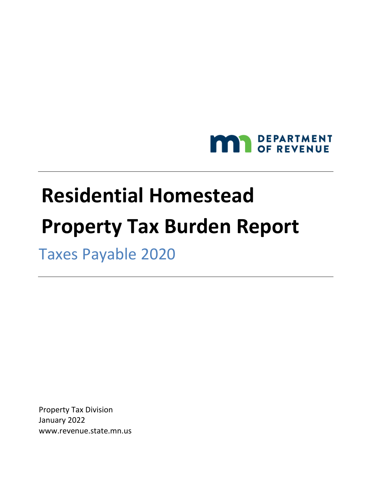

# **Residential Homestead Property Tax Burden Report**

Taxes Payable 2020

Property Tax Division January 2022 www.revenue.state.mn.us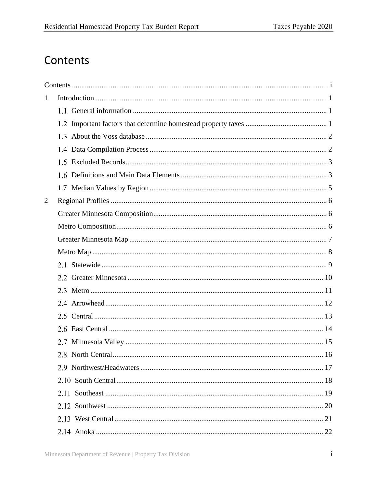## <span id="page-2-0"></span>Contents

| $\mathbf{1}$ |     |  |
|--------------|-----|--|
|              | 1.1 |  |
|              |     |  |
|              |     |  |
|              |     |  |
|              |     |  |
|              |     |  |
|              |     |  |
| 2            |     |  |
|              |     |  |
|              |     |  |
|              |     |  |
|              |     |  |
|              |     |  |
|              |     |  |
|              |     |  |
|              |     |  |
|              |     |  |
|              |     |  |
|              |     |  |
|              |     |  |
|              |     |  |
|              |     |  |
|              |     |  |
|              |     |  |
|              |     |  |
|              |     |  |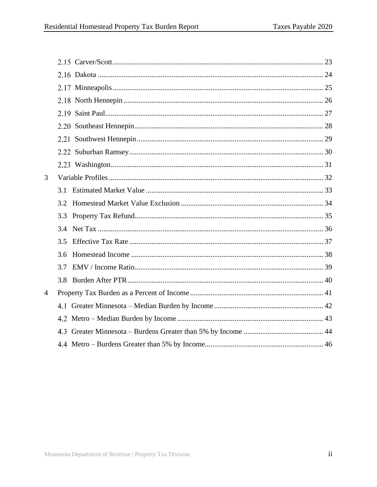| 3              |     |  |
|----------------|-----|--|
|                | 3.1 |  |
|                | 3.2 |  |
|                | 3.3 |  |
|                | 3.4 |  |
|                | 3.5 |  |
|                |     |  |
|                | 3.7 |  |
|                | 3.8 |  |
| $\overline{4}$ |     |  |
|                |     |  |
|                |     |  |
|                |     |  |
|                |     |  |
|                |     |  |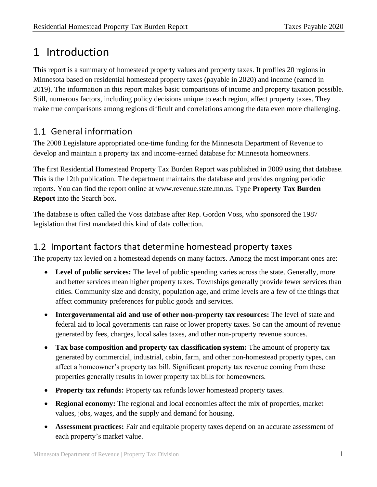## <span id="page-4-0"></span>1 Introduction

This report is a summary of homestead property values and property taxes. It profiles 20 regions in Minnesota based on residential homestead property taxes (payable in 2020) and income (earned in 2019). The information in this report makes basic comparisons of income and property taxation possible. Still, numerous factors, including policy decisions unique to each region, affect property taxes. They make true comparisons among regions difficult and correlations among the data even more challenging.

#### <span id="page-4-1"></span>1.1 General information

The 2008 Legislature appropriated one-time funding for the Minnesota Department of Revenue to develop and maintain a property tax and income-earned database for Minnesota homeowners.

The first Residential Homestead Property Tax Burden Report was published in 2009 using that database. This is the 12th publication. The department maintains the database and provides ongoing periodic reports. You can find the report online at www.revenue.state.mn.us. Type **Property Tax Burden Report** into the Search box.

The database is often called the Voss database after Rep. Gordon Voss, who sponsored the 1987 legislation that first mandated this kind of data collection.

#### <span id="page-4-2"></span>1.2 Important factors that determine homestead property taxes

The property tax levied on a homestead depends on many factors. Among the most important ones are:

- **Level of public services:** The level of public spending varies across the state. Generally, more and better services mean higher property taxes. Townships generally provide fewer services than cities. Community size and density, population age, and crime levels are a few of the things that affect community preferences for public goods and services.
- **Intergovernmental aid and use of other non-property tax resources:** The level of state and federal aid to local governments can raise or lower property taxes. So can the amount of revenue generated by fees, charges, local sales taxes, and other non-property revenue sources.
- **Tax base composition and property tax classification system:** The amount of property tax generated by commercial, industrial, cabin, farm, and other non-homestead property types, can affect a homeowner's property tax bill. Significant property tax revenue coming from these properties generally results in lower property tax bills for homeowners.
- **Property tax refunds:** Property tax refunds lower homestead property taxes.
- **Regional economy:** The regional and local economies affect the mix of properties, market values, jobs, wages, and the supply and demand for housing.
- **Assessment practices:** Fair and equitable property taxes depend on an accurate assessment of each property's market value.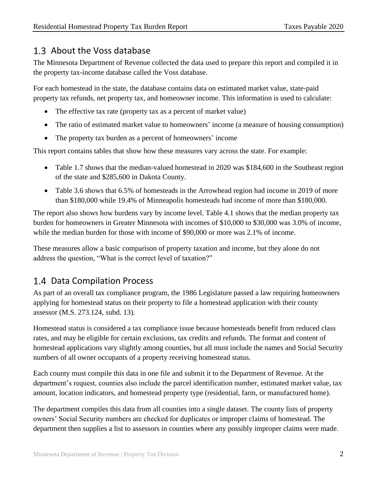#### <span id="page-5-0"></span>1.3 About the Voss database

The Minnesota Department of Revenue collected the data used to prepare this report and compiled it in the property tax-income database called the Voss database.

For each homestead in the state, the database contains data on estimated market value, state-paid property tax refunds, net property tax, and homeowner income. This information is used to calculate:

- The effective tax rate (property tax as a percent of market value)
- The ratio of estimated market value to homeowners' income (a measure of housing consumption)
- The property tax burden as a percent of homeowners' income

This report contains tables that show how these measures vary across the state. For example:

- Table 1.7 shows that the median-valued homestead in 2020 was \$184,600 in the Southeast region of the state and \$285,600 in Dakota County.
- Table 3.6 shows that 6.5% of homesteads in the Arrowhead region had income in 2019 of more than \$180,000 while 19.4% of Minneapolis homesteads had income of more than \$180,000.

The report also shows how burdens vary by income level. Table 4.1 shows that the median property tax burden for homeowners in Greater Minnesota with incomes of \$10,000 to \$30,000 was 3.0% of income, while the median burden for those with income of \$90,000 or more was 2.1% of income.

These measures allow a basic comparison of property taxation and income, but they alone do not address the question, "What is the correct level of taxation?"

## <span id="page-5-1"></span>1.4 Data Compilation Process

As part of an overall tax compliance program, the 1986 Legislature passed a law requiring homeowners applying for homestead status on their property to file a homestead application with their county assessor (M.S. 273.124, subd. 13).

Homestead status is considered a tax compliance issue because homesteads benefit from reduced class rates, and may be eligible for certain exclusions, tax credits and refunds. The format and content of homestead applications vary slightly among counties, but all must include the names and Social Security numbers of all owner occupants of a property receiving homestead status.

Each county must compile this data in one file and submit it to the Department of Revenue. At the department's request, counties also include the parcel identification number, estimated market value, tax amount, location indicators, and homestead property type (residential, farm, or manufactured home).

The department compiles this data from all counties into a single dataset. The county lists of property owners' Social Security numbers are checked for duplicates or improper claims of homestead. The department then supplies a list to assessors in counties where any possibly improper claims were made.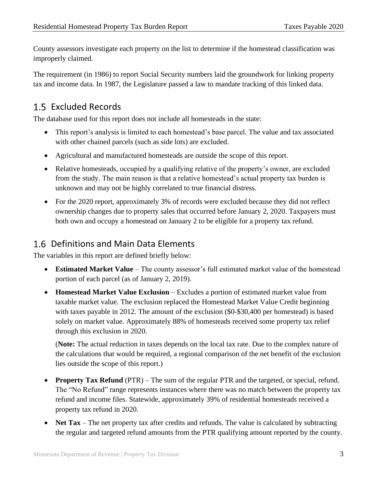County assessors investigate each property on the list to determine if the homestead classification was improperly claimed.

The requirement (in 1986) to report Social Security numbers laid the groundwork for linking property tax and income data. In 1987, the Legislature passed a law to mandate tracking of this linked data.

#### <span id="page-6-0"></span>1.5 Excluded Records

The database used for this report does not include all homesteads in the state:

- This report's analysis is limited to each homestead's base parcel. The value and tax associated with other chained parcels (such as side lots) are excluded.
- Agricultural and manufactured homesteads are outside the scope of this report.
- Relative homesteads, occupied by a qualifying relative of the property's owner, are excluded from the study. The main reason is that a relative homestead's actual property tax burden is unknown and may not be highly correlated to true financial distress.
- For the 2020 report, approximately 3% of records were excluded because they did not reflect ownership changes due to property sales that occurred before January 2, 2020. Taxpayers must both own and occupy a homestead on January 2 to be eligible for a property tax refund.

#### <span id="page-6-1"></span>1.6 Definitions and Main Data Elements

The variables in this report are defined briefly below:

- **Estimated Market Value** The county assessor's full estimated market value of the homestead portion of each parcel (as of January 2, 2019).
- **Homestead Market Value Exclusion** Excludes a portion of estimated market value from taxable market value. The exclusion replaced the Homestead Market Value Credit beginning with taxes payable in 2012. The amount of the exclusion (\$0-\$30,400 per homestead) is based solely on market value. Approximately 88% of homesteads received some property tax relief through this exclusion in 2020.

(**Note:** The actual reduction in taxes depends on the local tax rate. Due to the complex nature of the calculations that would be required, a regional comparison of the net benefit of the exclusion lies outside the scope of this report.)

- **Property Tax Refund** (PTR) The sum of the regular PTR and the targeted, or special, refund. The "No Refund" range represents instances where there was no match between the property tax refund and income files. Statewide, approximately 39% of residential homesteads received a property tax refund in 2020.
- **Net Tax** The net property tax after credits and refunds. The value is calculated by subtracting the regular and targeted refund amounts from the PTR qualifying amount reported by the county.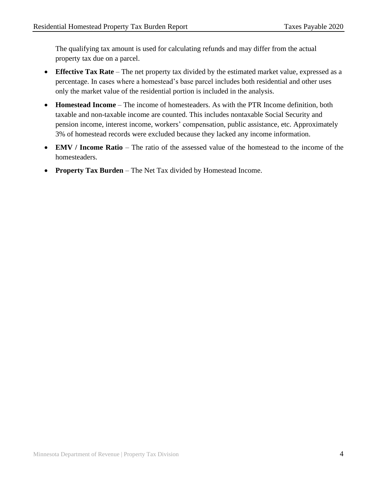The qualifying tax amount is used for calculating refunds and may differ from the actual property tax due on a parcel.

- **Effective Tax Rate** The net property tax divided by the estimated market value, expressed as a percentage. In cases where a homestead's base parcel includes both residential and other uses only the market value of the residential portion is included in the analysis.
- **Homestead Income** The income of homesteaders. As with the PTR Income definition, both taxable and non-taxable income are counted. This includes nontaxable Social Security and pension income, interest income, workers' compensation, public assistance, etc. Approximately 3% of homestead records were excluded because they lacked any income information.
- **EMV / Income Ratio** The ratio of the assessed value of the homestead to the income of the homesteaders.
- **Property Tax Burden** The Net Tax divided by Homestead Income.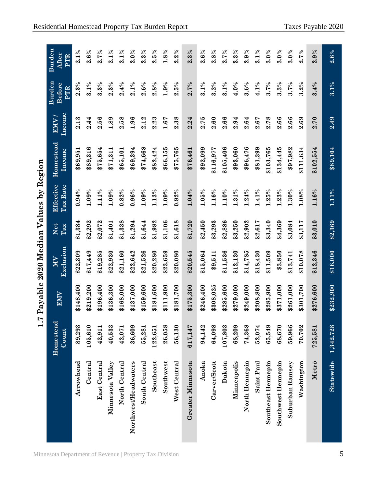| Region            |
|-------------------|
| δV                |
|                   |
| alues             |
| ֧֖֚֡֓֓֓֓ <b>֓</b> |
|                   |
| i<br>א היה ה<br>į |
|                   |
| $2020$ N          |
|                   |
|                   |
| rra In            |
| l ayau<br>¢       |
|                   |
| r                 |
| Ÿ<br>I            |

|                      | 1.7                |            | Payable 2020 Median Values by Region |            |                       |                     |                |                                |                        |
|----------------------|--------------------|------------|--------------------------------------|------------|-----------------------|---------------------|----------------|--------------------------------|------------------------|
|                      | Homestead<br>Count | <b>EMV</b> | Exclusion<br>MV                      | Net<br>Tax | Effective<br>Tax Rate | Homestead<br>Income | Income<br>EMV) | Burden<br><b>Before</b><br>PTR | Burden<br>After<br>PTR |
| Arrowhead            | 89,293             | \$148,400  | \$22,309                             | \$1,384    | 0.94%                 | \$69,951            | 2.13           | 2.3%                           | $2.1\%$                |
| $\mathtt{Central}$   | 105,610            | \$219,200  | \$17,449                             | \$2,292    | 1.09%                 | \$89,316            | 2.44           | $3.1\%$                        | 2.6%                   |
| <b>East Central</b>  | 42,911             | \$196,400  | \$19,285                             | \$2,072    | 1.11%                 | \$75,654            | 2.56           | 3.3%                           | 2.7%                   |
| Minnesota Valley     | 40,533             | \$136,300  | \$22,930                             | \$1,401    | 1.09%                 | \$71,311            | 1.89           | 2.3%                           | $2.1\%$                |
| North Central        | 42,071             | \$168,000  | \$21,160                             | \$1,338    | 0.82%                 | \$65,101            | 2.58           | 2.4%                           | $2.1\%$                |
| Northwest/Headwaters | 36,609             | \$137,000  | \$22,642                             | \$1,294    | 0.96%                 | \$69,394            | 1.96           | $2.1\%$                        | 2.0%                   |
| South Central        | 55,281             | \$159,600  | \$21,526                             | \$1,644    | 1.09%                 | \$74,668            | 2.12           | 2.6%                           | 2.3%                   |
| Southeast            | 122,651            | \$184,600  | \$20,280                             | \$1,982    | 1.13%                 | \$82,424            | 2.23           | 2.8%                           | 2.5%                   |
| Southwest            | 26,058             | \$111,900  | \$23,659                             | \$1,106    | 1.09%                 | \$66,155            | 1.67           | 1.9%                           | 1.8%                   |
| West Central         | 56,130             | \$181,700  | \$20,080                             | \$1,618    | $0.92\%$              | \$75,765            | 2.38           | 2.5%                           | 2.2%                   |
| Greater Minnesota    | 617,147            | \$175,300  | \$20,545                             | \$1,720    | 1.04%                 | \$76,461            | 2.24           | 2.7%                           | 2.3%                   |
| Anoka                | 94,142             | \$246,400  | \$15,064                             | \$2,450    | 1.05%                 | \$92,099            | 2.75           | $3.1\%$                        | 2.6%                   |
| Carver/Scott         | 64,098             | \$308,025  | \$9,511                              | \$3,293    | 1.16%                 | \$116,977           | 2.60           | 3.2%                           | 2.8%                   |
| Dakota               | 107,803            | \$285,600  | \$11,536                             | \$2,886    | 1.10%                 | \$105,406           | 2.66           | 3.1%                           | 2.7%                   |
| Minneapolis          | 68,209             | \$279,000  | \$12,130                             | \$3,250    | 1.31%                 | \$93,060            | 2.94           | $4.0\%$                        | 3.3%                   |
| North Hennepin       | 74,368             | \$249,000  | \$14,785                             | \$2,902    | 1.24%                 | \$96,476            | 2.64           | 3.6%                           | 2.9%                   |
| Saint Paul           | 52,074             | \$208,800  | \$18,430                             | \$2,617    | $.41\%$               | \$81,399            | 2.67           | 4.1%                           | $3.1\%$                |
| Southeast Hennepin   | 65,549             | \$285,900  | \$11,509                             | \$3,340    | 1.25%                 | \$103,765           | 2.78           | 3.7%                           | $3.0\%$                |
| Southwest Hennepin   | 68,670             | \$371,000  | \$3,850                              | \$4,369    | 1.23%                 | \$134,445           | 2.66           | 3.3%                           | 3.0%                   |
| Suburban Ramsey      | 59,966             | \$261,000  | \$13,741                             | \$3,084    | 1.30%                 | \$97,982            | 2.66           | 3.7%                           | 3.0%                   |
| Washington           | 70,702             | \$301,700  | \$10,078                             | \$3,117    | 1.08%                 | \$111,634           | 2.69           | 3.2%                           | 2.7%                   |
| Metro                | 725,581            | \$276,600  | \$12,346                             | \$3,010    | 1.16%                 | \$102,554           | 2.70           | 3.4%                           | 2.9%                   |
| <b>Statewide</b>     | 1,342,728          | \$232,900  | \$16,000                             | \$2,369    | $1.11\%$              | \$89,104            | 2.49           | $3.1\%$                        | 2.6%                   |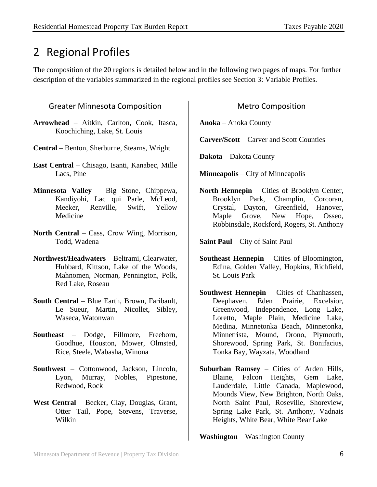## <span id="page-9-0"></span>2 Regional Profiles

The composition of the 20 regions is detailed below and in the following two pages of maps. For further description of the variables summarized in the regional profiles see Section 3: Variable Profiles.

#### <span id="page-9-1"></span>Greater Minnesota Composition

- **Arrowhead** Aitkin, Carlton, Cook, Itasca, Koochiching, Lake, St. Louis
- **Central** Benton, Sherburne, Stearns, Wright
- **East Central** Chisago, Isanti, Kanabec, Mille Lacs, Pine
- **Minnesota Valley** Big Stone, Chippewa, Kandiyohi, Lac qui Parle, McLeod, Meeker, Renville, Swift, Yellow Medicine
- **North Central** Cass, Crow Wing, Morrison, Todd, Wadena
- **Northwest/Headwaters** Beltrami, Clearwater, Hubbard, Kittson, Lake of the Woods, Mahnomen, Norman, Pennington, Polk, Red Lake, Roseau
- **South Central** Blue Earth, Brown, Faribault, Le Sueur, Martin, Nicollet, Sibley, Waseca, Watonwan
- **Southeast** Dodge, Fillmore, Freeborn, Goodhue, Houston, Mower, Olmsted, Rice, Steele, Wabasha, Winona
- **Southwest** Cottonwood, Jackson, Lincoln, Lyon, Murray, Nobles, Pipestone, Redwood, Rock
- **West Central**  Becker, Clay, Douglas, Grant, Otter Tail, Pope, Stevens, Traverse, Wilkin

#### Metro Composition

<span id="page-9-2"></span>**Anoka** – Anoka County

**Carver/Scott** – Carver and Scott Counties

**Dakota** – Dakota County

**Minneapolis** – City of Minneapolis

**North Hennepin** – Cities of Brooklyn Center, Brooklyn Park, Champlin, Corcoran, Crystal, Dayton, Greenfield, Hanover, Maple Grove, New Hope, Osseo, Robbinsdale, Rockford, Rogers, St. Anthony

**Saint Paul** – City of Saint Paul

- **Southeast Hennepin** Cities of Bloomington, Edina, Golden Valley, Hopkins, Richfield, St. Louis Park
- **Southwest Hennepin** Cities of Chanhassen, Deephaven, Eden Prairie, Excelsior, Greenwood, Independence, Long Lake, Loretto, Maple Plain, Medicine Lake, Medina, Minnetonka Beach, Minnetonka, Minnetrista, Mound, Orono, Plymouth, Shorewood, Spring Park, St. Bonifacius, Tonka Bay, Wayzata, Woodland
- **Suburban Ramsey** Cities of Arden Hills, Blaine, Falcon Heights, Gem Lake, Lauderdale, Little Canada, Maplewood, Mounds View, New Brighton, North Oaks, North Saint Paul, Roseville, Shoreview, Spring Lake Park, St. Anthony, Vadnais Heights, White Bear, White Bear Lake

**Washington** – Washington County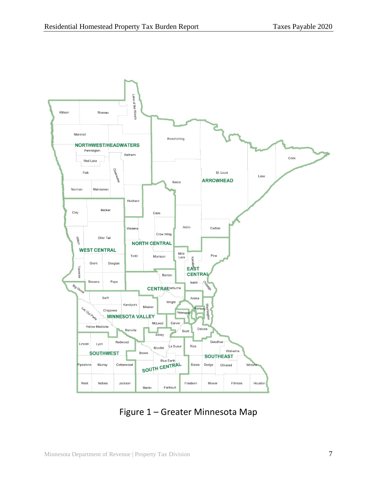

Figure 1 – Greater Minnesota Map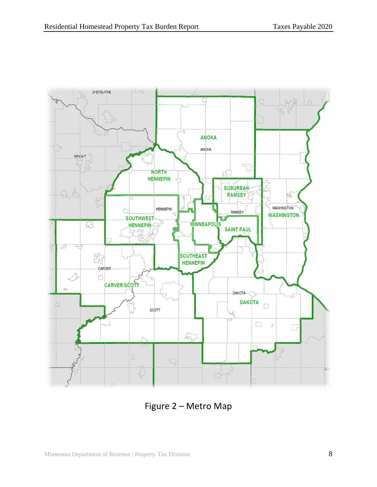

Figure 2 – Metro Map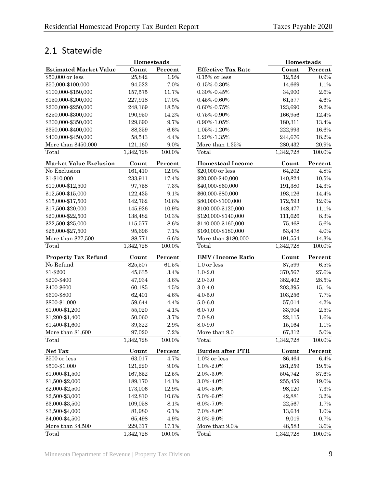## <span id="page-12-0"></span>2.1 Statewide

|                               | Homesteads |         |                           | <b>Homesteads</b> |         |
|-------------------------------|------------|---------|---------------------------|-------------------|---------|
| <b>Estimated Market Value</b> | Count      | Percent | <b>Effective Tax Rate</b> | Count             | Percent |
| \$50,000 or less              | 25,842     | $1.9\%$ | $0.15\%$ or less          | 12,524            | 0.9%    |
| \$50,000-\$100,000            | 94,522     | 7.0%    | $0.15\% - 0.30\%$         | 14,669            | 1.1%    |
| \$100,000-\$150,000           | 157,575    | 11.7%   | $0.30\% - 0.45\%$         | 34,900            | 2.6%    |
| \$150,000-\$200,000           | 227,918    | 17.0%   | $0.45\% - 0.60\%$         | 61,577            | 4.6%    |
| \$200,000-\$250,000           | 248,169    | 18.5%   | $0.60\% - 0.75\%$         | 123,690           | 9.2%    |
| \$250,000-\$300,000           | 190,950    | 14.2%   | 0.75%-0.90%               | 166,956           | 12.4%   |
| \$300,000-\$350,000           | 129,690    | 9.7%    | 0.90%-1.05%               | 180,311           | 13.4%   |
| \$350,000-\$400,000           | 88,359     | 6.6%    | 1.05%-1.20%               | 222,993           | 16.6%   |
| \$400,000-\$450,000           | 58,543     | 4.4%    | 1.20%-1.35%               | 244,676           | 18.2%   |
| More than \$450,000           | 121,160    | $9.0\%$ | More than 1.35%           | 280,432           | 20.9%   |
| Total                         | 1,342,728  | 100.0%  | Total                     | 1,342,728         | 100.0%  |
| <b>Market Value Exclusion</b> | Count      | Percent | <b>Homestead Income</b>   | Count             | Percent |
| No Exclusion                  | 161,410    | 12.0%   | \$20,000 or less          | 64,202            | 4.8%    |
| \$1-\$10,000                  | 233,911    | 17.4%   | \$20,000-\$40,000         | 140,824           | 10.5%   |
| \$10,000-\$12,500             | 97,758     | 7.3%    | \$40,000-\$60,000         | 191,380           | 14.3%   |
| \$12,500-\$15,000             | 122,435    | 9.1%    | \$60,000-\$80,000         | 193,126           | 14.4%   |
| \$15,000-\$17,500             | 142,762    | 10.6%   | \$80,000-\$100,000        | 172,593           | 12.9%   |
| \$17,500-\$20,000             | 145,926    | 10.9%   | \$100,000-\$120,000       | 148,477           | 11.1%   |
| \$20,000-\$22,500             | 138,482    | 10.3%   | \$120,000-\$140,000       | 111,626           | 8.3%    |
| \$22,500-\$25,000             | 115,577    | 8.6%    | \$140,000-\$160,000       | 75,468            | 5.6%    |
| \$25,000-\$27,500             | 95,696     | 7.1%    | \$160,000-\$180,000       | 53,478            | 4.0%    |
| More than \$27,500            | 88,771     | $6.6\%$ | More than \$180,000       | 191,554           | 14.3%   |
| Total                         | 1,342,728  | 100.0%  | Total                     | 1,342,728         | 100.0%  |
| <b>Property Tax Refund</b>    | Count      | Percent | <b>EMV</b> / Income Ratio | Count             | Percent |
| No Refund                     | 825,507    | 61.5%   | 1.0 or less               | 87,599            | 6.5%    |
| \$1-\$200                     | 45,635     | 3.4%    | $1.0 - 2.0$               | 370,567           | 27.6%   |
| \$200-\$400                   | 47,934     | $3.6\%$ | $2.0 - 3.0$               | 382,402           | 28.5%   |
| \$400-\$600                   | 60,185     | 4.5%    | $3.0 - 4.0$               | 203,395           | 15.1%   |
| \$600-\$800                   | 62,401     | 4.6%    | $4.0 - 5.0$               | 103,256           | 7.7%    |
| \$800-\$1,000                 | 59,644     | 4.4%    | $5.0 - 6.0$               | 57,014            | 4.2%    |
| \$1,000-\$1,200               | 55,020     | 4.1%    | $6.0 - 7.0$               | 33,904            | 2.5%    |
| \$1,200-\$1,400               | 50,060     | 3.7%    | $7.0 - 8.0$               | 22,115            | 1.6%    |
| \$1,400-\$1,600               | 39,322     | 2.9%    | 8.0-9.0                   | 15,164            | 1.1%    |
| More than \$1,600             | 97,020     | $7.2\%$ | More than 9.0             | 67,312            | $5.0\%$ |
| Total                         | 1,342,728  | 100.0%  | Total                     | 1,342,728         | 100.0%  |
| Net Tax                       | Count      | Percent | <b>Burden after PTR</b>   | Count             | Percent |
| \$500 or less                 | 63,017     | 4.7%    | $1.0\%$ or less           | 86,464            | 6.4%    |
| \$500-\$1,000                 | 121,220    | 9.0%    | 1.0%-2.0%                 | 261,259           | 19.5%   |
| \$1,000-\$1,500               | 167,652    | 12.5%   | 2.0%-3.0%                 | 504,742           | 37.6%   |
| \$1,500-\$2,000               | 189,170    | 14.1%   | $3.0\% - 4.0\%$           | 255,459           | 19.0%   |
| \$2,000-\$2,500               | 173,006    | 12.9%   | 4.0%-5.0%                 | 98,120            | 7.3%    |
| \$2,500-\$3,000               | 142,810    | 10.6%   | $5.0\% - 6.0\%$           | 42,881            | 3.2%    |
| \$3,000-\$3,500               | 109,058    | 8.1%    | 6.0%-7.0%                 | 22,567            | 1.7%    |
| \$3,500-\$4,000               | 81,980     | 6.1%    | 7.0%-8.0%                 | 13,634            | 1.0%    |
| \$4,000-\$4,500               | 65,498     | 4.9%    | $8.0\% - 9.0\%$           | 9,019             | 0.7%    |
| More than \$4,500             | 229,317    | 17.1%   | More than 9.0%            | 48,583            | 3.6%    |
| Total                         | 1 342 728  | 100.0%  | Total                     | 1 342 728         | 100.0%  |

|                               | Homesteads |           |                           | Homesteads |           |
|-------------------------------|------------|-----------|---------------------------|------------|-----------|
| <b>Estimated Market Value</b> | Count      | Percent   | <b>Effective Tax Rate</b> | Count      | Percent   |
| \$50,000 or less              | 25,842     | 1.9%      | $0.15\%$ or less          | 12,524     | 0.9%      |
| \$50,000-\$100,000            | 94,522     | 7.0%      | $0.15\% - 0.30\%$         | 14,669     | 1.1%      |
| \$100,000-\$150,000           | 157,575    | 11.7%     | $0.30\% - 0.45\%$         | 34,900     | 2.6%      |
| \$150,000-\$200,000           | 227,918    | 17.0%     | $0.45\% - 0.60\%$         | 61,577     | 4.6%      |
| \$200,000-\$250,000           | 248,169    | 18.5%     | $0.60\% - 0.75\%$         | 123,690    | 9.2%      |
| \$250,000-\$300,000           | 190,950    | 14.2%     | $0.75\% - 0.90\%$         | 166,956    | 12.4%     |
| \$300,000-\$350,000           | 129,690    | 9.7%      | 0.90%-1.05%               | 180,311    | 13.4%     |
| \$350,000-\$400,000           | 88,359     | $6.6\%$   | 1.05%-1.20%               | 222,993    | 16.6%     |
| \$400,000-\$450,000           | 58,543     | 4.4%      | 1.20%-1.35%               | 244,676    | 18.2%     |
| More than \$450,000           | 121,160    | $9.0\%$   | More than 1.35%           | 280,432    | 20.9%     |
| Total                         | 1,342,728  | 100.0%    | Total                     | 1,342,728  | 100.0%    |
| <b>Market Value Exclusion</b> | Count      | Percent   | <b>Homestead Income</b>   | Count      | Percent   |
| No Exclusion                  | 161,410    | 12.0%     | \$20,000 or less          | 64,202     | 4.8%      |
| \$1-\$10,000                  | 233,911    | 17.4%     | \$20,000-\$40,000         | 140,824    | 10.5%     |
| \$10,000-\$12,500             | 97,758     | 7.3%      | \$40,000-\$60,000         | 191,380    | 14.3%     |
| \$12,500-\$15,000             | 122,435    | 9.1%      | \$60,000-\$80,000         | 193,126    | 14.4%     |
| \$15,000-\$17,500             | 142,762    | 10.6%     | \$80,000-\$100,000        | 172,593    | 12.9%     |
| \$17,500-\$20,000             | 145,926    | 10.9%     | \$100,000-\$120,000       | 148,477    | 11.1%     |
| \$20,000-\$22,500             | 138,482    | 10.3%     | \$120,000-\$140,000       | 111,626    | 8.3%      |
| \$22,500-\$25,000             | 115,577    | $8.6\%$   | \$140,000-\$160,000       | 75,468     | 5.6%      |
| \$25,000-\$27,500             | 95,696     | 7.1%      | \$160,000-\$180,000       | 53,478     | 4.0%      |
| More than \$27,500            | 88,771     | $6.6\%$   | More than \$180,000       | 191,554    | 14.3%     |
| Total                         | 1,342,728  | 100.0%    | Total                     | 1,342,728  | 100.0%    |
| <b>Property Tax Refund</b>    | Count      | Percent   | <b>EMV</b> / Income Ratio | Count      | Percent   |
| No Refund                     | 825,507    | $61.5\%$  | 1.0 or less               | 87,599     | $6.5\%$   |
| \$1-\$200                     | 45,635     | $3.4\%$   | $1.0 - 2.0$               | 370,567    | 27.6%     |
| \$200-\$400                   | 47,934     | $3.6\%$   | $2.0 - 3.0$               | 382,402    | $28.5\%$  |
| \$400-\$600                   | 60,185     | 4.5%      | $3.0 - 4.0$               | 203,395    | 15.1%     |
| \$600-\$800                   | 62,401     | 4.6%      | $4.0 - 5.0$               | 103,256    | 7.7%      |
| \$800-\$1,000                 | 59,644     | 4.4%      | $5.0 - 6.0$               | 57,014     | 4.2%      |
| \$1,000-\$1,200               | 55,020     | 4.1%      | $6.0 - 7.0$               | 33,904     | $2.5\%$   |
| \$1,200-\$1,400               | 50,060     | 3.7%      | $7.0 - 8.0$               | 22,115     | 1.6%      |
| \$1,400-\$1,600               | 39,322     | $2.9\%$   | 8.0-9.0                   | 15,164     | 1.1%      |
| More than \$1,600             | 97,020     | 7.2%      | More than 9.0             | 67,312     | 5.0%      |
| Total                         | 1,342,728  | 100.0%    | Total                     | 1,342,728  | $100.0\%$ |
| Net Tax                       | Count      | Percent   | <b>Burden after PTR</b>   | Count      | Percent   |
| \$500 or less                 | 63,017     | 4.7%      | $1.0\%$ or less           | 86,464     | $6.4\%$   |
| \$500-\$1,000                 | 121,220    | 9.0%      | 1.0%-2.0%                 | 261,259    | 19.5%     |
| \$1,000-\$1,500               | 167,652    | 12.5%     | 2.0%-3.0%                 | 504,742    | 37.6%     |
| \$1,500-\$2,000               | 189,170    | 14.1%     | 3.0%-4.0%                 | 255,459    | 19.0%     |
| \$2,000-\$2,500               | 173,006    | 12.9%     | 4.0%-5.0%                 | 98,120     | 7.3%      |
| \$2,500-\$3,000               | 142,810    | 10.6%     | 5.0%-6.0%                 | 42,881     | $3.2\%$   |
| \$3,000-\$3,500               | 109,058    | 8.1%      | 6.0%-7.0%                 | 22,567     | 1.7%      |
| \$3,500-\$4,000               | 81,980     | 6.1%      | 7.0%-8.0%                 | 13,634     | 1.0%      |
| \$4,000-\$4,500               | 65,498     | 4.9%      | 8.0%-9.0%                 | 9,019      | 0.7%      |
| More than \$4,500             | 229,317    | 17.1%     | More than 9.0%            | 48,583     | 3.6%      |
| Total                         | 1,342,728  | $100.0\%$ | Total                     | 1,342,728  | 100.0%    |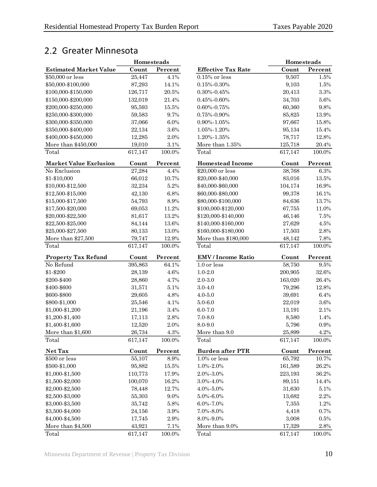## <span id="page-13-0"></span>2.2 Greater Minnesota

|                                      | <b>Homesteads</b> |              |
|--------------------------------------|-------------------|--------------|
| <b>Estimated Market Value</b>        | Count             | Percent      |
| \$50,000 or less                     | 25,447            | 4.1%         |
| \$50,000-\$100,000                   | 87,293            | 14.1%        |
| \$100,000-\$150,000                  | 126,717           | 20.5%        |
| \$150,000-\$200,000                  | 132,019           | 21.4%        |
| \$200,000-\$250,000                  | 95,593            | $15.5\%$     |
| \$250,000-\$300,000                  | 59,583            | 9.7%         |
| \$300,000-\$350,000                  | 37,066            | 6.0%         |
| \$350,000-\$400,000                  | 22,134            | 3.6%         |
| \$400,000-\$450,000                  | 12,285            | 2.0%         |
| More than \$450,000                  | 19,010            | 3.1%         |
| Total                                | 617,147           | 100.0%       |
| <b>Market Value Exclusion</b>        | Count             | Percent      |
| No Exclusion                         | 27,284            | 4.4%         |
| \$1-\$10,000                         | 66,012            | 10.7%        |
| \$10,000-\$12,500                    | 32,234            | 5.2%         |
| \$12,500-\$15,000                    | 42,130            | 6.8%         |
| \$15,000-\$17,500                    | 54,793            | 8.9%         |
| \$17,500-\$20,000                    | 69,053            | 11.2%        |
| \$20,000-\$22,500                    | 81,617            | 13.2%        |
| \$22,500-\$25,000                    | 84,144            | 13.6%        |
| \$25,000-\$27,500                    | 80,133            | 13.0%        |
| More than \$27,500                   | 79,747            | 12.9%        |
| Total                                | 617,147           | 100.0%       |
|                                      |                   |              |
|                                      |                   |              |
| <b>Property Tax Refund</b>           | Count             | Percent      |
| No Refund                            | 395,863           | 64.1%        |
| \$1-\$200                            | 28,139            | 4.6%         |
| \$200-\$400                          | 28,860            | 4.7%         |
| \$400-\$600                          | 31,571            | 5.1%         |
| \$600-\$800                          | 29,605            | 4.8%         |
| \$800-\$1,000                        | 25,546            | 4.1%         |
| \$1,000-\$1,200                      | 21,196            | 3.4%         |
| \$1,200-\$1,400                      | 17,113            | 2.8%         |
| \$1,400-\$1,600                      | 12,520            | 2.0%         |
| More than \$1,600                    | 26,734            | 4.3%         |
| Total                                | 617,147           | 100.0%       |
| Net Tax                              | Count             | Percent      |
| \$500 or less                        | 55,107            | 8.9%         |
| \$500-\$1,000                        | 95,882            | 15.5%        |
| \$1,000-\$1,500                      | 110,773           | 17.9%        |
| \$1,500-\$2,000                      | 100,070           | 16.2%        |
| \$2,000-\$2,500                      | 78,448            | 12.7%        |
| \$2,500-\$3,000                      | 55,303            | 9.0%         |
| \$3,000-\$3,500                      | 35,742            | 5.8%         |
| \$3,500-\$4,000                      | 24,156            |              |
|                                      |                   | 3.9%         |
| \$4,000-\$4,500<br>More than \$4,500 | 17,745<br>43,921  | 2.9%<br>7.1% |

|                               | <b>Homesteads</b> |           |                           | Homesteads |           |
|-------------------------------|-------------------|-----------|---------------------------|------------|-----------|
| <b>Estimated Market Value</b> | Count             | Percent   | <b>Effective Tax Rate</b> | Count      | Percent   |
| \$50,000 or less              | 25,447            | 4.1%      | $0.15\%$ or less          | 9,507      | 1.5%      |
| \$50,000-\$100,000            | 87,293            | 14.1%     | $0.15\% - 0.30\%$         | 9,103      | 1.5%      |
| \$100,000-\$150,000           | 126,717           | 20.5%     | $0.30\% - 0.45\%$         | 20,413     | 3.3%      |
| \$150,000-\$200,000           | 132,019           | 21.4%     | $0.45\% - 0.60\%$         | 34,703     | $5.6\%$   |
| \$200,000-\$250,000           | 95,593            | 15.5%     | $0.60\% - 0.75\%$         | 60,360     | $9.8\%$   |
| \$250,000-\$300,000           | 59,583            | 9.7%      | $0.75\% - 0.90\%$         | 85,825     | 13.9%     |
| \$300,000-\$350,000           | 37,066            | 6.0%      | $0.90\% - 1.05\%$         | 97,667     | 15.8%     |
| \$350,000-\$400,000           | 22,134            | $3.6\%$   | 1.05%-1.20%               | 95,134     | 15.4%     |
| \$400,000-\$450,000           | 12,285            | 2.0%      | 1.20%-1.35%               | 78,717     | 12.8%     |
| More than \$450,000           | 19,010            | 3.1%      | More than 1.35%           | 125,718    | 20.4%     |
| Total                         | 617,147           | 100.0%    | Total                     | 617,147    | 100.0%    |
| <b>Market Value Exclusion</b> | Count             | Percent   | <b>Homestead Income</b>   | Count      | Percent   |
| No Exclusion                  | 27,284            | 4.4%      | \$20,000 or less          | 38,768     | $6.3\%$   |
| \$1-\$10,000                  | 66,012            | 10.7%     | \$20,000-\$40,000         | 83,016     | $13.5\%$  |
| \$10,000-\$12,500             | 32,234            | 5.2%      | \$40,000-\$60,000         | 104,174    | $16.9\%$  |
| \$12,500-\$15,000             | 42,130            | 6.8%      | \$60,000-\$80,000         | 99,378     | 16.1%     |
| \$15,000-\$17,500             | 54,793            | 8.9%      | \$80,000-\$100,000        | 84,636     | 13.7%     |
| \$17,500-\$20,000             | 69,053            | 11.2%     | \$100,000-\$120,000       | 67,755     | 11.0%     |
| \$20,000-\$22,500             | 81,617            | 13.2%     | \$120,000-\$140,000       | 46,146     | 7.5%      |
| \$22,500-\$25,000             | 84,144            | 13.6%     | \$140,000-\$160,000       | 27,629     | $4.5\%$   |
| \$25,000-\$27,500             | 80,133            | 13.0%     | \$160,000-\$180,000       | 17,503     | $2.8\%$   |
| More than \$27,500            | 79,747            | 12.9%     | More than \$180,000       | 48,142     | 7.8%      |
| Total                         | 617,147           | $100.0\%$ | Total                     | 617,147    | $100.0\%$ |
| <b>Property Tax Refund</b>    | Count             | Percent   | <b>EMV</b> / Income Ratio | Count      | Percent   |
| No Refund                     | 395,863           | 64.1%     | 1.0 or less               | 58,750     | 9.5%      |
| \$1-\$200                     | 28,139            | 4.6%      | $1.0 - 2.0$               | 200,905    | 32.6%     |
| \$200-\$400                   | 28,860            | 4.7%      | $2.0 - 3.0$               | 163,020    | 26.4%     |
| \$400-\$600                   | 31,571            | 5.1%      | $3.0 - 4.0$               | 79,296     | 12.8%     |
| \$600-\$800                   | 29,605            | 4.8%      | $4.0 - 5.0$               | 39,691     | 6.4%      |
| \$800-\$1,000                 | 25,546            | 4.1%      | $5.0 - 6.0$               | 22,019     | 3.6%      |
| \$1,000-\$1,200               | 21,196            | $3.4\%$   | $6.0 - 7.0$               | 13,191     | 2.1%      |
| \$1,200-\$1,400               | 17,113            | $2.8\%$   | $7.0 - 8.0$               | 8,580      | 1.4%      |
| \$1,400-\$1,600               | 12,520            | 2.0%      | 8.0-9.0                   | 5,796      | 0.9%      |
| More than \$1,600             | 26,734            | 4.3%      | More than 9.0             | 25,899     | 4.2%      |
| Total                         | 617,147           | 100.0%    | Total                     | 617,147    | 100.0%    |
| Net Tax                       | Count             | Percent   | <b>Burden after PTR</b>   | Count      | Percent   |
| \$500 or less                 | 55,107            | 8.9%      | 1.0% or less              | 65,792     | 10.7%     |
| \$500-\$1,000                 | 95,882            | 15.5%     | 1.0%-2.0%                 | 161,589    | 26.2%     |
| \$1,000-\$1,500               | 110,773           | 17.9%     | 2.0%-3.0%                 | 223,193    | 36.2%     |
| \$1,500-\$2,000               | 100,070           | 16.2%     | 3.0%-4.0%                 | 89,151     | 14.4%     |
| \$2,000-\$2,500               | 78,448            | 12.7%     | 4.0%-5.0%                 | 31,630     | $5.1\%$   |
| \$2,500-\$3,000               | 55,303            | 9.0%      | 5.0%-6.0%                 | 13,682     | $2.2\%$   |
| \$3,000-\$3,500               | 35,742            | 5.8%      | 6.0%-7.0%                 | 7,355      | 1.2%      |
| \$3,500-\$4,000               | 24,156            | 3.9%      | 7.0%-8.0%                 | 4,418      | 0.7%      |
| \$4,000-\$4,500               | 17,745            | $2.9\%$   | 8.0%-9.0%                 | 3,008      | $0.5\%$   |
| More than \$4,500             | 43,921            | 7.1%      | More than 9.0%            | 17,329     | $2.8\%$   |
| Total                         | 617,147           | 100.0%    | Total                     | 617,147    | 100.0%    |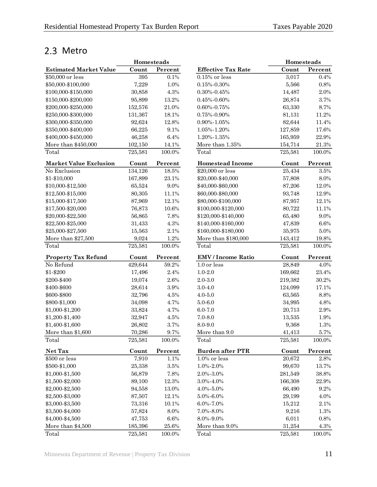## <span id="page-14-0"></span>2.3 Metro

|                               | <b>Homesteads</b> |           |                           |         | <b>Homesteads</b> |
|-------------------------------|-------------------|-----------|---------------------------|---------|-------------------|
| <b>Estimated Market Value</b> | Count             | Percent   | <b>Effective Tax Rate</b> | Count   | Percent           |
| \$50,000 or less              | 395               | 0.1%      | $0.15\%$ or less          | 3,017   | 0.4%              |
| \$50,000-\$100,000            | 7,229             | 1.0%      | $0.15\% - 0.30\%$         | 5,566   | 0.8%              |
| \$100,000-\$150,000           | 30,858            | 4.3%      | $0.30\% - 0.45\%$         | 14,487  | 2.0%              |
| \$150,000-\$200,000           | 95,899            | 13.2%     | $0.45\% - 0.60\%$         | 26,874  | 3.7%              |
| \$200,000-\$250,000           | 152,576           | 21.0%     | $0.60\% - 0.75\%$         | 63,330  | 8.7%              |
| \$250,000-\$300,000           | 131,367           | 18.1%     | $0.75\%$ - $0.90\%$       | 81,131  | 11.2%             |
| \$300,000-\$350,000           | 92,624            | 12.8%     | 0.90%-1.05%               | 82,644  | 11.4%             |
| \$350,000-\$400,000           | 66,225            | 9.1%      | 1.05%-1.20%               | 127,859 | 17.6%             |
| \$400,000-\$450,000           | 46,258            | 6.4%      | 1.20%-1.35%               | 165,959 | 22.9%             |
| More than \$450,000           | 102,150           | 14.1%     | More than 1.35%           | 154,714 | 21.3%             |
| Total                         | 725,581           | $100.0\%$ | Total                     | 725,581 | 100.0%            |
| <b>Market Value Exclusion</b> | Count             | Percent   | <b>Homestead Income</b>   | Count   | Percent           |
| No Exclusion                  | 134,126           | 18.5%     | \$20,000 or less          | 25,434  | 3.5%              |
| \$1-\$10,000                  | 167,899           | 23.1%     | \$20,000-\$40,000         | 57,808  | 8.0%              |
| \$10,000-\$12,500             | 65,524            | 9.0%      | \$40,000-\$60,000         | 87,206  | 12.0%             |
| \$12,500-\$15,000             | 80,305            | 11.1%     | \$60,000-\$80,000         | 93,748  | 12.9%             |
| \$15,000-\$17,500             | 87,969            | 12.1%     | \$80,000-\$100,000        | 87,957  | 12.1%             |
| \$17,500-\$20,000             | 76,873            | 10.6%     | \$100,000-\$120,000       | 80,722  | 11.1%             |
| \$20,000-\$22,500             | 56,865            | 7.8%      | \$120,000-\$140,000       | 65,480  | 9.0%              |
| \$22,500-\$25,000             | 31,433            | 4.3%      | \$140,000-\$160,000       | 47,839  | 6.6%              |
| \$25,000-\$27,500             | 15,563            | 2.1%      | \$160,000-\$180,000       | 35,975  | 5.0%              |
| More than \$27,500            | 9,024             | 1.2%      | More than \$180,000       | 143,412 | 19.8%             |
| Total                         | 725,581           | 100.0%    | Total                     | 725,581 | 100.0%            |
| <b>Property Tax Refund</b>    | Count             | Percent   | <b>EMV</b> / Income Ratio | Count   | Percent           |
| No Refund                     | 429,644           | 59.2%     | 1.0 or less               | 28,849  | 4.0%              |
| \$1-\$200                     | 17,496            | 2.4%      | $1.0 - 2.0$               | 169,662 | 23.4%             |
| \$200-\$400                   | 19,074            | 2.6%      | $2.0 - 3.0$               | 219,382 | 30.2%             |
| \$400-\$600                   | 28,614            | $3.9\%$   | $3.0 - 4.0$               | 124,099 | 17.1%             |
| \$600-\$800                   | 32,796            | 4.5%      | $4.0 - 5.0$               | 63,565  | 8.8%              |
| \$800-\$1,000                 | 34,098            | 4.7%      | $5.0 - 6.0$               | 34,995  | 4.8%              |
| \$1,000-\$1,200               | 33,824            | 4.7%      | $6.0 - 7.0$               | 20,713  | 2.9%              |
| \$1,200-\$1,400               | 32,947            | 4.5%      | $7.0 - 8.0$               | 13,535  | 1.9%              |
| \$1,400-\$1,600               | 26,802            | 3.7%      | 8.0-9.0                   | 9,368   | 1.3%              |
| More than \$1,600             | 70,286            | 9.7%      | More than 9.0             | 41,413  | 5.7%              |
| Total                         | 725,581           | 100.0%    | Total                     | 725,581 | 100.0%            |
| Net Tax                       | Count             | Percent   | <b>Burden after PTR</b>   | Count   | Percent           |
| \$500 or less                 | 7,910             | 1.1%      | $1.0\%$ or less           | 20,672  | 2.8%              |
| \$500-\$1,000                 | 25,338            | 3.5%      | 1.0%-2.0%                 | 99,670  | 13.7%             |
| \$1,000-\$1,500               | 56,879            | 7.8%      | 2.0%-3.0%                 | 281,549 | 38.8%             |
| \$1,500-\$2,000               | 89,100            | 12.3%     | 3.0%-4.0%                 | 166,308 | 22.9%             |
| \$2,000-\$2,500               | 94,558            | 13.0%     | 4.0%-5.0%                 | 66,490  | 9.2%              |
| \$2,500-\$3,000               | 87,507            | 12.1%     | $5.0\% - 6.0\%$           | 29,199  | 4.0%              |
| \$3,000-\$3,500               | 73,316            | 10.1%     | $6.0\% - 7.0\%$           | 15,212  | 2.1%              |
| \$3,500-\$4,000               | 57,824            | 8.0%      | 7.0%-8.0%                 | 9,216   | 1.3%              |
| \$4,000-\$4,500               | 47,753            | 6.6%      | 8.0%-9.0%                 | 6,011   | 0.8%              |
| More than \$4,500             | 185,396           | $25.6\%$  | More than 9.0%            | 31,254  | 4.3%              |
| Total                         | 725 581           | 100.0%    | Total                     | 725 581 | 100.0%            |

|                               | <b>Homesteads</b> |           |                           | Homesteads |           |
|-------------------------------|-------------------|-----------|---------------------------|------------|-----------|
| <b>Estimated Market Value</b> | Count             | Percent   | <b>Effective Tax Rate</b> | Count      | Percent   |
| \$50,000 or less              | 395               | 0.1%      | $0.15\%$ or less          | 3,017      | 0.4%      |
| \$50,000-\$100,000            | 7,229             | 1.0%      | $0.15\% - 0.30\%$         | 5,566      | 0.8%      |
| \$100,000-\$150,000           | 30,858            | 4.3%      | $0.30\% - 0.45\%$         | 14,487     | $2.0\%$   |
| \$150,000-\$200,000           | 95,899            | 13.2%     | $0.45\% - 0.60\%$         | 26,874     | 3.7%      |
| \$200,000-\$250,000           | 152,576           | 21.0%     | $0.60\% - 0.75\%$         | 63,330     | 8.7%      |
| \$250,000-\$300,000           | 131,367           | 18.1%     | $0.75\% - 0.90\%$         | 81,131     | 11.2%     |
| \$300,000-\$350,000           | 92,624            | 12.8%     | 0.90%-1.05%               | 82,644     | 11.4%     |
| \$350,000-\$400,000           | 66,225            | 9.1%      | 1.05%-1.20%               | 127,859    | 17.6%     |
| \$400,000-\$450,000           | 46,258            | 6.4%      | 1.20%-1.35%               | 165,959    | 22.9%     |
| More than \$450,000           | 102,150           | 14.1%     | More than 1.35%           | 154,714    | $21.3\%$  |
| Total                         | 725,581           | 100.0%    | Total                     | 725,581    | 100.0%    |
| <b>Market Value Exclusion</b> | Count             | Percent   | <b>Homestead Income</b>   | Count      | Percent   |
| No Exclusion                  | 134,126           | 18.5%     | \$20,000 or less          | 25,434     | 3.5%      |
| \$1-\$10,000                  | 167,899           | 23.1%     | \$20,000-\$40,000         | 57,808     | 8.0%      |
| \$10,000-\$12,500             | 65,524            | $9.0\%$   | \$40,000-\$60,000         | 87,206     | 12.0%     |
| \$12,500-\$15,000             | 80,305            | 11.1%     | \$60,000-\$80,000         | 93,748     | 12.9%     |
| \$15,000-\$17,500             | 87,969            | 12.1%     | \$80,000-\$100,000        | 87,957     | 12.1%     |
| \$17,500-\$20,000             | 76,873            | 10.6%     | \$100,000-\$120,000       | 80,722     | 11.1%     |
| \$20,000-\$22,500             | 56,865            | 7.8%      | \$120,000-\$140,000       | 65,480     | 9.0%      |
| \$22,500-\$25,000             | 31,433            | 4.3%      | \$140,000-\$160,000       | 47,839     | $6.6\%$   |
| \$25,000-\$27,500             | 15,563            | 2.1%      | \$160,000-\$180,000       | 35,975     | $5.0\%$   |
| More than \$27,500            | 9,024             | 1.2%      | More than \$180,000       | 143,412    | 19.8%     |
| Total                         | 725,581           | 100.0%    | Total                     | 725,581    | 100.0%    |
| <b>Property Tax Refund</b>    | Count             | Percent   | <b>EMV</b> / Income Ratio | Count      | Percent   |
| No Refund                     | 429,644           | $59.2\%$  | 1.0 or less               | 28,849     | 4.0%      |
| \$1-\$200                     | 17,496            | $2.4\%$   | $1.0 - 2.0$               | 169,662    | 23.4%     |
| \$200-\$400                   | 19,074            | $2.6\%$   | $2.0 - 3.0$               | 219,382    | $30.2\%$  |
| \$400-\$600                   | 28,614            | $3.9\%$   | $3.0 - 4.0$               | 124,099    | 17.1%     |
| \$600-\$800                   | 32,796            | 4.5%      | $4.0 - 5.0$               | 63,565     | 8.8%      |
| \$800-\$1,000                 | 34,098            | 4.7%      | $5.0 - 6.0$               | 34,995     | 4.8%      |
| \$1,000-\$1,200               | 33,824            | 4.7%      | $6.0 - 7.0$               | 20,713     | 2.9%      |
| \$1,200-\$1,400               | 32,947            | 4.5%      | $7.0 - 8.0$               | 13,535     | 1.9%      |
| \$1,400-\$1,600               | 26,802            | 3.7%      | 8.0-9.0                   | 9,368      | 1.3%      |
| More than \$1,600             | 70,286            | $9.7\%$   | More than 9.0             | 41,413     | 5.7%      |
| Total                         | 725,581           | 100.0%    | Total                     | 725,581    | 100.0%    |
| Net Tax                       | Count             | Percent   | <b>Burden after PTR</b>   | Count      | Percent   |
| \$500 or less                 | 7,910             | 1.1%      | 1.0% or less              | 20,672     | $2.8\%$   |
| \$500-\$1,000                 | 25,338            | 3.5%      | 1.0%-2.0%                 | 99,670     | 13.7%     |
| \$1,000-\$1,500               | 56,879            | 7.8%      | 2.0%-3.0%                 | 281,549    | 38.8%     |
| \$1,500-\$2,000               | 89,100            | 12.3%     | 3.0%-4.0%                 | 166,308    | 22.9%     |
| \$2,000-\$2,500               | 94,558            | 13.0%     | $4.0\% - 5.0\%$           | 66,490     | $9.2\%$   |
| \$2,500-\$3,000               | 87,507            | 12.1%     | 5.0%-6.0%                 | 29,199     | 4.0%      |
| \$3,000-\$3,500               | 73,316            | 10.1%     | $6.0\% - 7.0\%$           | 15,212     | 2.1%      |
| \$3,500-\$4,000               | 57,824            | 8.0%      | 7.0%-8.0%                 | 9,216      | 1.3%      |
| \$4,000-\$4,500               | 47,753            | $6.6\%$   | 8.0%-9.0%                 | 6,011      | 0.8%      |
| More than \$4,500             | 185,396           | 25.6%     | More than 9.0%            | 31,254     | 4.3%      |
| Total                         | 725,581           | $100.0\%$ | Total                     | 725,581    | $100.0\%$ |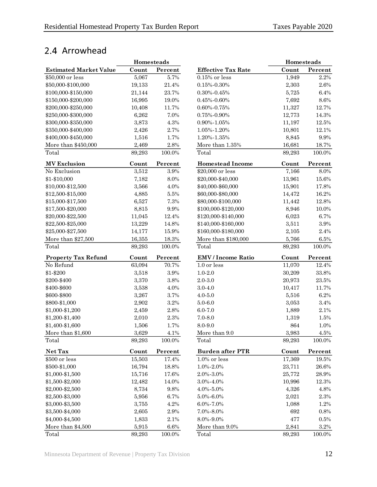## <span id="page-15-0"></span>2.4 Arrowhead

|                               | Homesteads |         |                           | Homesteads |           |
|-------------------------------|------------|---------|---------------------------|------------|-----------|
| <b>Estimated Market Value</b> | Count      | Percent | <b>Effective Tax Rate</b> | Count      | Percent   |
| \$50,000 or less              | 5,067      | 5.7%    | $0.15\%$ or less          | 1,949      | 2.2%      |
| \$50,000-\$100,000            | 19,133     | 21.4%   | $0.15\% - 0.30\%$         | 2,303      | $2.6\%$   |
| \$100,000-\$150,000           | 21,144     | 23.7%   | $0.30\% - 0.45\%$         | 5,725      | 6.4%      |
| \$150,000-\$200,000           | 16,995     | 19.0%   | $0.45\% - 0.60\%$         | 7,692      | $8.6\%$   |
| \$200,000-\$250,000           | 10,408     | 11.7%   | $0.60\% - 0.75\%$         | 11,327     | 12.7%     |
| \$250,000-\$300,000           | 6,262      | 7.0%    | 0.75%-0.90%               | 12,773     | 14.3%     |
| \$300,000-\$350,000           | 3,873      | 4.3%    | $0.90\% - 1.05\%$         | 11,197     | 12.5%     |
| \$350,000-\$400,000           | 2,426      | 2.7%    | 1.05%-1.20%               | 10,801     | 12.1%     |
| \$400,000-\$450,000           | 1,516      | 1.7%    | 1.20%-1.35%               | 8,845      | $9.9\%$   |
| More than \$450,000           | 2,469      | $2.8\%$ | More than 1.35%           | 16,681     | 18.7%     |
| Total                         | 89,293     | 100.0%  | Total                     | 89,293     | 100.0%    |
| <b>MV</b> Exclusion           | Count      | Percent | <b>Homestead Income</b>   | Count      | Percent   |
| No Exclusion                  | 3,512      | $3.9\%$ | \$20,000 or less          | 7,166      | 8.0%      |
| \$1-\$10,000                  | 7,182      | 8.0%    | \$20,000-\$40,000         | 13,961     | $15.6\%$  |
| \$10,000-\$12,500             | 3,566      | 4.0%    | \$40,000-\$60,000         | 15,901     | 17.8%     |
| \$12,500-\$15,000             | 4,885      | $5.5\%$ | \$60,000-\$80,000         | 14,472     | 16.2%     |
| \$15,000-\$17,500             | 6,527      | 7.3%    | \$80,000-\$100,000        | 11,442     | 12.8%     |
| \$17,500-\$20,000             | 8,815      | 9.9%    | \$100,000-\$120,000       | 8,946      | 10.0%     |
| \$20,000-\$22,500             | 11,045     | 12.4%   | \$120,000-\$140,000       | 6,023      | 6.7%      |
| \$22,500-\$25,000             | 13,229     | 14.8%   | \$140,000-\$160,000       | 3,511      | $3.9\%$   |
| \$25,000-\$27,500             | 14,177     | 15.9%   | \$160,000-\$180,000       | 2,105      | 2.4%      |
| More than \$27,500            | 16,355     | 18.3%   | More than \$180,000       | 5,766      | 6.5%      |
| Total                         | 89,293     | 100.0%  | Total                     | 89,293     | 100.0%    |
| <b>Property Tax Refund</b>    | Count      | Percent | <b>EMV</b> / Income Ratio | Count      | Percent   |
| No Refund                     | 63,094     | 70.7%   | 1.0 or less               | 11,070     | 12.4%     |
| \$1-\$200                     | 3,518      | $3.9\%$ | $1.0 - 2.0$               | 30,209     | 33.8%     |
| \$200-\$400                   | 3,370      | 3.8%    | $2.0 - 3.0$               | 20,973     | 23.5%     |
| \$400-\$600                   | 3,538      | 4.0%    | $3.0 - 4.0$               | 10,417     | 11.7%     |
| \$600-\$800                   | 3,267      | 3.7%    | $4.0 - 5.0$               | 5,516      | 6.2%      |
| \$800-\$1,000                 | 2,902      | 3.2%    | $5.0 - 6.0$               | 3,053      | 3.4%      |
| \$1,000-\$1,200               | 2,459      | 2.8%    | $6.0 - 7.0$               | 1,889      | $2.1\%$   |
| \$1,200-\$1,400               | 2,010      | 2.3%    | $7.0 - 8.0$               | 1,319      | 1.5%      |
| \$1,400-\$1,600               | 1,506      | 1.7%    | 8.0-9.0                   | 864        | 1.0%      |
| More than \$1,600             | 3,629      | $4.1\%$ | More than 9.0             | 3,983      | $4.5\%$   |
| Total                         | 89,293     | 100.0%  | Total                     | 89,293     | 100.0%    |
| Net Tax                       | Count      | Percent | <b>Burden after PTR</b>   | Count      | Percent   |
| \$500 or less                 | 15,503     | 17.4%   | 1.0% or less              | 17,369     | 19.5%     |
| \$500-\$1,000                 | 16,794     | 18.8%   | $1.0\% - 2.0\%$           | 23,711     | $26.6\%$  |
| \$1,000-\$1,500               | 15,716     | 17.6%   | 2.0%-3.0%                 | 25,772     | 28.9%     |
| \$1,500-\$2,000               | 12,482     | 14.0%   | 3.0%-4.0%                 | 10,996     | 12.3%     |
| \$2,000-\$2,500               | 8,734      | $9.8\%$ | 4.0%-5.0%                 | 4,326      | $4.8\%$   |
| \$2,500-\$3,000               | 5,956      | $6.7\%$ | $5.0\% - 6.0\%$           | 2,021      | $2.3\%$   |
| \$3,000-\$3,500               | 3,755      | 4.2%    | $6.0\% - 7.0\%$           | 1,088      | 1.2%      |
| \$3,500-\$4,000               | 2,605      | $2.9\%$ | 7.0%-8.0%                 | 692        | $0.8\%$   |
| \$4,000-\$4,500               | 1,833      | $2.1\%$ | 8.0%-9.0%                 | 477        | $0.5\%$   |
| More than \$4,500             | 5,915      | $6.6\%$ | More than $9.0\%$         | 2,841      | $3.2\%$   |
| Total                         | 89,293     | 100.0%  | Total                     | 89,293     | $100.0\%$ |

|                           | <b>Homesteads</b> |         |
|---------------------------|-------------------|---------|
| <b>Effective Tax Rate</b> | Count             | Percent |
| $0.15\%$ or less          | 1,949             | 2.2%    |
| 0.15%-0.30%               | 2,303             | 2.6%    |
| $0.30\% - 0.45\%$         | 5,725             | 6.4%    |
| $0.45\% - 0.60\%$         | 7,692             | 8.6%    |
| 0.60%-0.75%               | 11,327            | 12.7%   |
| 0.75%-0.90%               | 12,773            | 14.3%   |
| 0.90%-1.05%               | 11,197            | 12.5%   |
| 1.05%-1.20%               | 10,801            | 12.1%   |
| 1.20%-1.35%               | 8,845             | 9.9%    |
| More than $1.35\%$        | 16,681            | 18.7%   |
| Total                     | 89,293            | 100.0%  |
| <b>Homestead Income</b>   | Count             | Percent |
| \$20,000 or less          | 7,166             | 8.0%    |
| \$20,000-\$40,000         | 13,961            | 15.6%   |
| \$40,000-\$60,000         | 15,901            | 17.8%   |
| \$60,000-\$80,000         | 14,472            | 16.2%   |
| \$80,000-\$100,000        | 11,442            | 12.8%   |
| \$100,000-\$120,000       | 8,946             | 10.0%   |
| \$120,000-\$140,000       | 6,023             | 6.7%    |
| \$140,000-\$160,000       | 3,511             | 3.9%    |
| \$160,000-\$180,000       | 2,105             | 2.4%    |
| More than \$180,000       | 5,766             | $6.5\%$ |
| Total                     | 89,293            | 100.0%  |
| <b>EMV</b> / Income Ratio | Count             | Percent |
| 1.0 or less               | 11,070            | 12.4%   |
| $1.0 - 2.0$               | 30,209            | 33.8%   |
| $2.0 - 3.0$               | 20,973            | 23.5%   |
| $3.0 - 4.0$               | 10,417            | 11.7%   |
| $4.0 - 5.0$               | 5,516             | 6.2%    |
| $5.0 - 6.0$               | 3,053             | 3.4%    |
| $6.0 - 7.0$               | 1,889             | 2.1%    |
| $7.0 - 8.0$               | 1,319             | 1.5%    |
| 8.0-9.0                   | 864               | 1.0%    |
| More than 9.0             | 3,983             | 4.5%    |
| Total                     | 89,293            | 100.0%  |
| <b>Burden after PTR</b>   | Count             | Percent |
| $1.0\%$ or less           | 17,369            | 19.5%   |
| 1.0%-2.0%                 | 23,711            | 26.6%   |
| 2.0%-3.0%                 | $25,\!772$        | 28.9%   |
| 3.0%-4.0%                 | 10,996            | 12.3%   |
| 4.0%-5.0%                 | 4,326             | 4.8%    |
| 5.0%-6.0%                 | 2,021             | 2.3%    |
| $6.0\% - 7.0\%$           | 1,088             | 1.2%    |
| 7.0%-8.0%                 | 692               | 0.8%    |
| 8.0%-9.0%                 | 477               | $0.5\%$ |
| More than 9.0%            | 2,841             | $3.2\%$ |
| Total                     | 89.293            | 100.0%  |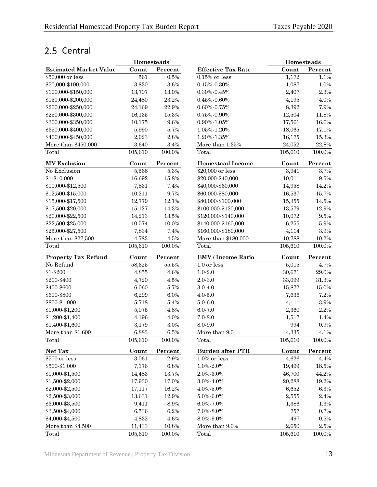## <span id="page-16-0"></span>2.5 Central

|                               | Homesteads |           |                           |           | Homesteads |
|-------------------------------|------------|-----------|---------------------------|-----------|------------|
| <b>Estimated Market Value</b> | Count      | Percent   | <b>Effective Tax Rate</b> | Count     | Percent    |
| \$50,000 or less              | 561        | 0.5%      | $0.15\%$ or less          | 1,172     | 1.1%       |
| \$50,000-\$100,000            | 3,830      | 3.6%      | $0.15\% - 0.30\%$         | 1,087     | 1.0%       |
| \$100,000-\$150,000           | 13,707     | $13.0\%$  | $0.30\% - 0.45\%$         | 2,407     | $2.3\%$    |
| \$150,000-\$200,000           | 24,480     | 23.2%     | $0.45\% - 0.60\%$         | 4,195     | 4.0%       |
| \$200,000-\$250,000           | 24,169     | 22.9%     | $0.60\% - 0.75\%$         | 8,392     | 7.9%       |
| \$250,000-\$300,000           | 16,135     | 15.3%     | $0.75\% - 0.90\%$         | 12,504    | 11.8%      |
| \$300,000-\$350,000           | 10,175     | 9.6%      | $0.90\% - 1.05\%$         | 17,561    | 16.6%      |
| \$350,000-\$400,000           | 5,990      | 5.7%      | 1.05%-1.20%               | 18,065    | 17.1%      |
| \$400,000-\$450,000           | 2,923      | 2.8%      | 1.20%-1.35%               | 16,175    | 15.3%      |
| More than \$450,000           | 3,640      | $3.4\%$   | More than $1.35\%$        | 24,052    | 22.8%      |
| Total                         | 105,610    | 100.0%    | Total                     | 105,610   | 100.0%     |
| <b>MV Exclusion</b>           | Count      | Percent   | <b>Homestead Income</b>   | Count     | Percent    |
| No Exclusion                  | 5,566      | $5.3\%$   | \$20,000 or less          | 3,941     | 3.7%       |
| \$1-\$10,000                  | 16,692     | 15.8%     | \$20,000-\$40,000         | 10,011    | $9.5\%$    |
| \$10,000-\$12,500             | 7,831      | 7.4%      | \$40,000-\$60,000         | 14,958    | 14.2%      |
| \$12,500-\$15,000             | 10,211     | 9.7%      | \$60,000-\$80,000         | 16,537    | 15.7%      |
| \$15,000-\$17,500             | 12,779     | $12.1\%$  | \$80,000-\$100,000        | 15,355    | 14.5%      |
| \$17,500-\$20,000             | 15,127     | 14.3%     | \$100,000-\$120,000       | 13,579    | 12.9%      |
| \$20,000-\$22,500             | 14,213     | 13.5%     | \$120,000-\$140,000       | 10,072    | $9.5\%$    |
| \$22,500-\$25,000             | 10,574     | 10.0%     | \$140,000-\$160,000       | 6,255     | $5.9\%$    |
| \$25,000-\$27,500             | 7,834      | 7.4%      | \$160,000-\$180,000       | 4,114     | $3.9\%$    |
| More than $$27,500$           | 4,783      | $4.5\%$   | More than \$180,000       | 10,788    | 10.2%      |
| Total                         | 105,610    | 100.0%    | Total                     | 105,610   | 100.0%     |
| <b>Property Tax Refund</b>    | Count      | Percent   | <b>EMV</b> / Income Ratio | Count     | Percent    |
| No Refund                     | 58,625     | $55.5\%$  | 1.0 or less               | 5,015     | 4.7%       |
| \$1-\$200                     | 4,855      | 4.6%      | $1.0 - 2.0$               | 30,671    | 29.0%      |
| \$200-\$400                   | 4,720      | 4.5%      | $2.0 - 3.0$               | 33,099    | $31.3\%$   |
| \$400-\$600                   | 6,060      | 5.7%      | $3.0 - 4.0$               | 15,872    | 15.0%      |
| \$600-\$800                   | 6,299      | 6.0%      | $4.0 - 5.0$               | 7,636     | 7.2%       |
| \$800-\$1,000                 | 5,718      | 5.4%      | $5.0 - 6.0$               | 4,111     | $3.9\%$    |
| \$1,000-\$1,200               | 5,075      | 4.8%      | $6.0 - 7.0$               | 2,360     | 2.2%       |
| \$1,200-\$1,400               | 4,196      | 4.0%      | $7.0 - 8.0$               | 1,517     | 1.4%       |
| \$1,400-\$1,600               | 3,179      | $3.0\%$   | 8.0-9.0                   | 994       | $0.9\%$    |
| More than \$1,600             | 6,883      | $6.5\%$   | More than 9.0             | $4,\!335$ | $4.1\%$    |
| Total                         | 105,610    | 100.0%    | Total                     | 105,610   | 100.0%     |
| Net Tax                       | Count      | Percent   | <b>Burden after PTR</b>   | Count     | Percent    |
| \$500 or less                 | 3,061      | $2.9\%$   | $1.0\%$ or less           | 4,626     | 4.4%       |
| \$500-\$1,000                 | 7,176      | $6.8\%$   | 1.0%-2.0%                 | 19,499    | 18.5%      |
| \$1,000-\$1,500               | 14,483     | 13.7%     | 2.0%-3.0%                 | 46,700    | 44.2%      |
| \$1,500-\$2,000               | 17,930     | 17.0%     | 3.0%-4.0%                 | 20,288    | 19.2%      |
| \$2,000-\$2,500               | 17,117     | 16.2%     | $4.0\% - 5.0\%$           | 6,652     | $6.3\%$    |
| \$2,500-\$3,000               | 13,631     | 12.9%     | 5.0%-6.0%                 | 2,555     | $2.4\%$    |
| \$3,000-\$3,500               | 9,411      | $8.9\%$   | 6.0%-7.0%                 | 1,386     | 1.3%       |
| \$3,500-\$4,000               | 6,536      | 6.2%      | 7.0%-8.0%                 | 757       | 0.7%       |
| \$4,000-\$4,500               | 4,832      | $4.6\%$   | 8.0%-9.0%                 | 497       | 0.5%       |
| More than \$4,500             | 11,433     | 10.8%     | More than 9.0%            | 2,650     | 2.5%       |
| Total                         | 105,610    | $100.0\%$ | Total                     | 105,610   | $100.0\%$  |

|                               | <b>Homesteads</b> |          |                           | <b>Homesteads</b> |                                              |
|-------------------------------|-------------------|----------|---------------------------|-------------------|----------------------------------------------|
| <b>Estimated Market Value</b> | Count             | Percent  | <b>Effective Tax Rate</b> | Count             | Percent                                      |
| \$50,000 or less              | 561               | $0.5\%$  | $0.15\%$ or less          | 1,172             | 1.1%                                         |
| \$50,000-\$100,000            | 3,830             | $3.6\%$  | $0.15\% - 0.30\%$         | 1,087             | 1.0%                                         |
| \$100,000-\$150,000           | 13,707            | 13.0%    | $0.30\% - 0.45\%$         | 2,407             | $2.3\%$                                      |
| \$150,000-\$200,000           | 24,480            | 23.2%    | $0.45\% - 0.60\%$         | 4,195             | 4.0%                                         |
| \$200,000-\$250,000           | 24,169            | 22.9%    | $0.60\% - 0.75\%$         | 8,392             | 7.9%                                         |
| \$250,000-\$300,000           | 16,135            | 15.3%    | $0.75\% - 0.90\%$         | 12,504            | 11.8%                                        |
| \$300,000-\$350,000           | 10,175            | $9.6\%$  | $0.90\% - 1.05\%$         | 17,561            | 16.6%                                        |
| \$350,000-\$400,000           | 5,990             | 5.7%     | 1.05%-1.20%               | 18,065            | 17.1%                                        |
| \$400,000-\$450,000           | 2,923             | $2.8\%$  | 1.20%-1.35%               | 16,175            | 15.3%                                        |
| More than \$450,000           | 3,640             | $3.4\%$  | More than 1.35%           | 24,052            | 22.8%                                        |
| Total                         | 105,610           | 100.0%   | Total                     | 105,610           | 100.0%                                       |
| <b>MV</b> Exclusion           | Count             | Percent  | <b>Homestead Income</b>   | Count             | Percent                                      |
| No Exclusion                  | 5,566             | $5.3\%$  | \$20,000 or less          | 3,941             | 3.7%                                         |
| \$1-\$10,000                  | 16,692            | $15.8\%$ | \$20,000-\$40,000         | 10,011            | 9.5%                                         |
| \$10,000-\$12,500             | 7,831             | 7.4%     | \$40,000-\$60,000         | 14,958            | 14.2%                                        |
| \$12,500-\$15,000             | 10,211            | 9.7%     | \$60,000-\$80,000         | 16,537            | 15.7%                                        |
| \$15,000-\$17,500             | 12,779            | 12.1%    | \$80,000-\$100,000        | 15,355            | 14.5%                                        |
| \$17,500-\$20,000             | 15,127            | 14.3%    | \$100,000-\$120,000       | 13,579            | 12.9%                                        |
| \$20,000-\$22,500             | 14,213            | 13.5%    | \$120,000-\$140,000       | 10,072            | $9.5\%$                                      |
| \$22,500-\$25,000             | 10,574            | 10.0%    | \$140,000-\$160,000       | 6,255             | $5.9\%$                                      |
| \$25,000-\$27,500             | 7,834             | 7.4%     | \$160,000-\$180,000       | 4,114             | $3.9\%$                                      |
| More than \$27,500            | 4,783             | 4.5%     | More than \$180,000       | 10,788            | 10.2%                                        |
| Total                         | 105,610           | 100.0%   | Total                     | 105,610           | 100.0%                                       |
| <b>Property Tax Refund</b>    | Count             | Percent  | <b>EMV</b> / Income Ratio | Count             | Percent                                      |
| No Refund                     | 58,625            | 55.5%    | 1.0 or less               | 5,015             | 4.7%                                         |
| \$1-\$200                     | 4,855             | $4.6\%$  | $1.0 - 2.0$               | 30,671            | 29.0%                                        |
| \$200-\$400                   | 4,720             | 4.5%     | $2.0 - 3.0$               | 33,099            | $31.3\%$                                     |
| \$400-\$600                   | 6,060             | 5.7%     | $3.0 - 4.0$               | 15,872            | 15.0%                                        |
| \$600-\$800                   | 6,299             | $6.0\%$  | $4.0 - 5.0$               | 7,636             | 7.2%                                         |
| \$800-\$1,000                 | 5,718             | $5.4\%$  | $5.0 - 6.0$               | 4,111             | $3.9\%$                                      |
| \$1,000-\$1,200               | 5,075             | 4.8%     | $6.0 - 7.0$               | 2,360             | $2.2\%$                                      |
| \$1,200-\$1,400               | 4,196             | 4.0%     | $7.0 - 8.0$               | 1,517             | 1.4%                                         |
| \$1,400-\$1,600               | 3,179             | 3.0%     | 8.0-9.0                   | 994               | 0.9%                                         |
| More than \$1,600             | 6,883             | $6.5\%$  | More than 9.0             | 4,335             | 4.1%                                         |
| Total                         | 105,610           | 100.0%   | Total                     | 105,610           | 100.0%                                       |
| Net Tax                       | Count             | Percent  | <b>Burden after PTR</b>   | Count             | $\ensuremath{\textnormal{\textbf{Percent}}}$ |
| \$500 or less                 | 3,061             | $2.9\%$  | $1.0\%$ or less           | 4,626             | 4.4%                                         |
| \$500-\$1,000                 | 7,176             | $6.8\%$  | 1.0%-2.0%                 | 19,499            | 18.5%                                        |
| \$1,000-\$1,500               | 14,483            | 13.7%    | 2.0%-3.0%                 | 46,700            | 44.2%                                        |
| \$1,500-\$2,000               | 17,930            | 17.0%    | $3.0\% - 4.0\%$           | 20,288            | 19.2%                                        |
| \$2,000-\$2,500               | 17,117            | 16.2%    | 4.0%-5.0%                 | 6,652             | $6.3\%$                                      |
| \$2,500-\$3,000               | 13,631            | $12.9\%$ | 5.0%-6.0%                 | 2,555             | 2.4%                                         |
| \$3,000-\$3,500               | 9,411             | $8.9\%$  | 6.0%-7.0%                 | 1,386             | 1.3%                                         |
| \$3,500-\$4,000               | 6,536             | 6.2%     | 7.0%-8.0%                 | 757               | 0.7%                                         |
| \$4,000-\$4,500               | 4,832             | 4.6%     | 8.0%-9.0%                 | 497               | $0.5\%$                                      |
| More than \$4,500             | 11,433            | $10.8\%$ | More than 9.0%            | 2,650             | 2.5%                                         |
| Total                         | 105,610           | 100.0%   | Total                     | 105,610           | 100.0%                                       |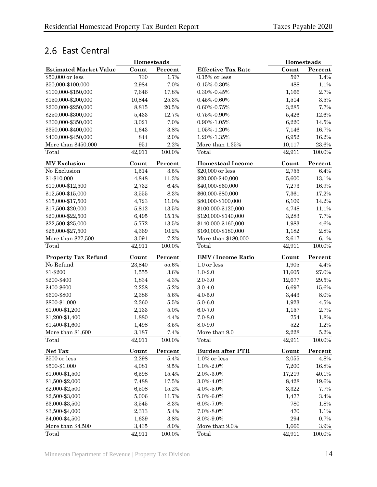## <span id="page-17-0"></span>2.6 East Central

|                               | Homesteads |          |                           | Homesteads |           |
|-------------------------------|------------|----------|---------------------------|------------|-----------|
| <b>Estimated Market Value</b> | Count      | Percent  | <b>Effective Tax Rate</b> | Count      | Percent   |
| \$50,000 or less              | 730        | 1.7%     | $0.15\%$ or less          | 597        | 1.4%      |
| \$50,000-\$100,000            | 2,984      | 7.0%     | $0.15\% - 0.30\%$         | 488        | 1.1%      |
| \$100,000-\$150,000           | 7,646      | 17.8%    | $0.30\% - 0.45\%$         | 1,166      | 2.7%      |
| \$150,000-\$200,000           | 10,844     | 25.3%    | $0.45\% - 0.60\%$         | 1,514      | $3.5\%$   |
| \$200,000-\$250,000           | 8,815      | $20.5\%$ | $0.60\% - 0.75\%$         | 3,285      | 7.7%      |
| \$250,000-\$300,000           | 5,433      | 12.7%    | $0.75\% - 0.90\%$         | 5,426      | 12.6%     |
| \$300,000-\$350,000           | 3,021      | 7.0%     | $0.90\% - 1.05\%$         | 6,220      | 14.5%     |
| \$350,000-\$400,000           | 1,643      | 3.8%     | 1.05%-1.20%               | 7,146      | 16.7%     |
| \$400,000-\$450,000           | 844        | 2.0%     | 1.20%-1.35%               | 6,952      | 16.2%     |
| More than \$450,000           | 951        | $2.2\%$  | More than 1.35%           | 10,117     | 23.6%     |
| Total                         | 42,911     | 100.0%   | Total                     | 42,911     | 100.0%    |
| <b>MV</b> Exclusion           | Count      | Percent  | <b>Homestead Income</b>   | Count      | Percent   |
| No Exclusion                  | 1,514      | $3.5\%$  | \$20,000 or less          | 2,755      | $6.4\%$   |
| \$1-\$10,000                  | 4,848      | 11.3%    | \$20,000-\$40,000         | 5,600      | 13.1%     |
| \$10,000-\$12,500             | 2,732      | 6.4%     | \$40,000-\$60,000         | 7,273      | 16.9%     |
| \$12,500-\$15,000             | 3,555      | 8.3%     | \$60,000-\$80,000         | 7,361      | 17.2%     |
| \$15,000-\$17,500             | 4,723      | 11.0%    | \$80,000-\$100,000        | 6,109      | 14.2%     |
| \$17,500-\$20,000             | 5,812      | 13.5%    | \$100,000-\$120,000       | 4,748      | 11.1%     |
| \$20,000-\$22,500             | 6,495      | 15.1%    | \$120,000-\$140,000       | 3,283      | 7.7%      |
| \$22,500-\$25,000             | 5,772      | 13.5%    | \$140,000-\$160,000       | 1,983      | $4.6\%$   |
| \$25,000-\$27,500             | 4,369      | 10.2%    | \$160,000-\$180,000       | 1,182      | 2.8%      |
| More than \$27,500            | 3,091      | 7.2%     | More than \$180,000       | 2,617      | 6.1%      |
| Total                         | 42,911     | 100.0%   | Total                     | 42,911     | $100.0\%$ |
| <b>Property Tax Refund</b>    | Count      | Percent  | <b>EMV</b> / Income Ratio | Count      | Percent   |
| No Refund                     | 23,840     | 55.6%    | 1.0 or less               | 1,905      | 4.4%      |
| \$1-\$200                     | 1,555      | $3.6\%$  | $1.0 - 2.0$               | 11,605     | 27.0%     |
| \$200-\$400                   | 1,834      | 4.3%     | $2.0 - 3.0$               | 12,677     | 29.5%     |
| \$400-\$600                   | 2,238      | $5.2\%$  | $3.0 - 4.0$               | 6,697      | 15.6%     |
| \$600-\$800                   | 2,386      | $5.6\%$  | $4.0 - 5.0$               | 3,443      | 8.0%      |
| \$800-\$1,000                 | 2,360      | $5.5\%$  | $5.0 - 6.0$               | 1,923      | 4.5%      |
| \$1,000-\$1,200               | 2,133      | $5.0\%$  | $6.0 - 7.0$               | 1,157      | 2.7%      |
| \$1,200-\$1,400               | 1,880      | 4.4%     | $7.0 - 8.0$               | 754        | 1.8%      |
| \$1,400-\$1,600               | 1,498      | $3.5\%$  | 8.0-9.0                   | 522        | 1.2%      |
| More than \$1,600             | 3,187      | $7.4\%$  | More than 9.0             | 2,228      | $5.2\%$   |
| Total                         | 42,911     | 100.0%   | Total                     | 42,911     | 100.0%    |
| Net Tax                       | Count      | Percent  | <b>Burden after PTR</b>   | Count      | Percent   |
| \$500 or less                 | 2,298      | 5.4%     | $1.0\%$ or less           | 2,055      | 4.8%      |
| \$500-\$1,000                 | 4,081      | $9.5\%$  | $1.0\% - 2.0\%$           | 7,200      | 16.8%     |
| \$1,000-\$1,500               | 6,598      | 15.4%    | 2.0%-3.0%                 | 17,219     | 40.1%     |
| \$1,500-\$2,000               | 7,488      | 17.5%    | $3.0\% - 4.0\%$           | 8,428      | $19.6\%$  |
| \$2,000-\$2,500               | 6,508      | 15.2%    | $4.0\% - 5.0\%$           | 3,322      | 7.7%      |
| \$2,500-\$3,000               | 5,006      | 11.7%    | $5.0\% - 6.0\%$           | 1,477      | 3.4%      |
| \$3,000-\$3,500               | 3,545      | 8.3%     | $6.0\% - 7.0\%$           | 780        | 1.8%      |
| \$3,500-\$4,000               | 2,313      | $5.4\%$  | 7.0%-8.0%                 | 470        | 1.1%      |
| \$4,000-\$4,500               | 1,639      | $3.8\%$  | 8.0%-9.0%                 | 294        | 0.7%      |
| More than \$4,500             | 3,435      | $8.0\%$  | More than 9.0%            | 1,666      | $3.9\%$   |
| Total                         | 42,911     | 100.0%   | Total                     | 42,911     | 100.0%    |

|        | <b>Homesteads</b> |                           |        | Homesteads |
|--------|-------------------|---------------------------|--------|------------|
| Count  | Percent           | <b>Effective Tax Rate</b> | Count  | Percent    |
| 730    | 1.7%              | $0.15\%$ or less          | 597    | 1.4%       |
| 2,984  | 7.0%              | $0.15\% - 0.30\%$         | 488    | 1.1%       |
| 7,646  | 17.8%             | $0.30\% - 0.45\%$         | 1,166  | 2.7%       |
| 10,844 | $25.3\%$          | $0.45\% - 0.60\%$         | 1,514  | $3.5\%$    |
| 8,815  | $20.5\%$          | $0.60\% - 0.75\%$         | 3,285  | 7.7%       |
| 5,433  | 12.7%             | 0.75%-0.90%               | 5,426  | 12.6%      |
| 3,021  | 7.0%              | $0.90\% - 1.05\%$         | 6,220  | 14.5%      |
| 1,643  | $3.8\%$           | 1.05%-1.20%               | 7,146  | $16.7\%$   |
| 844    | 2.0%              | 1.20%-1.35%               | 6,952  | 16.2%      |
| 951    | 2.2%              | More than $1.35\%$        | 10,117 | $23.6\%$   |
| 42,911 | 100.0%            | Total                     | 42,911 | 100.0%     |
| Count  | Percent           | <b>Homestead Income</b>   | Count  | Percent    |
| 1,514  | $3.5\%$           | \$20,000 or less          | 2,755  | 6.4%       |
| 4,848  | 11.3%             | \$20,000-\$40,000         | 5,600  | 13.1%      |
| 2,732  | $6.4\%$           | \$40,000-\$60,000         | 7,273  | 16.9%      |
| 3,555  | $8.3\%$           | \$60,000-\$80,000         | 7,361  | 17.2%      |
| 4,723  | 11.0%             | \$80,000-\$100,000        | 6,109  | 14.2%      |
| 5,812  | 13.5%             | \$100,000-\$120,000       | 4,748  | 11.1%      |
| 6,495  | 15.1%             | \$120,000-\$140,000       | 3,283  | 7.7%       |
| 5,772  | 13.5%             | \$140,000-\$160,000       | 1,983  | $4.6\%$    |
| 4,369  | 10.2%             | \$160,000-\$180,000       | 1,182  | 2.8%       |
| 3,091  | 7.2%              | More than \$180,000       | 2,617  | 6.1%       |
| 42,911 | 100.0%            | Total                     | 42,911 | 100.0%     |
| Count  | Percent           | <b>EMV</b> / Income Ratio | Count  | Percent    |
| 23,840 | $55.6\%$          | 1.0 or less               | 1,905  | 4.4%       |
| 1,555  | $3.6\%$           | $1.0 - 2.0$               | 11,605 | 27.0%      |
| 1,834  | 4.3%              | $2.0 - 3.0$               | 12,677 | 29.5%      |
| 2,238  | 5.2%              | $3.0 - 4.0$               | 6,697  | 15.6%      |
| 2,386  | $5.6\%$           | $4.0 - 5.0$               | 3,443  | 8.0%       |
| 2,360  | $5.5\%$           | $5.0 - 6.0$               | 1,923  | 4.5%       |
| 2,133  | $5.0\%$           | $6.0 - 7.0$               | 1,157  | 2.7%       |
| 1,880  | 4.4%              | $7.0 - 8.0$               | 754    | 1.8%       |
| 1,498  | $3.5\%$           | 8.0-9.0                   | 522    | 1.2%       |
| 3,187  | 7.4%              | More than 9.0             | 2,228  | 5.2%       |
| 42,911 | 100.0%            | Total                     | 42,911 | 100.0%     |
| Count  | Percent           | <b>Burden after PTR</b>   | Count  | Percent    |
| 2,298  | 5.4%              | $1.0\%$ or less           | 2,055  | 4.8%       |
| 4,081  | 9.5%              | 1.0%-2.0%                 | 7,200  | 16.8%      |
| 6,598  | 15.4%             | 2.0%-3.0%                 | 17,219 | 40.1%      |
| 7,488  | 17.5%             | 3.0%-4.0%                 | 8,428  | 19.6%      |
| 6,508  | 15.2%             | 4.0%-5.0%                 | 3,322  | 7.7%       |
| 5,006  | 11.7%             | 5.0%-6.0%                 | 1,477  | 3.4%       |
| 3,545  | 8.3%              | 6.0%-7.0%                 | 780    | 1.8%       |
| 2,313  | 5.4%              | 7.0%-8.0%                 | 470    | 1.1%       |
| 1,639  | $3.8\%$           | 8.0%-9.0%                 | 294    | 0.7%       |
| 3,435  | 8.0%              | More than 9.0%            | 1,666  | 3.9%       |
| 42,911 | 100.0%            | Total                     | 42,911 | 100.0%     |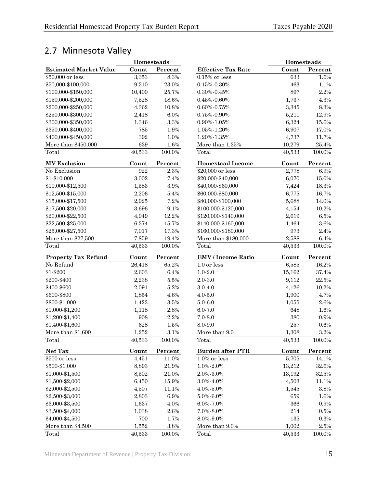## <span id="page-18-0"></span>2.7 Minnesota Valley

|                               | Homesteads |          |                           | Homesteads   |           |
|-------------------------------|------------|----------|---------------------------|--------------|-----------|
| <b>Estimated Market Value</b> | Count      | Percent  | <b>Effective Tax Rate</b> | Count        | Percent   |
| \$50,000 or less              | 3,353      | 8.3%     | $0.15\%$ or less          | 633          | 1.6%      |
| \$50,000-\$100,000            | 9,310      | 23.0%    | $0.15\% - 0.30\%$         | 463          | 1.1%      |
| \$100,000-\$150,000           | 10,400     | 25.7%    | $0.30\% - 0.45\%$         | 897          | 2.2%      |
| \$150,000-\$200,000           | 7,528      | 18.6%    | $0.45\% - 0.60\%$         | 1,737        | 4.3%      |
| \$200,000-\$250,000           | 4,362      | 10.8%    | $0.60\% - 0.75\%$         | 3,345        | $8.3\%$   |
| \$250,000-\$300,000           | 2,418      | 6.0%     | $0.75\% - 0.90\%$         | 5,211        | 12.9%     |
| \$300,000-\$350,000           | 1,346      | $3.3\%$  | $0.90\% - 1.05\%$         | 6,324        | 15.6%     |
| \$350,000-\$400,000           | 785        | 1.9%     | 1.05%-1.20%               | 6,907        | 17.0%     |
| \$400,000-\$450,000           | 392        | 1.0%     | 1.20%-1.35%               | 4,737        | 11.7%     |
| More than \$450,000           | 639        | 1.6%     | More than 1.35%           | 10,279       | 25.4%     |
| Total                         | 40,533     | 100.0%   | Total                     | 40,533       | $100.0\%$ |
| <b>MV</b> Exclusion           | Count      | Percent  | <b>Homestead Income</b>   | Count        | Percent   |
| No Exclusion                  | 922        | $2.3\%$  | \$20,000 or less          | 2,778        | $6.9\%$   |
| \$1-\$10,000                  | 3,002      | 7.4%     | \$20,000-\$40,000         | 6,070        | 15.0%     |
| \$10,000-\$12,500             | 1,583      | $3.9\%$  | \$40,000-\$60,000         | 7,424        | 18.3%     |
| \$12,500-\$15,000             | 2,206      | $5.4\%$  | \$60,000-\$80,000         | 6,775        | 16.7%     |
| \$15,000-\$17,500             | 2,925      | 7.2%     | \$80,000-\$100,000        | 5,688        | 14.0%     |
| \$17,500-\$20,000             | 3,696      | 9.1%     | \$100,000-\$120,000       | 4,154        | 10.2%     |
| \$20,000-\$22,500             | 4,949      | 12.2%    | \$120,000-\$140,000       | 2,619        | $6.5\%$   |
| \$22,500-\$25,000             | 6,374      | 15.7%    | \$140,000-\$160,000       | 1,464        | $3.6\%$   |
| \$25,000-\$27,500             | 7,017      | 17.3%    | \$160,000-\$180,000       | 973          | 2.4%      |
| More than \$27,500            | 7,859      | 19.4%    | More than \$180,000       | 2,588        | $6.4\%$   |
| Total                         | 40,533     | 100.0%   | Total                     | 40,533       | $100.0\%$ |
| <b>Property Tax Refund</b>    | Count      | Percent  | <b>EMV</b> / Income Ratio | Count        | Percent   |
| No Refund                     | 26,418     | 65.2%    | 1.0 or less               | 6,585        | 16.2%     |
| \$1-\$200                     | 2,603      | 6.4%     | $1.0 - 2.0$               | 15,162       | 37.4%     |
| \$200-\$400                   | 2,238      | $5.5\%$  | $2.0 - 3.0$               | 9,112        | $22.5\%$  |
| \$400-\$600                   | 2,091      | $5.2\%$  | $3.0 - 4.0$               | 4,126        | 10.2%     |
| \$600-\$800                   | 1,854      | 4.6%     | $4.0 - 5.0$               | 1,900        | 4.7%      |
| \$800-\$1,000                 | 1,423      | $3.5\%$  | $5.0 - 6.0$               | 1,055        | $2.6\%$   |
| \$1,000-\$1,200               | 1,118      | $2.8\%$  | $6.0 - 7.0$               | 648          | 1.6%      |
| \$1,200-\$1,400               | 908        | 2.2%     | $7.0 - 8.0$               | 380          | $0.9\%$   |
| \$1,400-\$1,600               | 628        | 1.5%     | 8.0-9.0                   | $257\,$      | 0.6%      |
| More than $\$1,\!600$         | 1,252      | $3.1\%$  | More than 9.0             | 1,308        | $3.2\%$   |
| Total                         | 40,533     | 100.0%   | Total                     | 40,533       | 100.0%    |
| Net Tax                       | Count      | Percent  | <b>Burden after PTR</b>   | Count        | Percent   |
| \$500 or less                 | 4,451      | 11.0%    | $1.0\%$ or less           | 5,705        | 14.1%     |
| \$500-\$1,000                 | 8,893      | $21.9\%$ | $1.0\% - 2.0\%$           | 13,212       | $32.6\%$  |
| \$1,000-\$1,500               | 8,502      | 21.0%    | 2.0%-3.0%                 | 13,192       | $32.5\%$  |
| \$1,500-\$2,000               | 6,450      | 15.9%    | $3.0\% - 4.0\%$           | 4,503        | 11.1%     |
| \$2,000-\$2,500               | 4,507      | 11.1%    | $4.0\% - 5.0\%$           | 1,545        | $3.8\%$   |
| \$2,500-\$3,000               | 2,803      | $6.9\%$  | $5.0\% - 6.0\%$           | 659          | 1.6%      |
| \$3,000-\$3,500               | 1,637      | 4.0%     | $6.0\% - 7.0\%$           | 366          | $0.9\%$   |
| \$3,500-\$4,000               | 1,038      | $2.6\%$  | 7.0%-8.0%                 | $\sqrt{214}$ | $0.5\%$   |
| \$4,000-\$4,500               | 700        | 1.7%     | 8.0%-9.0%                 | 135          | $0.3\%$   |
| More than \$4,500             | 1,552      | 3.8%     | More than 9.0%            | 1,002        | 2.5%      |
| Total                         | 40,533     | 100.0%   | Total                     | 40,533       | $100.0\%$ |
|                               |            |          |                           |              |           |

|                           | <b>Homesteads</b> |           |
|---------------------------|-------------------|-----------|
| <b>Effective Tax Rate</b> | Count             | Percent   |
| $0.15\%$ or less          | 633               | 1.6%      |
| $0.15\% - 0.30\%$         | 463               | 1.1%      |
| $0.30\% - 0.45\%$         | 897               | 2.2%      |
| $0.45\% - 0.60\%$         | 1,737             | 4.3%      |
| $0.60\% - 0.75\%$         | 3,345             | 8.3%      |
| 0.75%-0.90%               | 5,211             | 12.9%     |
| $0.90\% - 1.05\%$         | 6,324             | 15.6%     |
| 1.05%-1.20%               | 6,907             | 17.0%     |
| 1.20%-1.35%               | 4,737             | 11.7%     |
| More than 1.35%           | 10,279            | 25.4%     |
| Total                     | 40,533            | 100.0%    |
| <b>Homestead Income</b>   | Count             | Percent   |
| \$20,000 or less          | 2,778             | 6.9%      |
| \$20,000-\$40,000         | 6,070             | 15.0%     |
| \$40,000-\$60,000         | 7,424             | 18.3%     |
| \$60,000-\$80,000         | 6,775             | 16.7%     |
| \$80,000-\$100,000        | 5,688             | 14.0%     |
| \$100,000-\$120,000       | 4,154             | 10.2%     |
| \$120,000-\$140,000       | 2,619             | $6.5\%$   |
| \$140,000-\$160,000       | 1,464             | 3.6%      |
| \$160,000-\$180,000       | 973               | 2.4%      |
| More than \$180,000       | 2,588             | 6.4%      |
| Total                     | 40,533            | 100.0%    |
| <b>EMV</b> / Income Ratio | Count             | Percent   |
| 1.0 or less               | 6,585             | 16.2%     |
| $1.0 - 2.0$               | 15,162            | 37.4%     |
| $2.0 - 3.0$               | 9,112             | 22.5%     |
| $3.0 - 4.0$               | 4,126             | 10.2%     |
| $4.0 - 5.0$               | 1,900             | 4.7%      |
| $5.0 - 6.0$               | 1,055             | 2.6%      |
| $6.0 - 7.0$               | 648               | 1.6%      |
| $7.0 - 8.0$               | 380               | 0.9%      |
| 8.0-9.0                   | 257               | 0.6%      |
| More than 9.0             | 1,308             | 3.2%      |
| Total                     | 40,533            | 100.0%    |
| <b>Burden after PTR</b>   | Count             | Percent   |
| $1.0\%$ or less           | 5,705             | 14.1%     |
| 1.0%-2.0%                 | 13,212            | 32.6%     |
| 2.0%-3.0%                 | 13,192            | 32.5%     |
| 3.0%-4.0%                 | 4,503             | 11.1%     |
| 4.0%-5.0%                 | 1,545             | 3.8%      |
| 5.0%-6.0%                 | 659               | 1.6%      |
| 6.0%-7.0%                 | 366               | 0.9%      |
| 7.0%-8.0%                 | 214               | $0.5\%$   |
| 8.0%-9.0%                 | 135               | 0.3%      |
| More than 9.0%            | 1,002             | 2.5%      |
| Total                     | 40,533            | $100.0\%$ |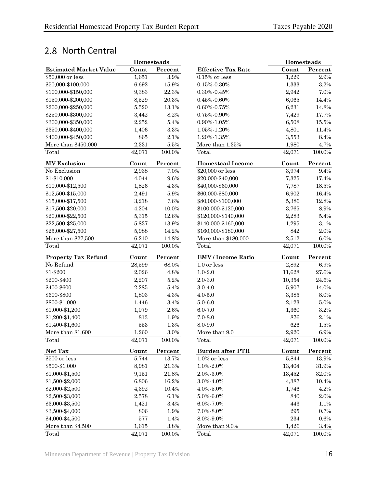## <span id="page-19-0"></span>2.8 North Central

|                               | Homesteads |           |                           | Homesteads |           |
|-------------------------------|------------|-----------|---------------------------|------------|-----------|
| <b>Estimated Market Value</b> | Count      | Percent   | <b>Effective Tax Rate</b> | Count      | Percent   |
| \$50,000 or less              | 1,651      | 3.9%      | $0.15\%$ or less          | 1,229      | $2.9\%$   |
| \$50,000-\$100,000            | 6,692      | 15.9%     | $0.15\% - 0.30\%$         | 1,333      | 3.2%      |
| \$100,000-\$150,000           | 9,383      | 22.3%     | $0.30\% - 0.45\%$         | 2,942      | 7.0%      |
| \$150,000-\$200,000           | 8,529      | 20.3%     | $0.45\% - 0.60\%$         | 6,065      | 14.4%     |
| \$200,000-\$250,000           | 5,520      | 13.1%     | $0.60\% - 0.75\%$         | 6,231      | 14.8%     |
| \$250,000-\$300,000           | 3,442      | 8.2%      | $0.75\% - 0.90\%$         | 7,429      | 17.7%     |
| \$300,000-\$350,000           | 2,252      | 5.4%      | $0.90\% - 1.05\%$         | 6,508      | 15.5%     |
| \$350,000-\$400,000           | 1,406      | $3.3\%$   | 1.05%-1.20%               | 4,801      | 11.4%     |
| \$400,000-\$450,000           | 865        | 2.1%      | 1.20%-1.35%               | 3,553      | 8.4%      |
| More than \$450,000           | 2,331      | $5.5\%$   | More than 1.35%           | 1,980      | 4.7%      |
| Total                         | 42,071     | 100.0%    | Total                     | 42,071     | 100.0%    |
| <b>MV</b> Exclusion           | Count      | Percent   | <b>Homestead Income</b>   | Count      | Percent   |
| No Exclusion                  | 2,938      | 7.0%      | \$20,000 or less          | 3,974      | $9.4\%$   |
| \$1-\$10,000                  | 4,044      | 9.6%      | \$20,000-\$40,000         | 7,325      | 17.4%     |
| \$10,000-\$12,500             | 1,826      | 4.3%      | \$40,000-\$60,000         | 7,787      | 18.5%     |
| \$12,500-\$15,000             | 2,491      | $5.9\%$   | \$60,000-\$80,000         | 6,902      | 16.4%     |
| \$15,000-\$17,500             | 3,218      | 7.6%      | \$80,000-\$100,000        | 5,386      | 12.8%     |
| \$17,500-\$20,000             | 4,204      | 10.0%     | \$100,000-\$120,000       | 3,765      | $8.9\%$   |
| \$20,000-\$22,500             | 5,315      | 12.6%     | \$120,000-\$140,000       | 2,283      | $5.4\%$   |
| \$22,500-\$25,000             | 5,837      | 13.9%     | \$140,000-\$160,000       | 1,295      | $3.1\%$   |
| \$25,000-\$27,500             | 5,988      | 14.2%     | \$160,000-\$180,000       | 842        | $2.0\%$   |
| More than \$27,500            | 6,210      | 14.8%     | More than \$180,000       | 2,512      | $6.0\%$   |
| Total                         | 42,071     | 100.0%    | Total                     | 42,071     | $100.0\%$ |
| <b>Property Tax Refund</b>    | Count      | Percent   | <b>EMV</b> / Income Ratio | Count      | Percent   |
| No Refund                     | 28,599     | 68.0%     | 1.0 or less               | 2,892      | $6.9\%$   |
| \$1-\$200                     | 2,026      | 4.8%      | $1.0 - 2.0$               | 11,628     | 27.6%     |
| \$200-\$400                   | 2,207      | 5.2%      | $2.0 - 3.0$               | 10,354     | 24.6%     |
| \$400-\$600                   | 2,285      | 5.4%      | $3.0 - 4.0$               | 5,907      | 14.0%     |
| \$600-\$800                   | 1,803      | 4.3%      | $4.0 - 5.0$               | 3,385      | 8.0%      |
| \$800-\$1,000                 | 1,446      | $3.4\%$   | $5.0 - 6.0$               | 2,123      | $5.0\%$   |
| \$1,000-\$1,200               | 1,079      | 2.6%      | $6.0 - 7.0$               | 1,360      | $3.2\%$   |
| \$1,200-\$1,400               | 813        | 1.9%      | $7.0 - 8.0$               | 876        | 2.1%      |
| \$1,400-\$1,600               | 553        | 1.3%      | 8.0-9.0                   | 626        | 1.5%      |
| More than \$1,600             | 1,260      | $3.0\%$   | More than 9.0             | 2,920      | $6.9\%$   |
| Total                         | 42,071     | 100.0%    | Total                     | 42,071     | 100.0%    |
| Net Tax                       | Count      | Percent   | <b>Burden after PTR</b>   | Count      | Percent   |
| \$500 or less                 | 5,744      | 13.7%     | $1.0\%$ or less           | 5,844      | 13.9%     |
| \$500-\$1,000                 | 8,981      | $21.3\%$  | 1.0%-2.0%                 | 13,404     | $31.9\%$  |
| \$1,000-\$1,500               | 9,151      | $21.8\%$  | $2.0\% - 3.0\%$           | 13,452     | $32.0\%$  |
| \$1,500-\$2,000               | 6,806      | 16.2%     | 3.0%-4.0%                 | 4,387      | 10.4%     |
| \$2,000-\$2,500               | 4,392      | 10.4%     | 4.0%-5.0%                 | 1,746      | 4.2%      |
| \$2,500-\$3,000               | 2,578      | 6.1%      | $5.0\% - 6.0\%$           | 840        | $2.0\%$   |
| \$3,000-\$3,500               | 1,421      | $3.4\%$   | 6.0%-7.0%                 | 443        | 1.1%      |
| \$3,500-\$4,000               | 806        | 1.9%      | 7.0%-8.0%                 | $\,295$    | 0.7%      |
| \$4,000-\$4,500               | 577        | 1.4%      | 8.0%-9.0%                 | $\bf 234$  | $0.6\%$   |
| More than \$4,500             | 1,615      | $3.8\%$   | More than 9.0%            | 1,426      | $3.4\%$   |
| Total                         | 42,071     | $100.0\%$ | Total                     | 42,071     | $100.0\%$ |

|                           | Homesteads |           |
|---------------------------|------------|-----------|
| <b>Effective Tax Rate</b> | Count      | Percent   |
| $0.15\%$ or less          | 1,229      | 2.9%      |
| $0.15\% - 0.30\%$         | 1,333      | 3.2%      |
| $0.30\% - 0.45\%$         | 2,942      | 7.0%      |
| $0.45\% - 0.60\%$         | 6,065      | 14.4%     |
| $0.60\% - 0.75\%$         | 6,231      | 14.8%     |
| 0.75%-0.90%               | 7,429      | 17.7%     |
| $0.90\% - 1.05\%$         | 6,508      | 15.5%     |
| 1.05%-1.20%               | 4,801      | 11.4%     |
| 1.20%-1.35%               | 3,553      | 8.4%      |
| More than 1.35%           | 1,980      | 4.7%      |
| Total                     | 42,071     | $100.0\%$ |
| <b>Homestead Income</b>   | Count      | Percent   |
| \$20,000 or less          | 3,974      | 9.4%      |
| \$20,000-\$40,000         | 7,325      | 17.4%     |
| \$40,000-\$60,000         | 7,787      | 18.5%     |
| \$60,000-\$80,000         | 6,902      | 16.4%     |
| \$80,000-\$100,000        | 5,386      | 12.8%     |
| \$100,000-\$120,000       | 3,765      | 8.9%      |
| \$120,000-\$140,000       | 2,283      | 5.4%      |
| \$140,000-\$160,000       | 1,295      | 3.1%      |
| \$160,000-\$180,000       | 842        | 2.0%      |
| More than \$180,000       | 2,512      | 6.0%      |
| Total                     | 42,071     | 100.0%    |
| <b>EMV</b> / Income Ratio | Count      | Percent   |
| 1.0 or less               | 2,892      | 6.9%      |
| $1.0 - 2.0$               | 11,628     | 27.6%     |
| $2.0 - 3.0$               | 10,354     | 24.6%     |
| $3.0 - 4.0$               | 5,907      | 14.0%     |
| $4.0 - 5.0$               | 3,385      | 8.0%      |
| $5.0 - 6.0$               | 2,123      | 5.0%      |
| $6.0 - 7.0$               | 1,360      | 3.2%      |
| $7.0 - 8.0$               | 876        | 2.1%      |
| 8.0-9.0                   | 626        | 1.5%      |
| More than 9.0             | 2,920      | 6.9%      |
| Total                     | 42,071     | 100.0%    |
| <b>Burden after PTR</b>   | Count      | Percent   |
| $1.0\%$ or less           | 5,844      | 13.9%     |
| 1.0%-2.0%                 | 13,404     | 31.9%     |
| 2.0%-3.0%                 | 13,452     | 32.0%     |
| 3.0%-4.0%                 | 4,387      | 10.4%     |
| 4.0%-5.0%                 | 1,746      | 4.2%      |
| 5.0%-6.0%                 | 840        | 2.0%      |
| $6.0\% - 7.0\%$           | 443        | 1.1%      |
| 7.0%-8.0%                 | 295        | 0.7%      |
| 8.0%-9.0%                 | 234        | $0.6\%$   |
| More than 9.0%            | 1,426      | 3.4%      |
| Total                     | 42.071     | 100.0%    |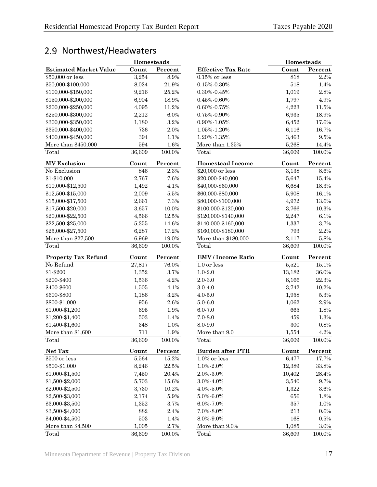## <span id="page-20-0"></span>2.9 Northwest/Headwaters

|                               | Homesteads |         |
|-------------------------------|------------|---------|
| <b>Estimated Market Value</b> | Count      | Percent |
| \$50,000 or less              | 3,254      | 8.9%    |
| \$50,000-\$100,000            | 8,024      | 21.9%   |
| \$100,000-\$150,000           | 9,216      | 25.2%   |
| \$150,000-\$200,000           | 6,904      | 18.9%   |
| \$200,000-\$250,000           | 4,095      | 11.2%   |
| \$250,000-\$300,000           | 2,212      | 6.0%    |
| \$300,000-\$350,000           | 1,180      | 3.2%    |
| \$350,000-\$400,000           | 736        | 2.0%    |
| \$400,000-\$450,000           | 394        | 1.1%    |
| More than \$450,000           | 594        | 1.6%    |
| Total                         | 36,609     | 100.0%  |
|                               |            |         |
| <b>MV Exclusion</b>           | Count      | Percent |
| No Exclusion                  | 846        | 2.3%    |
| \$1-\$10,000                  | 2,767      | 7.6%    |
| \$10,000-\$12,500             | 1,492      | 4.1%    |
| \$12,500-\$15,000             | 2,009      | 5.5%    |
| \$15,000-\$17,500             | 2,661      | 7.3%    |
| \$17,500-\$20,000             | 3,657      | 10.0%   |
| \$20,000-\$22,500             | 4,566      | 12.5%   |
| \$22,500-\$25,000             | 5,355      | 14.6%   |
| \$25,000-\$27,500             | 6,287      | 17.2%   |
| More than \$27,500            | 6,969      | 19.0%   |
| Total                         | 36,609     | 100.0%  |
|                               |            |         |
|                               |            |         |
| <b>Property Tax Refund</b>    | Count      | Percent |
| No Refund                     | 27,817     | 76.0%   |
| \$1-\$200                     | 1,352      | 3.7%    |
| \$200-\$400                   | 1,536      | 4.2%    |
| \$400-\$600                   | 1,505      | 4.1%    |
| \$600-\$800                   | 1,186      | 3.2%    |
| \$800-\$1,000                 | 956        | 2.6%    |
| \$1,000-\$1,200               | 695        | 1.9%    |
| \$1,200-\$1,400               | 503        | 1.4%    |
| \$1,400-\$1,600               | 348        | 1.0%    |
| More than \$1,600             | 711        | 1.9%    |
| Total                         | 36,609     | 100.0%  |
| Net Tax                       | Count      | Percent |
| \$500 or less                 | 5,564      | 15.2%   |
| \$500-\$1,000                 | 8,246      | 22.5%   |
| \$1,000-\$1,500               | 7,450      | 20.4%   |
| \$1,500-\$2,000               | 5,703      | 15.6%   |
| \$2,000-\$2,500               | 3,730      | 10.2%   |
| \$2,500-\$3,000               | 2,174      | 5.9%    |
| \$3,000-\$3,500               | 1,352      | 3.7%    |
| \$3,500-\$4,000               | 882        | 2.4%    |
| \$4,000-\$4,500               | 503        | 1.4%    |
| More than \$4,500             | 1,005      | 2.7%    |

|                               | <b>Homesteads</b> |          |                           |           | <b>Homesteads</b> |
|-------------------------------|-------------------|----------|---------------------------|-----------|-------------------|
| <b>Estimated Market Value</b> | Count             | Percent  | <b>Effective Tax Rate</b> | Count     | Percent           |
| \$50,000 or less              | 3,254             | $8.9\%$  | $0.15\%$ or less          | 818       | 2.2%              |
| \$50,000-\$100,000            | 8,024             | 21.9%    | $0.15\% - 0.30\%$         | 518       | 1.4%              |
| \$100,000-\$150,000           | 9,216             | 25.2%    | $0.30\% - 0.45\%$         | 1,019     | 2.8%              |
| \$150,000-\$200,000           | 6,904             | 18.9%    | $0.45\% - 0.60\%$         | 1,797     | 4.9%              |
| \$200,000-\$250,000           | 4,095             | 11.2%    | $0.60\% - 0.75\%$         | 4,223     | 11.5%             |
| \$250,000-\$300,000           | 2,212             | 6.0%     | 0.75%-0.90%               | 6,935     | 18.9%             |
| \$300,000-\$350,000           | 1,180             | 3.2%     | 0.90%-1.05%               | 6,452     | 17.6%             |
| \$350,000-\$400,000           | 736               | 2.0%     | $1.05\% - 1.20\%$         | 6,116     | 16.7%             |
| \$400,000-\$450,000           | 394               | 1.1%     | 1.20%-1.35%               | 3,463     | 9.5%              |
| More than \$450,000           | 594               | 1.6%     | More than $1.35\%$        | 5,268     | 14.4%             |
| Total                         | 36,609            | 100.0%   | Total                     | 36,609    | 100.0%            |
| <b>MV Exclusion</b>           | Count             | Percent  | <b>Homestead Income</b>   | Count     | Percent           |
| No Exclusion                  | 846               | $2.3\%$  | \$20,000 or less          | 3,138     | 8.6%              |
| \$1-\$10,000                  | 2,767             | 7.6%     | \$20,000-\$40,000         | 5,647     | 15.4%             |
| \$10,000-\$12,500             | 1,492             | 4.1%     | \$40,000-\$60,000         | 6,684     | 18.3%             |
| \$12,500-\$15,000             | 2,009             | $5.5\%$  | \$60,000-\$80,000         | 5,908     | 16.1%             |
| \$15,000-\$17,500             | 2,661             | 7.3%     | \$80,000-\$100,000        | 4,972     | 13.6%             |
| \$17,500-\$20,000             | 3,657             | $10.0\%$ | \$100,000-\$120,000       | 3,766     | 10.3%             |
| \$20,000-\$22,500             | 4,566             | 12.5%    | \$120,000-\$140,000       | 2,247     | 6.1%              |
| \$22,500-\$25,000             | 5,355             | 14.6%    | \$140,000-\$160,000       | 1,337     | $3.7\%$           |
| \$25,000-\$27,500             | 6,287             | 17.2%    | \$160,000-\$180,000       | 793       | 2.2%              |
| More than \$27,500            | 6,969             | 19.0%    | More than \$180,000       | 2,117     | 5.8%              |
| Total                         | 36,609            | 100.0%   | Total                     | 36,609    | $100.0\%$         |
| <b>Property Tax Refund</b>    | Count             | Percent  | <b>EMV</b> / Income Ratio | Count     | Percent           |
| No Refund                     | 27,817            | 76.0%    | 1.0 or less               | 5,521     | 15.1%             |
| \$1-\$200                     | 1,352             | 3.7%     | $1.0 - 2.0$               | 13,182    | $36.0\%$          |
| \$200-\$400                   | 1,536             | 4.2%     | $2.0 - 3.0$               | 8,166     | 22.3%             |
| \$400-\$600                   | 1,505             | 4.1%     | $3.0 - 4.0$               | 3,742     | 10.2%             |
| \$600-\$800                   | 1,186             | 3.2%     | $4.0 - 5.0$               | 1,958     | $5.3\%$           |
| \$800-\$1,000                 | 956               | 2.6%     | $5.0 - 6.0$               | 1,062     | 2.9%              |
| \$1,000-\$1,200               | 695               | 1.9%     | $6.0 - 7.0$               | 665       | 1.8%              |
| \$1,200-\$1,400               | 503               | 1.4%     | $7.0 - 8.0$               | 459       | 1.3%              |
| \$1,400-\$1,600               | 348               | 1.0%     | 8.0-9.0                   | 300       | 0.8%              |
| More than \$1,600             | $711\,$           | 1.9%     | More than 9.0             | 1,554     | $4.2\%$           |
| Total                         | 36,609            | 100.0%   | Total                     | 36,609    | 100.0%            |
| Net Tax                       | Count             | Percent  | <b>Burden after PTR</b>   | Count     | Percent           |
| \$500 or less                 | 5,564             | 15.2%    | 1.0% or less              | 6,477     | 17.7%             |
| \$500-\$1,000                 | 8,246             | 22.5%    | 1.0%-2.0%                 | 12,389    | $33.8\%$          |
| \$1,000-\$1,500               | 7,450             | $20.4\%$ | 2.0%-3.0%                 | 10,402    | $28.4\%$          |
| \$1,500-\$2,000               | 5,703             | 15.6%    | 3.0%-4.0%                 | 3,540     | $9.7\%$           |
| \$2,000-\$2,500               | 3,730             | 10.2%    | 4.0%-5.0%                 | 1,322     | 3.6%              |
| \$2,500-\$3,000               | 2,174             | $5.9\%$  | 5.0%-6.0%                 | 656       | 1.8%              |
| \$3,000-\$3,500               | 1,352             | 3.7%     | 6.0%-7.0%                 | 357       | 1.0%              |
| \$3,500-\$4,000               | 882               | $2.4\%$  | 7.0%-8.0%                 | $\bf 213$ | 0.6%              |
| \$4,000-\$4,500               | 503               | 1.4%     | 8.0%-9.0%                 | 168       | $0.5\%$           |
| More than \$4,500             | 1,005             | $2.7\%$  | More than 9.0%            | 1,085     | $3.0\%$           |
| Total                         | 36,609            | 100.0%   | Total                     | 36,609    | $100.0\%$         |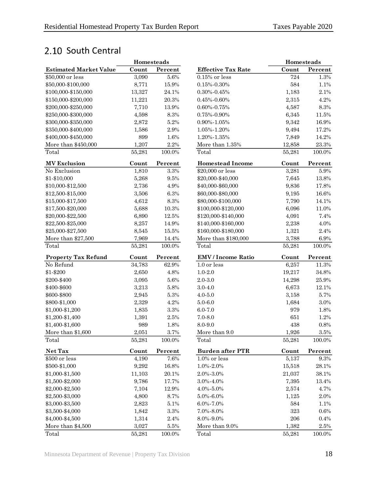## <span id="page-21-0"></span>2.10 South Central

|                               | Homesteads |           |                           | <b>Homesteads</b> |           |
|-------------------------------|------------|-----------|---------------------------|-------------------|-----------|
| <b>Estimated Market Value</b> | Count      | Percent   | <b>Effective Tax Rate</b> | Count             | Percent   |
| \$50,000 or less              | 3,090      | $5.6\%$   | $0.15\%$ or less          | 724               | 1.3%      |
| \$50,000-\$100,000            | 8,771      | 15.9%     | $0.15\% - 0.30\%$         | 584               | 1.1%      |
| \$100,000-\$150,000           | 13,327     | 24.1%     | $0.30\% - 0.45\%$         | 1,183             | 2.1%      |
| \$150,000-\$200,000           | 11,221     | 20.3%     | $0.45\% - 0.60\%$         | 2,315             | 4.2%      |
| \$200,000-\$250,000           | 7,710      | 13.9%     | $0.60\% - 0.75\%$         | 4,587             | $8.3\%$   |
| \$250,000-\$300,000           | 4,598      | 8.3%      | $0.75\% - 0.90\%$         | 6,345             | 11.5%     |
| \$300,000-\$350,000           | 2,872      | $5.2\%$   | 0.90%-1.05%               | 9,342             | 16.9%     |
| \$350,000-\$400,000           | 1,586      | 2.9%      | 1.05%-1.20%               | 9,494             | 17.2%     |
| \$400,000-\$450,000           | 899        | 1.6%      | 1.20%-1.35%               | 7,849             | 14.2%     |
| More than \$450,000           | 1,207      | $2.2\%$   | More than 1.35%           | 12,858            | 23.3%     |
| Total                         | 55,281     | $100.0\%$ | Total                     | 55,281            | 100.0%    |
| <b>MV Exclusion</b>           | Count      | Percent   | <b>Homestead Income</b>   | Count             | Percent   |
| No Exclusion                  | 1,810      | 3.3%      | \$20,000 or less          | 3,281             | $5.9\%$   |
| \$1-\$10,000                  | 5,268      | $9.5\%$   | \$20,000-\$40,000         | 7,645             | 13.8%     |
| \$10,000-\$12,500             | 2,736      | 4.9%      | \$40,000-\$60,000         | 9,836             | 17.8%     |
| \$12,500-\$15,000             | 3,506      | 6.3%      | \$60,000-\$80,000         | 9,195             | 16.6%     |
| \$15,000-\$17,500             | 4,612      | $8.3\%$   | \$80,000-\$100,000        | 7,790             | 14.1%     |
| \$17,500-\$20,000             | 5,688      | 10.3%     | \$100,000-\$120,000       | 6,096             | 11.0%     |
| \$20,000-\$22,500             | 6,890      | 12.5%     | \$120,000-\$140,000       | 4,091             | 7.4%      |
| \$22,500-\$25,000             | 8,257      | 14.9%     | \$140,000-\$160,000       | 2,238             | 4.0%      |
| \$25,000-\$27,500             | 8,545      | 15.5%     | \$160,000-\$180,000       | 1,321             | 2.4%      |
| More than \$27,500            | 7,969      | 14.4%     | More than \$180,000       | 3,788             | $6.9\%$   |
| Total                         | 55,281     | $100.0\%$ | Total                     | 55,281            | $100.0\%$ |
| <b>Property Tax Refund</b>    | Count      | Percent   | <b>EMV</b> / Income Ratio | Count             | Percent   |
| No Refund                     | 34,783     | 62.9%     | 1.0 or less               | 6,257             | 11.3%     |
| \$1-\$200                     | 2,650      | 4.8%      | $1.0 - 2.0$               | 19,217            | 34.8%     |
| \$200-\$400                   | 3,095      | $5.6\%$   | $2.0 - 3.0$               | 14,298            | 25.9%     |
| \$400-\$600                   | 3,213      | 5.8%      | $3.0 - 4.0$               | 6,673             | 12.1%     |
| \$600-\$800                   | 2,945      | 5.3%      | $4.0 - 5.0$               | 3,158             | 5.7%      |
| \$800-\$1,000                 | 2,329      | 4.2%      | $5.0 - 6.0$               | 1,684             | $3.0\%$   |
| \$1,000-\$1,200               | 1,835      | 3.3%      | $6.0 - 7.0$               | 979               | 1.8%      |
| \$1,200-\$1,400               | 1,391      | $2.5\%$   | $7.0 - 8.0$               | 651               | 1.2%      |
| \$1,400-\$1,600               | 989        | 1.8%      | 8.0-9.0                   | 438               | $0.8\%$   |
| More than \$1,600             | 2,051      | $3.7\%$   | More than 9.0             | 1,926             | $3.5\%$   |
| Total                         | 55,281     | $100.0\%$ | Total                     | 55,281            | $100.0\%$ |
| Net Tax                       | Count      | Percent   | <b>Burden after PTR</b>   | Count             | Percent   |
| \$500 or less                 | 4,190      | 7.6%      | 1.0% or less              | 5,137             | $9.3\%$   |
| \$500-\$1,000                 | 9,292      | 16.8%     | $1.0\% - 2.0\%$           | 15,518            | 28.1%     |
| \$1,000-\$1,500               | 11,103     | $20.1\%$  | 2.0%-3.0%                 | 21,037            | $38.1\%$  |
| \$1,500-\$2,000               | 9,786      | 17.7%     | $3.0\% - 4.0\%$           | 7,395             | 13.4%     |
| \$2,000-\$2,500               | 7,104      | 12.9%     | 4.0%-5.0%                 | 2,574             | 4.7%      |
| \$2,500-\$3,000               | 4,800      | 8.7%      | $5.0\% - 6.0\%$           | 1,125             | $2.0\%$   |
| \$3,000-\$3,500               | 2,823      | $5.1\%$   | $6.0\% - 7.0\%$           | 584               | 1.1%      |
| \$3,500-\$4,000               | 1,842      | $3.3\%$   | $7.0\% - 8.0\%$           | 323               | 0.6%      |
| \$4,000-\$4,500               | 1,314      | $2.4\%$   | 8.0%-9.0%                 | $\,206$           | 0.4%      |
| More than \$4,500             | 3,027      | $5.5\%$   | More than 9.0%            | 1,382             | $2.5\%$   |
| Total                         | 55,281     | $100.0\%$ | Total                     | 55,281            | 100.0%    |

|                           | <b>Homesteads</b> |         |
|---------------------------|-------------------|---------|
| <b>Effective Tax Rate</b> | Count             | Percent |
| $0.15\%$ or less          | 724               | 1.3%    |
| $0.15\% - 0.30\%$         | 584               | 1.1%    |
| $0.30\% - 0.45\%$         | 1,183             | 2.1%    |
| $0.45\% - 0.60\%$         | 2,315             | 4.2%    |
| $0.60\% - 0.75\%$         | 4,587             | 8.3%    |
| $0.75\% - 0.90\%$         | 6,345             | 11.5%   |
| 0.90%-1.05%               | 9,342             | 16.9%   |
| 1.05%-1.20%               | 9,494             | 17.2%   |
| 1.20%-1.35%               | 7,849             | 14.2%   |
| More than 1.35%           | 12,858            | 23.3%   |
| Total                     | 55,281            | 100.0%  |
| <b>Homestead Income</b>   | Count             | Percent |
| \$20,000 or less          | 3,281             | 5.9%    |
| \$20,000-\$40,000         | 7,645             | 13.8%   |
| \$40,000-\$60,000         | 9,836             | 17.8%   |
| \$60,000-\$80,000         | 9,195             | 16.6%   |
| \$80,000-\$100,000        | 7,790             | 14.1%   |
| \$100,000-\$120,000       | 6,096             | 11.0%   |
| \$120,000-\$140,000       | 4,091             | 7.4%    |
| \$140,000-\$160,000       | 2,238             | 4.0%    |
| \$160,000-\$180,000       | 1,321             | 2.4%    |
| More than \$180,000       | 3,788             | 6.9%    |
| Total                     | 55,281            | 100.0%  |
| <b>EMV</b> / Income Ratio | Count             | Percent |
| 1.0 or less               | 6,257             | 11.3%   |
| $1.0 - 2.0$               | 19,217            | 34.8%   |
| $2.0 - 3.0$               | 14,298            | 25.9%   |
| $3.0 - 4.0$               | 6,673             | 12.1%   |
| $4.0 - 5.0$               | 3,158             | 5.7%    |
| $5.0 - 6.0$               | 1,684             | 3.0%    |
| $6.0 - 7.0$               | 979               | 1.8%    |
| $7.0 - 8.0$               | 651               | 1.2%    |
| 8.0-9.0                   | 438               | 0.8%    |
| More than 9.0             | 1,926             | 3.5%    |
| Total                     | 55,281            | 100.0%  |
| <b>Burden after PTR</b>   | Count             | Percent |
| $1.0\%$ or less           | 5,137             | 9.3%    |
| 1.0%-2.0%                 | 15,518            | 28.1%   |
| 2.0%-3.0%                 | 21,037            | 38.1%   |
| 3.0%-4.0%                 | 7,395             | 13.4%   |
| 4.0%-5.0%                 | 2,574             | 4.7%    |
| 5.0%-6.0%                 | 1,125             | 2.0%    |
| 6.0%-7.0%                 | 584               | 1.1%    |
| 7.0%-8.0%                 | 323               | 0.6%    |
| 8.0%-9.0%                 | 206               | 0.4%    |
| More than 9.0%            | 1,382             | 2.5%    |
| $T_{\alpha\dagger\alpha}$ | <b>EE 991</b>     | 100.004 |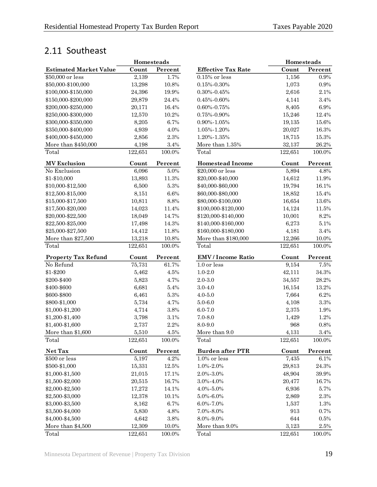## <span id="page-22-0"></span>2.11 Southeast

|                               | Homesteads |           |                           | Homesteads |           |
|-------------------------------|------------|-----------|---------------------------|------------|-----------|
| <b>Estimated Market Value</b> | Count      | Percent   | <b>Effective Tax Rate</b> | Count      | Percent   |
| \$50,000 or less              | 2,139      | 1.7%      | $0.15\%$ or less          | 1,156      | $0.9\%$   |
| \$50,000-\$100,000            | 13,298     | 10.8%     | $0.15\% - 0.30\%$         | 1,073      | $0.9\%$   |
| \$100,000-\$150,000           | 24,396     | 19.9%     | $0.30\%$ - $0.45\%$       | 2,616      | 2.1%      |
| \$150,000-\$200,000           | 29,879     | 24.4%     | $0.45\%$ - $0.60\%$       | 4,141      | $3.4\%$   |
| \$200,000-\$250,000           | 20,171     | 16.4%     | $0.60\% - 0.75\%$         | 8,405      | $6.9\%$   |
| \$250,000-\$300,000           | 12,570     | 10.2%     | $0.75\% - 0.90\%$         | 15,246     | 12.4%     |
| \$300,000-\$350,000           | 8,205      | 6.7%      | $0.90\% - 1.05\%$         | 19,135     | 15.6%     |
| \$350,000-\$400,000           | 4,939      | 4.0%      | 1.05%-1.20%               | 20,027     | 16.3%     |
| \$400,000-\$450,000           | 2,856      | 2.3%      | 1.20%-1.35%               | 18,715     | 15.3%     |
| More than \$450,000           | 4,198      | $3.4\%$   | More than 1.35%           | 32,137     | 26.2%     |
| Total                         | 122,651    | 100.0%    | Total                     | 122,651    | 100.0%    |
| <b>MV Exclusion</b>           | Count      | Percent   | <b>Homestead Income</b>   | Count      | Percent   |
| No Exclusion                  | 6,096      | 5.0%      | \$20,000 or less          | 5,894      | 4.8%      |
| \$1-\$10,000                  | 13,893     | 11.3%     | \$20,000-\$40,000         | 14,612     | 11.9%     |
| \$10,000-\$12,500             | 6,500      | $5.3\%$   | \$40,000-\$60,000         | 19,794     | 16.1%     |
| \$12,500-\$15,000             | 8,151      | $6.6\%$   | \$60,000-\$80,000         | 18,852     | 15.4%     |
| \$15,000-\$17,500             | 10,811     | 8.8%      | \$80,000-\$100,000        | 16,654     | 13.6%     |
| \$17,500-\$20,000             | 14,023     | 11.4%     | \$100,000-\$120,000       | 14,124     | 11.5%     |
| \$20,000-\$22,500             | 18,049     | 14.7%     | \$120,000-\$140,000       | 10,001     | 8.2%      |
| \$22,500-\$25,000             | 17,498     | 14.3%     | \$140,000-\$160,000       | 6,273      | 5.1%      |
| \$25,000-\$27,500             | 14,412     | 11.8%     | \$160,000-\$180,000       | 4,181      | $3.4\%$   |
| More than \$27,500            | 13,218     | $10.8\%$  | More than \$180,000       | 12,266     | 10.0%     |
| Total                         | 122,651    | 100.0%    | Total                     | 122,651    | 100.0%    |
| <b>Property Tax Refund</b>    | Count      | Percent   | <b>EMV</b> / Income Ratio | Count      | Percent   |
| No Refund                     | 75,731     | 61.7%     | 1.0 or less               | 9,154      | 7.5%      |
| \$1-\$200                     | 5,462      | 4.5%      | $1.0 - 2.0$               | 42,111     | $34.3\%$  |
| \$200-\$400                   | 5,823      | 4.7%      | $2.0 - 3.0$               | 34,557     | 28.2%     |
| \$400-\$600                   | 6,681      | 5.4%      | $3.0 - 4.0$               | 16,154     | 13.2%     |
| \$600-\$800                   | 6,461      | $5.3\%$   | $4.0 - 5.0$               | 7,664      | $6.2\%$   |
| \$800-\$1,000                 | 5,734      | 4.7%      | $5.0 - 6.0$               | 4,108      | $3.3\%$   |
| \$1,000-\$1,200               | 4,714      | $3.8\%$   | $6.0 - 7.0$               | 2,375      | 1.9%      |
| \$1,200-\$1,400               | 3,798      | $3.1\%$   | $7.0 - 8.0$               | 1,429      | 1.2%      |
| \$1,400-\$1,600               | 2,737      | 2.2%      | 8.0-9.0                   | 968        | 0.8%      |
| More than \$1,600             | 5.510      | 4.5%      | More than 9.0             | 4,131      | 3.4%      |
| Total                         | 122,651    | $100.0\%$ | Total                     | 122,651    | $100.0\%$ |
| Net Tax                       | Count      | Percent   | <b>Burden after PTR</b>   | Count      | Percent   |
| \$500 or less                 | 5,197      | 4.2%      | $1.0\%$ or less           | 7,435      | $6.1\%$   |
| \$500-\$1,000                 | 15,331     | $12.5\%$  | 1.0%-2.0%                 | 29,813     | $24.3\%$  |
| \$1,000-\$1,500               | 21,015     | 17.1%     | 2.0%-3.0%                 | 48,904     | 39.9%     |
| \$1,500-\$2,000               | 20,515     | 16.7%     | 3.0%-4.0%                 | 20,477     | 16.7%     |
| \$2,000-\$2,500               | 17,272     | 14.1%     | 4.0%-5.0%                 | 6,936      | 5.7%      |
| \$2,500-\$3,000               | 12,378     | 10.1%     | $5.0\% - 6.0\%$           | 2,869      | $2.3\%$   |
| \$3,000-\$3,500               | 8,162      | 6.7%      | 6.0%-7.0%                 | 1,537      | 1.3%      |
| \$3,500-\$4,000               | 5,830      | 4.8%      | $7.0\% - 8.0\%$           | 913        | 0.7%      |
| \$4,000-\$4,500               | 4,642      | $3.8\%$   | 8.0%-9.0%                 | 644        | 0.5%      |
| More than \$4,500             | 12,309     | 10.0%     | More than 9.0%            | 3,123      | 2.5%      |
| Total                         | 122,651    | 100.0%    | Total                     | 122,651    | $100.0\%$ |

|                           | Homesteads |           |
|---------------------------|------------|-----------|
| <b>Effective Tax Rate</b> | Count      | Percent   |
| $0.15\%$ or less          | 1,156      | 0.9%      |
| $0.15\% - 0.30\%$         | 1,073      | 0.9%      |
| $0.30\% - 0.45\%$         | 2,616      | 2.1%      |
| $0.45\% - 0.60\%$         | 4,141      | 3.4%      |
| $0.60\% - 0.75\%$         | 8,405      | 6.9%      |
| 0.75%-0.90%               | 15,246     | 12.4%     |
| $0.90\% - 1.05\%$         | 19,135     | 15.6%     |
| 1.05%-1.20%               | 20,027     | 16.3%     |
| 1.20%-1.35%               | 18,715     | 15.3%     |
| More than 1.35%           | 32,137     | 26.2%     |
| Total                     | 122,651    | 100.0%    |
| <b>Homestead Income</b>   | Count      | Percent   |
| \$20,000 or less          | 5,894      | 4.8%      |
| \$20,000-\$40,000         | 14,612     | 11.9%     |
| \$40,000-\$60,000         | 19,794     | 16.1%     |
| \$60,000-\$80,000         | 18,852     | 15.4%     |
| \$80,000-\$100,000        | 16,654     | 13.6%     |
| \$100,000-\$120,000       | 14,124     | 11.5%     |
| \$120,000-\$140,000       | 10,001     | 8.2%      |
| \$140,000-\$160,000       | 6,273      | 5.1%      |
| \$160,000-\$180,000       | 4,181      | 3.4%      |
| More than \$180,000       | 12,266     | 10.0%     |
| Total                     | 122,651    | $100.0\%$ |
| <b>EMV</b> / Income Ratio | Count      | Percent   |
| 1.0 or less               | 9,154      | 7.5%      |
| $1.0 - 2.0$               | 42,111     | 34.3%     |
| $2.0 - 3.0$               | 34,557     | 28.2%     |
| $3.0 - 4.0$               | 16,154     | 13.2%     |
| $4.0 - 5.0$               | 7,664      | 6.2%      |
| $5.0 - 6.0$               | 4,108      | 3.3%      |
| $6.0 - 7.0$               | 2,375      | 1.9%      |
| $7.0 - 8.0$               | 1,429      | 1.2%      |
| 8.0-9.0                   | 968        | 0.8%      |
| More than 9.0             | 4,131      | 3.4%      |
| Total                     | 122,651    | 100.0%    |
| <b>Burden after PTR</b>   | Count      | Percent   |
| $1.0\%$ or less           | 7,435      | $6.1\%$   |
| 1.0%-2.0%                 | 29,813     | 24.3%     |
| 2.0%-3.0%                 | 48,904     | 39.9%     |
| 3.0%-4.0%                 | 20,477     | 16.7%     |
| 4.0%-5.0%                 | 6,936      | 5.7%      |
| 5.0%-6.0%                 | 2,869      | 2.3%      |
| $6.0\% - 7.0\%$           | 1,537      | 1.3%      |
| 7.0%-8.0%                 | 913        | 0.7%      |
| 8.0%-9.0%                 | 644        | $0.5\%$   |
| More than 9.0%            | 3,123      | 2.5%      |
| Total                     | 122,651    | 100.0%    |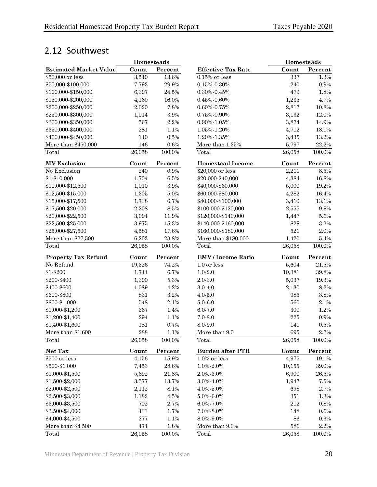## <span id="page-23-0"></span>2.12 Southwest

|                               | Homesteads         |           |                           | Homesteads |           |
|-------------------------------|--------------------|-----------|---------------------------|------------|-----------|
| <b>Estimated Market Value</b> | Count              | Percent   | <b>Effective Tax Rate</b> | Count      | Percent   |
| \$50,000 or less              | 3,540              | 13.6%     | $0.15\%$ or less          | 337        | $1.3\%$   |
| \$50,000-\$100,000            | 7,793              | $29.9\%$  | $0.15\% - 0.30\%$         | 240        | $0.9\%$   |
| \$100,000-\$150,000           | 6,397              | 24.5%     | $0.30\% - 0.45\%$         | 479        | 1.8%      |
| \$150,000-\$200,000           | 4,160              | 16.0%     | $0.45\% - 0.60\%$         | 1,235      | 4.7%      |
| \$200,000-\$250,000           | 2,020              | 7.8%      | $0.60\% - 0.75\%$         | 2,817      | 10.8%     |
| \$250,000-\$300,000           | 1,014              | 3.9%      | $0.75\% - 0.90\%$         | 3,132      | 12.0%     |
| \$300,000-\$350,000           | 567                | 2.2%      | $0.90\% - 1.05\%$         | 3,874      | 14.9%     |
| \$350,000-\$400,000           | 281                | 1.1%      | 1.05%-1.20%               | 4,712      | 18.1%     |
| \$400,000-\$450,000           | 140                | $0.5\%$   | 1.20%-1.35%               | 3,435      | 13.2%     |
| More than \$450,000           | 146                | $0.6\%$   | More than 1.35%           | 5,797      | 22.2%     |
| Total                         | 26,058             | 100.0%    | Total                     | 26,058     | 100.0%    |
| <b>MV</b> Exclusion           | Count              | Percent   | <b>Homestead Income</b>   | Count      | Percent   |
| No Exclusion                  | 240                | $0.9\%$   | \$20,000 or less          | 2,211      | $8.5\%$   |
| \$1-\$10,000                  | 1,704              | $6.5\%$   | \$20,000-\$40,000         | 4,384      | 16.8%     |
| \$10,000-\$12,500             | 1,010              | 3.9%      | \$40,000-\$60,000         | 5,000      | 19.2%     |
| \$12,500-\$15,000             | 1,305              | $5.0\%$   | \$60,000-\$80,000         | 4,282      | 16.4%     |
| \$15,000-\$17,500             | 1,738              | 6.7%      | \$80,000-\$100,000        | 3,410      | 13.1%     |
| \$17,500-\$20,000             | 2,208              | $8.5\%$   | \$100,000-\$120,000       | 2,555      | $9.8\%$   |
| \$20,000-\$22,500             | 3,094              | 11.9%     | \$120,000-\$140,000       | 1,447      | $5.6\%$   |
| \$22,500-\$25,000             | 3,975              | 15.3%     | \$140,000-\$160,000       | 828        | $3.2\%$   |
| \$25,000-\$27,500             | 4,581              | 17.6%     | \$160,000-\$180,000       | 521        | $2.0\%$   |
| More than \$27,500            | 6,203              | 23.8%     | More than \$180,000       | 1,420      | $5.4\%$   |
| Total                         | 26,058             | 100.0%    | Total                     | 26,058     | $100.0\%$ |
| <b>Property Tax Refund</b>    | Count              | Percent   | <b>EMV</b> / Income Ratio | Count      | Percent   |
| No Refund                     | 19,326             | 74.2%     | 1.0 or less               | 5,604      | $21.5\%$  |
| \$1-\$200                     | 1,744              | 6.7%      | $1.0 - 2.0$               | 10,381     | 39.8%     |
| \$200-\$400                   | 1,390              | $5.3\%$   | $2.0 - 3.0$               | 5,037      | 19.3%     |
| \$400-\$600                   | 1,089              | 4.2%      | $3.0 - 4.0$               | 2,130      | 8.2%      |
| \$600-\$800                   | 831                | 3.2%      | $4.0 - 5.0$               | 985        | $3.8\%$   |
| \$800-\$1,000                 | 548                | 2.1%      | $5.0 - 6.0$               | 560        | 2.1%      |
| \$1,000-\$1,200               | 367                | 1.4%      | $6.0 - 7.0$               | $300\,$    | 1.2%      |
| \$1,200-\$1,400               | $\,294$            | 1.1%      | $7.0 - 8.0$               | $225\,$    | $0.9\%$   |
| \$1,400-\$1,600               | 181                | 0.7%      | 8.0-9.0                   | 141        | $0.5\%$   |
| More than \$1,600             | $\boldsymbol{288}$ | 1.1%      | More than 9.0             | $695\,$    | $2.7\%$   |
| Total                         | 26,058             | 100.0%    | Total                     | 26,058     | 100.0%    |
| Net Tax                       | Count              | Percent   | <b>Burden after PTR</b>   | Count      | Percent   |
| \$500 or less                 | 4,156              | 15.9%     | $1.0\%$ or less           | 4,975      | 19.1%     |
| \$500-\$1,000                 | 7,453              | $28.6\%$  | $1.0\% - 2.0\%$           | 10,155     | 39.0%     |
| \$1,000-\$1,500               | 5,692              | $21.8\%$  | 2.0%-3.0%                 | 6,900      | $26.5\%$  |
| \$1,500-\$2,000               | 3,577              | 13.7%     | 3.0%-4.0%                 | 1,947      | 7.5%      |
| \$2,000-\$2,500               | 2,112              | 8.1%      | $4.0\% - 5.0\%$           | 698        | $2.7\%$   |
| \$2,500-\$3,000               | 1,182              | $4.5\%$   | $5.0\% - 6.0\%$           | $351\,$    | 1.3%      |
| \$3,000-\$3,500               | 702                | $2.7\%$   | $6.0\% - 7.0\%$           | $212\,$    | $0.8\%$   |
| \$3,500-\$4,000               | 433                | 1.7%      | 7.0%-8.0%                 | 148        | $0.6\%$   |
| \$4,000-\$4,500               | 277                | 1.1%      | $8.0\% - 9.0\%$           | 86         | $0.3\%$   |
| More than \$4,500             | 474                | $1.8\%$   | More than 9.0%            | $586\,$    | $2.2\%$   |
| Total                         | 26,058             | $100.0\%$ | Total                     | 26,058     | $100.0\%$ |

|                           | <b>Homesteads</b> |         |
|---------------------------|-------------------|---------|
| <b>Effective Tax Rate</b> | Count             | Percent |
| $0.15\%$ or less          | 337               | 1.3%    |
| $0.15\% - 0.30\%$         | 240               | 0.9%    |
| 0.30%-0.45%               | 479               | 1.8%    |
| $0.45\% - 0.60\%$         | 1,235             | 4.7%    |
| 0.60%-0.75%               | 2,817             | 10.8%   |
| 0.75%-0.90%               | 3,132             | 12.0%   |
| 0.90%-1.05%               | 3,874             | 14.9%   |
| 1.05%-1.20%               | 4,712             | 18.1%   |
| 1.20%-1.35%               | 3,435             | 13.2%   |
| More than $1.35\%$        | 5,797             | 22.2%   |
| Total                     | 26,058            | 100.0%  |
| <b>Homestead Income</b>   | Count             | Percent |
| \$20,000 or less          | 2,211             | 8.5%    |
| \$20,000-\$40,000         | 4,384             | 16.8%   |
| \$40,000-\$60,000         | 5,000             | 19.2%   |
| \$60,000-\$80,000         | 4,282             | 16.4%   |
| \$80,000-\$100,000        | 3,410             | 13.1%   |
| \$100,000-\$120,000       | 2,555             | 9.8%    |
| \$120,000-\$140,000       | 1,447             | 5.6%    |
| \$140,000-\$160,000       | 828               | 3.2%    |
| \$160,000-\$180,000       | 521               | 2.0%    |
| More than \$180,000       | 1,420             | 5.4%    |
| Total                     | 26,058            | 100.0%  |
| <b>EMV</b> / Income Ratio | Count             | Percent |
| 1.0 or less               | 5,604             | 21.5%   |
| $1.0 - 2.0$               | 10,381            | 39.8%   |
| $2.0 - 3.0$               | 5,037             | 19.3%   |
| $3.0 - 4.0$               | 2,130             | 8.2%    |
| $4.0 - 5.0$               | 985               | 3.8%    |
| $5.0 - 6.0$               | 560               | 2.1%    |
| $6.0 - 7.0$               | 300               | 1.2%    |
| $7.0 - 8.0$               | 225               | 0.9%    |
| 8.0-9.0                   | 141               | 0.5%    |
| More than 9.0             | 695               | $2.7\%$ |
| Total                     | 26,058            | 100.0%  |
| <b>Burden after PTR</b>   | Count             | Percent |
| $1.0\%$ or less           | 4,975             | 19.1%   |
| $1.0\% - 2.0\%$           | 10,155            | 39.0%   |
| 2.0%-3.0%                 | 6,900             | 26.5%   |
| 3.0%-4.0%                 | 1,947             | 7.5%    |
| 4.0%-5.0%                 | 698               | 2.7%    |
| 5.0%-6.0%                 | 351               | 1.3%    |
| 6.0%-7.0%                 | 212               | 0.8%    |
| $7.0\% - 8.0\%$           | 148               | $0.6\%$ |
| 8.0%-9.0%                 | 86                | 0.3%    |
| More than 9.0%            | 586               | 2.2%    |
| Total                     | 26,058            | 100.0%  |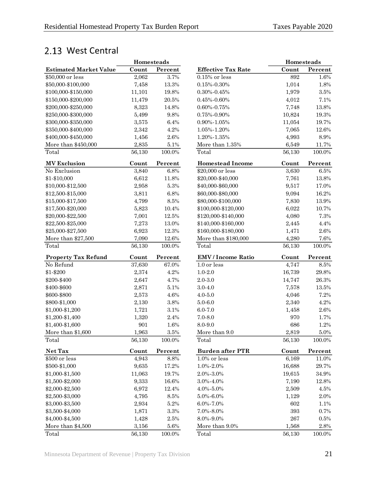## <span id="page-24-0"></span>2.13 West Central

|                               | Homesteads |           |                           | Homesteads  |           |
|-------------------------------|------------|-----------|---------------------------|-------------|-----------|
| <b>Estimated Market Value</b> | Count      | Percent   | <b>Effective Tax Rate</b> | Count       | Percent   |
| \$50,000 or less              | 2,062      | 3.7%      | $0.15\%$ or less          | 892         | 1.6%      |
| \$50,000-\$100,000            | 7,458      | 13.3%     | $0.15\% - 0.30\%$         | 1,014       | 1.8%      |
| \$100,000-\$150,000           | 11,101     | 19.8%     | $0.30\% - 0.45\%$         | 1,979       | $3.5\%$   |
| \$150,000-\$200,000           | 11,479     | $20.5\%$  | $0.45\% - 0.60\%$         | 4,012       | 7.1%      |
| \$200,000-\$250,000           | 8,323      | 14.8%     | $0.60\% - 0.75\%$         | 7,748       | 13.8%     |
| \$250,000-\$300,000           | 5,499      | 9.8%      | $0.75\% - 0.90\%$         | 10,824      | 19.3%     |
| \$300,000-\$350,000           | 3,575      | 6.4%      | $0.90\% - 1.05\%$         | 11,054      | 19.7%     |
| \$350,000-\$400,000           | 2,342      | 4.2%      | 1.05%-1.20%               | 7,065       | 12.6%     |
| \$400,000-\$450,000           | 1,456      | $2.6\%$   | 1.20%-1.35%               | 4,993       | $8.9\%$   |
| More than \$450,000           | 2,835      | 5.1%      | More than 1.35%           | 6,549       | 11.7%     |
| Total                         | 56,130     | 100.0%    | Total                     | 56,130      | 100.0%    |
| <b>MV</b> Exclusion           | Count      | Percent   | <b>Homestead Income</b>   | Count       | Percent   |
| No Exclusion                  | 3,840      | 6.8%      | \$20,000 or less          | 3,630       | $6.5\%$   |
| \$1-\$10,000                  | 6,612      | 11.8%     | \$20,000-\$40,000         | 7,761       | 13.8%     |
| \$10,000-\$12,500             | 2,958      | $5.3\%$   | \$40,000-\$60,000         | 9,517       | 17.0%     |
| \$12,500-\$15,000             | 3,811      | 6.8%      | \$60,000-\$80,000         | 9,094       | 16.2%     |
| \$15,000-\$17,500             | 4,799      | 8.5%      | \$80,000-\$100,000        | 7,830       | 13.9%     |
| \$17,500-\$20,000             | 5,823      | 10.4%     | \$100,000-\$120,000       | 6,022       | 10.7%     |
| \$20,000-\$22,500             | 7,001      | 12.5%     | \$120,000-\$140,000       | 4,080       | 7.3%      |
| \$22,500-\$25,000             | 7,273      | 13.0%     | \$140,000-\$160,000       | 2,445       | $4.4\%$   |
| \$25,000-\$27,500             | 6,923      | 12.3%     | \$160,000-\$180,000       | 1,471       | $2.6\%$   |
| More than \$27,500            | 7,090      | 12.6%     | More than \$180,000       | 4,280       | $7.6\%$   |
| Total                         | 56,130     | 100.0%    | Total                     | 56,130      | 100.0%    |
| <b>Property Tax Refund</b>    | Count      | Percent   | <b>EMV</b> / Income Ratio | Count       | Percent   |
| No Refund                     | 37,630     | 67.0%     | 1.0 or less               | 4,747       | $8.5\%$   |
| \$1-\$200                     | 2,374      | 4.2%      | $1.0 - 2.0$               | 16,739      | 29.8%     |
| \$200-\$400                   | 2,647      | 4.7%      | $2.0 - 3.0$               | 14,747      | 26.3%     |
| \$400-\$600                   | 2,871      | 5.1%      | $3.0 - 4.0$               | 7,578       | 13.5%     |
| \$600-\$800                   | 2,573      | 4.6%      | $4.0 - 5.0$               | 4,046       | 7.2%      |
| \$800-\$1,000                 | 2,130      | 3.8%      | $5.0 - 6.0$               | 2,340       | 4.2%      |
| \$1,000-\$1,200               | 1,721      | $3.1\%$   | $6.0 - 7.0$               | 1,458       | $2.6\%$   |
| \$1,200-\$1,400               | 1,320      | 2.4%      | $7.0 - 8.0$               | 970         | 1.7%      |
| \$1,400-\$1,600               | 901        | 1.6%      | 8.0-9.0                   | 686         | 1.2%      |
| More than \$1,600             | 1,963      | $3.5\%$   | More than 9.0             | 2,819       | $5.0\%$   |
| Total                         | 56,130     | 100.0%    | Total                     | 56,130      | 100.0%    |
| Net Tax                       | Count      | Percent   | <b>Burden after PTR</b>   | Count       | Percent   |
| \$500 or less                 | 4,943      | 8.8%      | $1.0\%$ or less           | 6,169       | 11.0%     |
| \$500-\$1,000                 | 9,635      | 17.2%     | $1.0\% - 2.0\%$           | 16,688      | 29.7%     |
| \$1,000-\$1,500               | 11,063     | 19.7%     | 2.0%-3.0%                 | 19,615      | $34.9\%$  |
| \$1,500-\$2,000               | 9,333      | 16.6%     | 3.0%-4.0%                 | 7,190       | $12.8\%$  |
| \$2,000-\$2,500               | 6,972      | 12.4%     | $4.0\% - 5.0\%$           | 2,509       | 4.5%      |
| \$2,500-\$3,000               | 4,795      | $8.5\%$   | $5.0\% - 6.0\%$           | 1,129       | 2.0%      |
| \$3,000-\$3,500               | 2,934      | 5.2%      | $6.0\% - 7.0\%$           | 602         | 1.1%      |
| \$3,500-\$4,000               | 1,871      | $3.3\%$   | 7.0%-8.0%                 | 393         | 0.7%      |
| \$4,000-\$4,500               | 1,428      | $2.5\%$   | 8.0%-9.0%                 | ${\bf 267}$ | $0.5\%$   |
| More than \$4,500             | 3,156      | $5.6\%$   | More than 9.0%            | 1,568       | $2.8\%$   |
| Total                         | 56,130     | $100.0\%$ | Total                     | 56,130      | $100.0\%$ |

|                           | Homesteads |         |
|---------------------------|------------|---------|
| <b>Effective Tax Rate</b> | Count      | Percent |
| $0.15\%$ or less          | 892        | 1.6%    |
| $0.15\% - 0.30\%$         | 1,014      | 1.8%    |
| $0.30\% - 0.45\%$         | 1,979      | 3.5%    |
| $0.45\% - 0.60\%$         | 4,012      | 7.1%    |
| $0.60\% - 0.75\%$         | 7,748      | 13.8%   |
| 0.75%-0.90%               | 10,824     | 19.3%   |
| 0.90%-1.05%               | 11,054     | 19.7%   |
| 1.05%-1.20%               | 7,065      | 12.6%   |
| 1.20%-1.35%               | 4,993      | 8.9%    |
| More than 1.35%           | 6,549      | 11.7%   |
| Total                     | 56,130     | 100.0%  |
| <b>Homestead Income</b>   | Count      | Percent |
| \$20,000 or less          | 3,630      | 6.5%    |
| \$20,000-\$40,000         | 7,761      | 13.8%   |
| \$40,000-\$60,000         | 9,517      | 17.0%   |
| \$60,000-\$80,000         | 9,094      | 16.2%   |
| \$80,000-\$100,000        | 7,830      | 13.9%   |
| \$100,000-\$120,000       | 6,022      | 10.7%   |
| \$120,000-\$140,000       | 4,080      | 7.3%    |
| \$140,000-\$160,000       | 2,445      | 4.4%    |
| \$160,000-\$180,000       | 1,471      | 2.6%    |
| More than \$180,000       | 4,280      | 7.6%    |
| Total                     | 56,130     | 100.0%  |
| <b>EMV</b> / Income Ratio | Count      | Percent |
| 1.0 or less               | 4,747      | 8.5%    |
| $1.0 - 2.0$               | 16,739     | 29.8%   |
| $2.0 - 3.0$               | 14,747     | 26.3%   |
| $3.0 - 4.0$               | 7,578      | 13.5%   |
| $4.0 - 5.0$               | 4,046      | 7.2%    |
| $5.0 - 6.0$               | 2,340      | 4.2%    |
| $6.0 - 7.0$               | 1,458      | 2.6%    |
| $7.0 - 8.0$               | 970        | 1.7%    |
| 8.0-9.0                   | 686        | 1.2%    |
| More than 9.0             | 2,819      | 5.0%    |
| Total                     | 56,130     | 100.0%  |
| <b>Burden after PTR</b>   | Count      | Percent |
| $1.0\%$ or less           | 6,169      | 11.0%   |
| 1.0%-2.0%                 | 16,688     | 29.7%   |
| 2.0%-3.0%                 | 19,615     | 34.9%   |
| 3.0%-4.0%                 | 7,190      | 12.8%   |
| $4.0\% - 5.0\%$           | 2,509      | $4.5\%$ |
| 5.0%-6.0%                 | 1,129      | 2.0%    |
| 6.0%-7.0%                 | 602        | 1.1%    |
| 7.0%-8.0%                 | 393        | $0.7\%$ |
| 8.0%-9.0%                 | 267        | 0.5%    |
| More than 9.0%            | 1,568      | 2.8%    |
| Total                     | 56 130     | 100.0%  |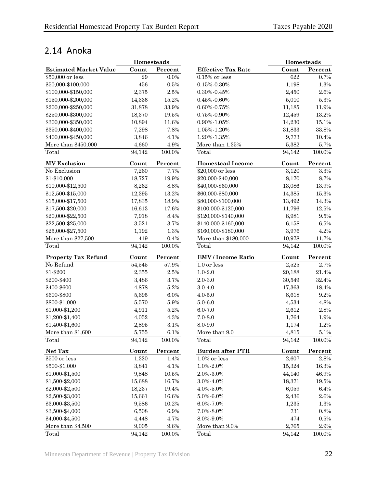## <span id="page-25-0"></span>2.14 Anoka

|                               | Homesteads |           |                           | Homesteads |         |
|-------------------------------|------------|-----------|---------------------------|------------|---------|
| <b>Estimated Market Value</b> | Count      | Percent   | <b>Effective Tax Rate</b> | Count      | Percent |
| \$50,000 or less              | 29         | 0.0%      | $0.15\%$ or less          | 622        | 0.7%    |
| \$50,000-\$100,000            | 456        | 0.5%      | $0.15\% - 0.30\%$         | 1,198      | 1.3%    |
| \$100,000-\$150,000           | 2,375      | $2.5\%$   | $0.30\% - 0.45\%$         | 2,450      | 2.6%    |
| \$150,000-\$200,000           | 14,336     | 15.2%     | $0.45\% - 0.60\%$         | 5,010      | 5.3%    |
| \$200,000-\$250,000           | 31,878     | 33.9%     | $0.60\% - 0.75\%$         | 11,185     | 11.9%   |
| \$250,000-\$300,000           | 18,370     | 19.5%     | $0.75\% - 0.90\%$         | 12,459     | 13.2%   |
| \$300,000-\$350,000           | 10,894     | 11.6%     | $0.90\% - 1.05\%$         | 14,230     | 15.1%   |
| \$350,000-\$400,000           | 7,298      | 7.8%      | 1.05%-1.20%               | 31,833     | 33.8%   |
| \$400,000-\$450,000           | 3,846      | 4.1%      | 1.20%-1.35%               | 9,773      | 10.4%   |
| More than \$450,000           | 4,660      | 4.9%      | More than 1.35%           | 5,382      | 5.7%    |
| Total                         | 94,142     | 100.0%    | Total                     | 94,142     | 100.0%  |
| <b>MV Exclusion</b>           | Count      | Percent   | <b>Homestead Income</b>   | Count      | Percent |
| No Exclusion                  | 7,260      | 7.7%      | \$20,000 or less          | 3,120      | 3.3%    |
| \$1-\$10,000                  | 18,727     | 19.9%     | \$20,000-\$40,000         | 8,170      | 8.7%    |
| \$10,000-\$12,500             | 8,262      | 8.8%      | \$40,000-\$60,000         | 13,086     | 13.9%   |
| \$12,500-\$15,000             | 12,395     | 13.2%     | \$60,000-\$80,000         | 14,385     | 15.3%   |
| \$15,000-\$17,500             | 17,835     | 18.9%     | \$80,000-\$100,000        | 13,492     | 14.3%   |
| \$17,500-\$20,000             | 16,613     | 17.6%     | \$100,000-\$120,000       | 11,796     | 12.5%   |
| \$20,000-\$22,500             | 7,918      | 8.4%      | \$120,000-\$140,000       | 8,981      | 9.5%    |
| \$22,500-\$25,000             | 3,521      | 3.7%      | \$140,000-\$160,000       | 6,158      | 6.5%    |
| \$25,000-\$27,500             | 1,192      | 1.3%      | \$160,000-\$180,000       | 3,976      | 4.2%    |
| More than \$27,500            | 419        | $0.4\%$   | More than \$180,000       | 10,978     | 11.7%   |
| Total                         | 94,142     | 100.0%    | Total                     | 94,142     | 100.0%  |
| <b>Property Tax Refund</b>    | Count      | Percent   | <b>EMV</b> / Income Ratio | Count      | Percent |
| No Refund                     | 54,545     | 57.9%     | 1.0 or less               | 2,525      | 2.7%    |
| \$1-\$200                     | 2,355      | $2.5\%$   | $1.0 - 2.0$               | 20,188     | 21.4%   |
| \$200-\$400                   | 3,486      | 3.7%      | $2.0 - 3.0$               | 30,549     | 32.4%   |
| \$400-\$600                   | 4,878      | 5.2%      | $3.0 - 4.0$               | 17,363     | 18.4%   |
| \$600-\$800                   | 5,695      | 6.0%      | $4.0 - 5.0$               | 8,618      | 9.2%    |
| \$800-\$1,000                 | 5,570      | $5.9\%$   | $5.0 - 6.0$               | 4,534      | 4.8%    |
| \$1,000-\$1,200               | 4,911      | 5.2%      | $6.0 - 7.0$               | 2,612      | 2.8%    |
| \$1,200-\$1,400               | 4,052      | 4.3%      | $7.0 - 8.0$               | 1,764      | 1.9%    |
| \$1,400-\$1,600               | 2,895      | 3.1%      | 8.0-9.0                   | 1,174      | 1.2%    |
| More than \$1,600             | 5,755      | $6.1\%$   | More than 9.0             | 4,815      | 5.1%    |
| Total                         | 94,142     | 100.0%    | Total                     | 94,142     | 100.0%  |
| Net Tax                       | Count      | Percent   | <b>Burden after PTR</b>   | Count      | Percent |
| \$500 or less                 | 1,320      | 1.4%      | $1.0\%$ or less           | 2,607      | 2.8%    |
| \$500-\$1,000                 | 3,841      | 4.1%      | $1.0\% - 2.0\%$           | 15,324     | 16.3%   |
| \$1,000-\$1,500               | 9,848      | $10.5\%$  | $2.0\% - 3.0\%$           | 44,140     | 46.9%   |
| \$1,500-\$2,000               | 15,688     | 16.7%     | 3.0%-4.0%                 | 18,371     | 19.5%   |
| \$2,000-\$2,500               | 18,237     | 19.4%     | 4.0%-5.0%                 | 6,059      | 6.4%    |
| \$2,500-\$3,000               | 15,661     | 16.6%     | $5.0\% - 6.0\%$           | 2,436      | 2.6%    |
| \$3,000-\$3,500               | 9,586      | 10.2%     | 6.0%-7.0%                 | 1,235      | 1.3%    |
| \$3,500-\$4,000               | 6,508      | 6.9%      | 7.0%-8.0%                 | $731\,$    | 0.8%    |
| \$4,000-\$4,500               | 4,448      | 4.7%      | 8.0%-9.0%                 | 474        | 0.5%    |
| More than \$4,500             | 9,005      | $9.6\%$   | More than 9.0%            | 2,765      | 2.9%    |
| Total                         | 94,142     | $100.0\%$ | Total                     | 94,142     | 100.0%  |

|                               | Homesteads |           |                           | Homesteads |         |
|-------------------------------|------------|-----------|---------------------------|------------|---------|
| <b>Estimated Market Value</b> | Count      | Percent   | <b>Effective Tax Rate</b> | Count      | Percent |
| \$50,000 or less              | 29         | 0.0%      | $0.15\%$ or less          | 622        | 0.7%    |
| \$50,000-\$100,000            | 456        | $0.5\%$   | $0.15\% - 0.30\%$         | 1,198      | 1.3%    |
| \$100,000-\$150,000           | 2,375      | $2.5\%$   | $0.30\% - 0.45\%$         | $2,\!450$  | $2.6\%$ |
| \$150,000-\$200,000           | 14,336     | 15.2%     | $0.45\% - 0.60\%$         | 5,010      | $5.3\%$ |
| \$200,000-\$250,000           | 31,878     | 33.9%     | $0.60\% - 0.75\%$         | 11,185     | 11.9%   |
| \$250,000-\$300,000           | 18,370     | 19.5%     | $0.75\% - 0.90\%$         | 12,459     | 13.2%   |
| \$300,000-\$350,000           | 10,894     | 11.6%     | 0.90%-1.05%               | 14,230     | 15.1%   |
| \$350,000-\$400,000           | 7,298      | 7.8%      | 1.05%-1.20%               | 31,833     | 33.8%   |
| \$400,000-\$450,000           | 3,846      | 4.1%      | 1.20%-1.35%               | 9,773      | 10.4%   |
| More than \$450,000           | 4,660      | 4.9%      | More than $1.35\%$        | 5,382      | 5.7%    |
| Total                         | 94,142     | $100.0\%$ | Total                     | 94,142     | 100.0%  |
| <b>MV Exclusion</b>           | Count      | Percent   | <b>Homestead Income</b>   | Count      | Percent |
| No Exclusion                  | 7,260      | 7.7%      | \$20,000 or less          | 3,120      | $3.3\%$ |
| \$1-\$10,000                  | 18,727     | 19.9%     | \$20,000-\$40,000         | 8,170      | 8.7%    |
| \$10,000-\$12,500             | 8,262      | 8.8%      | \$40,000-\$60,000         | 13,086     | 13.9%   |
| \$12,500-\$15,000             | 12,395     | 13.2%     | \$60,000-\$80,000         | 14,385     | 15.3%   |
| \$15,000-\$17,500             | 17,835     | 18.9%     | \$80,000-\$100,000        | 13,492     | 14.3%   |
| \$17,500-\$20,000             | 16,613     | 17.6%     | \$100,000-\$120,000       | 11,796     | 12.5%   |
| \$20,000-\$22,500             | 7,918      | 8.4%      | \$120,000-\$140,000       | 8,981      | 9.5%    |
| \$22,500-\$25,000             | 3,521      | 3.7%      | \$140,000-\$160,000       | 6,158      | $6.5\%$ |
| \$25,000-\$27,500             | 1,192      | 1.3%      | \$160,000-\$180,000       | 3,976      | 4.2%    |
| More than \$27,500            | 419        | $0.4\%$   | More than \$180,000       | 10,978     | 11.7%   |
| Total                         | 94,142     | 100.0%    | Total                     | 94,142     | 100.0%  |
| <b>Property Tax Refund</b>    | Count      | Percent   | <b>EMV</b> / Income Ratio | Count      | Percent |
| No Refund                     | 54,545     | 57.9%     | 1.0 or less               | 2,525      | 2.7%    |
| \$1-\$200                     | 2,355      | $2.5\%$   | $1.0 - 2.0$               | 20,188     | 21.4%   |
| \$200-\$400                   | 3,486      | 3.7%      | $2.0 - 3.0$               | 30,549     | 32.4%   |
| \$400-\$600                   | 4,878      | $5.2\%$   | $3.0 - 4.0$               | 17,363     | 18.4%   |
| \$600-\$800                   | 5,695      | $6.0\%$   | $4.0 - 5.0$               | 8,618      | 9.2%    |
| \$800-\$1,000                 | 5,570      | $5.9\%$   | $5.0 - 6.0$               | 4,534      | 4.8%    |
| \$1,000-\$1,200               | 4,911      | $5.2\%$   | $6.0 - 7.0$               | 2,612      | 2.8%    |
| \$1,200-\$1,400               | 4,052      | $4.3\%$   | $7.0 - 8.0$               | 1,764      | 1.9%    |
| \$1,400-\$1,600               | 2,895      | $3.1\%$   | 8.0-9.0                   | 1,174      | 1.2%    |
| More than \$1,600             | $5,\!755$  | $6.1\%$   | More than 9.0             | 4,815      | $5.1\%$ |
| Total                         | 94,142     | 100.0%    | Total                     | 94,142     | 100.0%  |
| Net Tax                       | Count      | Percent   | <b>Burden after PTR</b>   | Count      | Percent |
| \$500 or less                 | 1,320      | 1.4%      | 1.0% or less              | 2,607      | $2.8\%$ |
| \$500-\$1,000                 | 3,841      | 4.1%      | 1.0%-2.0%                 | 15,324     | 16.3%   |
| \$1,000-\$1,500               | 9,848      | 10.5%     | 2.0%-3.0%                 | 44,140     | 46.9%   |
| \$1,500-\$2,000               | 15,688     | 16.7%     | 3.0%-4.0%                 | 18,371     | 19.5%   |
| \$2,000-\$2,500               | 18,237     | 19.4%     | $4.0\% - 5.0\%$           | 6,059      | 6.4%    |
| \$2,500-\$3,000               | 15,661     | 16.6%     | $5.0\% - 6.0\%$           | 2,436      | 2.6%    |
| \$3,000-\$3,500               | 9,586      | 10.2%     | $6.0\% - 7.0\%$           | 1,235      | 1.3%    |
| \$3,500-\$4,000               | 6,508      | 6.9%      | 7.0%-8.0%                 | 731        | 0.8%    |
| \$4,000-\$4,500               | 4,448      | 4.7%      | 8.0%-9.0%                 | 474        | 0.5%    |
| More than \$4,500             | 9,005      | 9.6%      | More than 9.0%            | 2,765      | 2.9%    |
| Total                         | 94,142     | 100.0%    | Total                     | 94,142     | 100.0%  |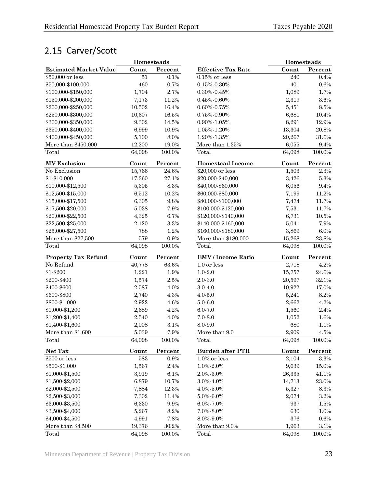## <span id="page-26-0"></span>2.15 Carver/Scott

|                               | Homesteads |           |                           | Homesteads |           |
|-------------------------------|------------|-----------|---------------------------|------------|-----------|
| <b>Estimated Market Value</b> | Count      | Percent   | <b>Effective Tax Rate</b> | Count      | Percent   |
| \$50,000 or less              | 51         | 0.1%      | $0.15\%$ or less          | 240        | 0.4%      |
| \$50,000-\$100,000            | 460        | 0.7%      | $0.15\% - 0.30\%$         | 401        | $0.6\%$   |
| \$100,000-\$150,000           | 1,704      | 2.7%      | $0.30\% - 0.45\%$         | 1,089      | 1.7%      |
| \$150,000-\$200,000           | 7,173      | 11.2%     | $0.45\% - 0.60\%$         | 2,319      | $3.6\%$   |
| \$200,000-\$250,000           | 10,502     | 16.4%     | $0.60\% - 0.75\%$         | 5,451      | $8.5\%$   |
| \$250,000-\$300,000           | 10,607     | 16.5%     | $0.75\% - 0.90\%$         | 6,681      | 10.4%     |
| \$300,000-\$350,000           | 9,302      | 14.5%     | $0.90\% - 1.05\%$         | 8,291      | 12.9%     |
| \$350,000-\$400,000           | 6,999      | 10.9%     | 1.05%-1.20%               | 13,304     | 20.8%     |
| \$400,000-\$450,000           | 5,100      | 8.0%      | 1.20%-1.35%               | 20,267     | 31.6%     |
| More than \$450,000           | 12,200     | 19.0%     | More than 1.35%           | 6,055      | 9.4%      |
| Total                         | 64,098     | 100.0%    | Total                     | 64,098     | 100.0%    |
| <b>MV</b> Exclusion           | Count      | Percent   | <b>Homestead Income</b>   | Count      | Percent   |
| No Exclusion                  | 15,766     | $24.6\%$  | \$20,000 or less          | 1,503      | $2.3\%$   |
| \$1-\$10,000                  | 17,360     | 27.1%     | \$20,000-\$40,000         | 3,426      | 5.3%      |
| \$10,000-\$12,500             | 5,305      | 8.3%      | \$40,000-\$60,000         | 6,056      | 9.4%      |
| \$12,500-\$15,000             | 6,512      | 10.2%     | \$60,000-\$80,000         | 7,199      | 11.2%     |
| \$15,000-\$17,500             | 6,305      | 9.8%      | \$80,000-\$100,000        | 7,474      | 11.7%     |
| \$17,500-\$20,000             | 5,038      | 7.9%      | \$100,000-\$120,000       | 7,531      | 11.7%     |
| \$20,000-\$22,500             | 4,325      | 6.7%      | \$120,000-\$140,000       | 6,731      | $10.5\%$  |
| \$22,500-\$25,000             | 2,120      | $3.3\%$   | \$140,000-\$160,000       | 5,041      | 7.9%      |
| \$25,000-\$27,500             | 788        | 1.2%      | \$160,000-\$180,000       | 3,869      | $6.0\%$   |
| More than \$27,500            | 579        | $0.9\%$   | More than \$180,000       | 15,268     | 23.8%     |
| Total                         | 64,098     | 100.0%    | Total                     | 64,098     | 100.0%    |
| <b>Property Tax Refund</b>    | Count      | Percent   | <b>EMV</b> / Income Ratio | Count      | Percent   |
| No Refund                     | 40,778     | 63.6%     | 1.0 or less               | 2,718      | 4.2%      |
| \$1-\$200                     | 1,221      | 1.9%      | $1.0 - 2.0$               | 15,757     | 24.6%     |
| \$200-\$400                   | 1,574      | $2.5\%$   | $2.0 - 3.0$               | 20,597     | 32.1%     |
| \$400-\$600                   | 2,587      | 4.0%      | $3.0 - 4.0$               | 10,922     | 17.0%     |
| \$600-\$800                   | 2,740      | 4.3%      | $4.0 - 5.0$               | 5,241      | 8.2%      |
| \$800-\$1,000                 | 2,922      | 4.6%      | $5.0 - 6.0$               | 2,662      | 4.2%      |
| \$1,000-\$1,200               | 2,689      | 4.2%      | $6.0 - 7.0$               | 1,560      | $2.4\%$   |
| \$1,200-\$1,400               | 2,540      | 4.0%      | $7.0 - 8.0$               | 1,052      | 1.6%      |
| \$1,400-\$1,600               | 2,008      | 3.1%      | 8.0-9.0                   | 680        | 1.1%      |
| More than \$1,600             | 5,039      | $7.9\%$   | More than 9.0             | 2,909      | $4.5\%$   |
| Total                         | 64,098     | 100.0%    | Total                     | 64,098     | 100.0%    |
| Net Tax                       | Count      | Percent   | <b>Burden after PTR</b>   | Count      | Percent   |
| \$500 or less                 | 583        | 0.9%      | $1.0\%$ or less           | 2,104      | $3.3\%$   |
| \$500-\$1,000                 | 1,567      | $2.4\%$   | $1.0\% - 2.0\%$           | 9,639      | 15.0%     |
| \$1,000-\$1,500               | 3,919      | 6.1%      | 2.0%-3.0%                 | 26,335     | 41.1%     |
| \$1,500-\$2,000               | 6,879      | 10.7%     | 3.0%-4.0%                 | 14,713     | 23.0%     |
| \$2,000-\$2,500               | 7,884      | 12.3%     | $4.0\% - 5.0\%$           | 5,327      | $8.3\%$   |
| \$2,500-\$3,000               | 7,302      | 11.4%     | $5.0\% - 6.0\%$           | 2,074      | $3.2\%$   |
| \$3,000-\$3,500               | 6,330      | 9.9%      | $6.0\% - 7.0\%$           | 937        | 1.5%      |
| \$3,500-\$4,000               | 5,267      | 8.2%      | 7.0%-8.0%                 | $630\,$    | 1.0%      |
| \$4,000-\$4,500               | 4,991      | 7.8%      | 8.0%-9.0%                 | 376        | $0.6\%$   |
| More than \$4,500             | 19,376     | $30.2\%$  | More than 9.0%            | 1,963      | $3.1\%$   |
| Total                         | 64,098     | $100.0\%$ | Total                     | 64,098     | $100.0\%$ |

|                           | Homesteads |         |  |
|---------------------------|------------|---------|--|
| <b>Effective Tax Rate</b> | Count      | Percent |  |
| $0.15\%$ or less          | 240        | 0.4%    |  |
| $0.15\% - 0.30\%$         | 401        | 0.6%    |  |
| $0.30\% - 0.45\%$         | 1,089      | 1.7%    |  |
| $0.45\% - 0.60\%$         | 2,319      | $3.6\%$ |  |
| $0.60\% - 0.75\%$         | 5,451      | 8.5%    |  |
| 0.75%-0.90%               | 6,681      | 10.4%   |  |
| $0.90\% - 1.05\%$         | 8,291      | 12.9%   |  |
| 1.05%-1.20%               | 13,304     | 20.8%   |  |
| 1.20%-1.35%               | 20,267     | 31.6%   |  |
| More than 1.35%           | 6,055      | 9.4%    |  |
| Total                     | 64,098     | 100.0%  |  |
|                           |            |         |  |
| <b>Homestead Income</b>   | Count      | Percent |  |
| \$20,000 or less          | 1,503      | 2.3%    |  |
| \$20,000-\$40,000         | 3,426      | 5.3%    |  |
| \$40,000-\$60,000         | 6,056      | 9.4%    |  |
| \$60,000-\$80,000         | 7,199      | 11.2%   |  |
| \$80,000-\$100,000        | 7,474      | 11.7%   |  |
| \$100,000-\$120,000       | 7,531      | 11.7%   |  |
| \$120,000-\$140,000       | 6,731      | 10.5%   |  |
| \$140,000-\$160,000       | 5,041      | 7.9%    |  |
| \$160,000-\$180,000       | 3,869      | 6.0%    |  |
| More than \$180,000       | 15,268     | 23.8%   |  |
| Total                     | 64,098     | 100.0%  |  |
| <b>EMV</b> / Income Ratio | Count      | Percent |  |
| 1.0 or less               | 2,718      | 4.2%    |  |
| $1.0 - 2.0$               | 15,757     | 24.6%   |  |
| $2.0 - 3.0$               | 20,597     | 32.1%   |  |
| $3.0 - 4.0$               | 10,922     | 17.0%   |  |
| $4.0 - 5.0$               | 5,241      | 8.2%    |  |
| $5.0 - 6.0$               | 2,662      | 4.2%    |  |
| $6.0 - 7.0$               | 1,560      | 2.4%    |  |
| $7.0 - 8.0$               | 1,052      | $1.6\%$ |  |
| 8.0-9.0                   | 680        | 1.1%    |  |
| More than 9.0             | 2,909      | 4.5%    |  |
| Total                     | 64,098     | 100.0%  |  |
| <b>Burden after PTR</b>   | Count      | Percent |  |
| $1.0\%$ or less           | 2,104      | 3.3%    |  |
| 1.0%-2.0%                 | 9,639      | 15.0%   |  |
| 2.0%-3.0%                 | 26,335     | 41.1%   |  |
| 3.0%-4.0%                 | 14,713     | 23.0%   |  |
| 4.0%-5.0%                 | 5,327      | 8.3%    |  |
| 5.0%-6.0%                 | 2,074      | 3.2%    |  |
| 6.0%-7.0%                 | 937        | 1.5%    |  |
| 7.0%-8.0%                 | 630        | 1.0%    |  |
| 8.0%-9.0%                 | 376        | 0.6%    |  |
| More than 9.0%            | 1,963      | 3.1%    |  |
|                           |            |         |  |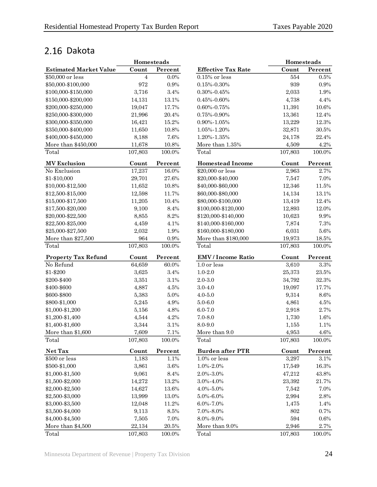## <span id="page-27-0"></span>2.16 Dakota

|                               | Homesteads |         |
|-------------------------------|------------|---------|
| <b>Estimated Market Value</b> | Count      | Percent |
| \$50,000 or less              | 4          | $0.0\%$ |
| \$50,000-\$100,000            | 972        | 0.9%    |
| \$100,000-\$150,000           | 3,716      | 3.4%    |
| \$150,000-\$200,000           | 14,131     | 13.1%   |
| \$200,000-\$250,000           | 19,047     | 17.7%   |
| \$250,000-\$300,000           | 21,996     | 20.4%   |
| \$300,000-\$350,000           | 16,421     | 15.2%   |
| \$350,000-\$400,000           | 11,650     | 10.8%   |
| \$400,000-\$450,000           | 8,188      | 7.6%    |
| More than \$450,000           | 11,678     | 10.8%   |
| Total                         | 107,803    | 100.0%  |
| <b>MV Exclusion</b>           | Count      | Percent |
| No Exclusion                  | 17,237     | 16.0%   |
| \$1-\$10,000                  | 29,701     | 27.6%   |
| \$10,000-\$12,500             | 11,652     | 10.8%   |
| \$12,500-\$15,000             | 12,598     | 11.7%   |
| \$15,000-\$17,500             | 11,205     | 10.4%   |
| \$17,500-\$20,000             | 9,100      | 8.4%    |
| \$20,000-\$22,500             | 8,855      | 8.2%    |
| \$22,500-\$25,000             | 4,459      | 4.1%    |
| \$25,000-\$27,500             | 2,032      | 1.9%    |
| More than \$27,500            | 964        | 0.9%    |
| Total                         | 107,803    | 100.0%  |
| <b>Property Tax Refund</b>    | Count      | Percent |
| No Refund                     | 64,659     | 60.0%   |
| \$1-\$200                     | 3,625      | 3.4%    |
| \$200-\$400                   | 3,351      | 3.1%    |
| \$400-\$600                   | 4,887      | 4.5%    |
| \$600-\$800                   | 5,383      | 5.0%    |
| \$800-\$1,000                 | 5,245      | 4.9%    |
| \$1,000-\$1,200               | 5,156      | 4.8%    |
| \$1,200-\$1,400               | 4,544      | 4.2%    |
| \$1,400-\$1,600               | 3,344      | 3.1%    |
| More than \$1,600             | 7,609      | 7.1%    |
| Total                         | 107,803    | 100.0%  |
| Net Tax                       | Count      | Percent |
| \$500 or less                 | 1,183      | 1.1%    |
| \$500-\$1,000                 | 3,861      | 3.6%    |
| \$1,000-\$1,500               | 9,061      | 8.4%    |
| \$1,500-\$2,000               | 14,272     | 13.2%   |
| \$2,000-\$2,500               | 14,627     | 13.6%   |
| \$2,500-\$3,000               | 13,999     | 13.0%   |
| \$3,000-\$3,500               | 12,048     | 11.2%   |
| \$3,500-\$4,000               | 9,113      | 8.5%    |
| \$4,000-\$4,500               | 7,505      | 7.0%    |
| More than \$4,500             | 22,134     | 20.5%   |
| Total                         | 107 803    | 100 0%  |

|                               | Homesteads |          |                           | Homesteads |          |
|-------------------------------|------------|----------|---------------------------|------------|----------|
| <b>Estimated Market Value</b> | Count      | Percent  | <b>Effective Tax Rate</b> | Count      | Percent  |
| \$50,000 or less              | 4          | 0.0%     | $0.15\%$ or less          | 554        | 0.5%     |
| \$50,000-\$100,000            | 972        | 0.9%     | $0.15\% - 0.30\%$         | 939        | 0.9%     |
| \$100,000-\$150,000           | 3,716      | 3.4%     | $0.30\% - 0.45\%$         | 2,033      | 1.9%     |
| \$150,000-\$200,000           | 14,131     | 13.1%    | $0.45\% - 0.60\%$         | 4,738      | 4.4%     |
| \$200,000-\$250,000           | 19,047     | 17.7%    | 0.60%-0.75%               | 11,391     | $10.6\%$ |
| \$250,000-\$300,000           | 21,996     | 20.4%    | $0.75\% - 0.90\%$         | 13,361     | 12.4%    |
| \$300,000-\$350,000           | 16,421     | 15.2%    | $0.90\% - 1.05\%$         | 13,229     | 12.3%    |
| \$350,000-\$400,000           | 11,650     | 10.8%    | 1.05%-1.20%               | 32,871     | 30.5%    |
| \$400,000-\$450,000           | 8,188      | 7.6%     | 1.20%-1.35%               | 24,178     | 22.4%    |
| More than \$450,000           | 11,678     | 10.8%    | More than $1.35\%$        | 4,509      | $4.2\%$  |
| Total                         | 107,803    | 100.0%   | Total                     | 107,803    | 100.0%   |
| <b>MV Exclusion</b>           | Count      | Percent  | <b>Homestead Income</b>   | Count      | Percent  |
| No Exclusion                  | 17,237     | 16.0%    | \$20,000 or less          | 2,963      | 2.7%     |
| \$1-\$10,000                  | 29,701     | 27.6%    | \$20,000-\$40,000         | 7,547      | 7.0%     |
| \$10,000-\$12,500             | 11,652     | $10.8\%$ | \$40,000-\$60,000         | 12,346     | 11.5%    |
| \$12,500-\$15,000             | 12,598     | 11.7%    | \$60,000-\$80,000         | 14,134     | 13.1%    |
| \$15,000-\$17,500             | 11,205     | 10.4%    | \$80,000-\$100,000        | 13,419     | 12.4%    |
| \$17,500-\$20,000             | 9,100      | 8.4%     | \$100,000-\$120,000       | 12,893     | 12.0%    |
| \$20,000-\$22,500             | 8,855      | 8.2%     | \$120,000-\$140,000       | 10,623     | 9.9%     |
| \$22,500-\$25,000             | 4,459      | 4.1%     | \$140,000-\$160,000       | 7,874      | 7.3%     |
| \$25,000-\$27,500             | 2,032      | 1.9%     | \$160,000-\$180,000       | 6,031      | $5.6\%$  |
| More than \$27,500            | 964        | $0.9\%$  | More than \$180,000       | 19,973     | $18.5\%$ |
| Total                         | 107,803    | 100.0%   | Total                     | 107,803    | 100.0%   |
| <b>Property Tax Refund</b>    | Count      | Percent  | <b>EMV</b> / Income Ratio | Count      | Percent  |
| No Refund                     | 64,659     | 60.0%    | 1.0 or less               | 3,610      | $3.3\%$  |
| \$1-\$200                     | 3,625      | 3.4%     | $1.0 - 2.0$               | 25,373     | $23.5\%$ |
| \$200-\$400                   | 3,351      | 3.1%     | $2.0 - 3.0$               | 34,792     | 32.3%    |
| \$400-\$600                   | 4,887      | 4.5%     | $3.0 - 4.0$               | 19,097     | 17.7%    |
| \$600-\$800                   | 5,383      | $5.0\%$  | $4.0 - 5.0$               | 9,314      | $8.6\%$  |
| \$800-\$1,000                 | 5,245      | 4.9%     | $5.0 - 6.0$               | 4,861      | 4.5%     |
| \$1,000-\$1,200               | 5,156      | 4.8%     | $6.0 - 7.0$               | 2,918      | 2.7%     |
| \$1,200-\$1,400               | 4,544      | 4.2%     | $7.0 - 8.0$               | 1,730      | 1.6%     |
| \$1,400-\$1,600               | 3,344      | 3.1%     | 8.0-9.0                   | 1,155      | 1.1%     |
| More than \$1,600             | 7,609      | $7.1\%$  | More than 9.0             | 4,953      | 4.6%     |
| Total                         | 107,803    | 100.0%   | Total                     | 107,803    | 100.0%   |
| Net Tax                       | Count      | Percent  | <b>Burden after PTR</b>   | Count      | Percent  |
| \$500 or less                 | 1,183      | 1.1%     | 1.0% or less              | 3,297      | $3.1\%$  |
| \$500-\$1,000                 | 3,861      | $3.6\%$  | 1.0%-2.0%                 | 17,549     | $16.3\%$ |
| \$1,000-\$1,500               | 9,061      | 8.4%     | 2.0%-3.0%                 | 47,212     | 43.8%    |
| \$1,500-\$2,000               | 14,272     | 13.2%    | 3.0%-4.0%                 | 23,392     | $21.7\%$ |
| \$2,000-\$2,500               | 14,627     | 13.6%    | 4.0%-5.0%                 | 7,542      | 7.0%     |
| \$2,500-\$3,000               | 13,999     | 13.0%    | $5.0\% - 6.0\%$           | 2,994      | $2.8\%$  |
| \$3,000-\$3,500               | 12,048     | 11.2%    | 6.0%-7.0%                 | 1,475      | 1.4%     |
| \$3,500-\$4,000               | 9,113      | 8.5%     | 7.0%-8.0%                 | 802        | 0.7%     |
| \$4,000-\$4,500               | 7,505      | 7.0%     | 8.0%-9.0%                 | 594        | $0.6\%$  |
| More than \$4,500             | 22,134     | 20.5%    | More than 9.0%            | 2,946      | 2.7%     |
| Total                         | 107,803    | 100.0%   | Total                     | 107,803    | 100.0%   |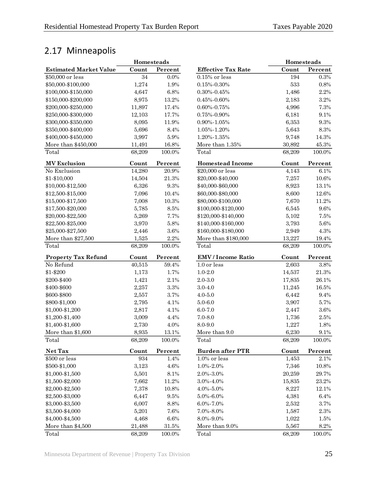## <span id="page-28-0"></span>2.17 Minneapolis

|                               | Homesteads |          |                           | Homesteads |          |
|-------------------------------|------------|----------|---------------------------|------------|----------|
| <b>Estimated Market Value</b> | Count      | Percent  | <b>Effective Tax Rate</b> | Count      | Percent  |
| \$50,000 or less              | 34         | $0.0\%$  | $0.15\%$ or less          | 194        | $0.3\%$  |
| \$50,000-\$100,000            | 1,274      | 1.9%     | $0.15\% - 0.30\%$         | 533        | $0.8\%$  |
| \$100,000-\$150,000           | 4,647      | 6.8%     | $0.30\% - 0.45\%$         | 1,486      | 2.2%     |
| \$150,000-\$200,000           | 8,975      | 13.2%    | $0.45\% - 0.60\%$         | 2,183      | $3.2\%$  |
| \$200,000-\$250,000           | 11,897     | 17.4%    | $0.60\% - 0.75\%$         | 4,996      | 7.3%     |
| \$250,000-\$300,000           | 12,103     | 17.7%    | $0.75\% - 0.90\%$         | 6,181      | 9.1%     |
| \$300,000-\$350,000           | 8,095      | 11.9%    | $0.90\% - 1.05\%$         | 6,353      | $9.3\%$  |
| \$350,000-\$400,000           | 5,696      | 8.4%     | 1.05%-1.20%               | 5,643      | $8.3\%$  |
| \$400,000-\$450,000           | 3,997      | $5.9\%$  | 1.20%-1.35%               | 9,748      | 14.3%    |
| More than \$450,000           | 11,491     | 16.8%    | More than 1.35%           | 30,892     | 45.3%    |
| Total                         | 68,209     | 100.0%   | Total                     | 68,209     | 100.0%   |
| <b>MV</b> Exclusion           | Count      | Percent  | <b>Homestead Income</b>   | Count      | Percent  |
| No Exclusion                  | 14,280     | $20.9\%$ | \$20,000 or less          | 4,143      | 6.1%     |
| \$1-\$10,000                  | 14,504     | $21.3\%$ | \$20,000-\$40,000         | 7,257      | 10.6%    |
| \$10,000-\$12,500             | 6,326      | 9.3%     | \$40,000-\$60,000         | 8,923      | 13.1%    |
| \$12,500-\$15,000             | 7,096      | 10.4%    | \$60,000-\$80,000         | 8,600      | $12.6\%$ |
| \$15,000-\$17,500             | 7,008      | 10.3%    | \$80,000-\$100,000        | 7,670      | 11.2%    |
| \$17,500-\$20,000             | 5,785      | 8.5%     | \$100,000-\$120,000       | 6,545      | 9.6%     |
| \$20,000-\$22,500             | 5,269      | 7.7%     | \$120,000-\$140,000       | 5,102      | 7.5%     |
| \$22,500-\$25,000             | 3,970      | 5.8%     | \$140,000-\$160,000       | 3,793      | $5.6\%$  |
| \$25,000-\$27,500             | 2,446      | 3.6%     | \$160,000-\$180,000       | 2,949      | 4.3%     |
| More than \$27,500            | 1,525      | 2.2%     | More than \$180,000       | 13,227     | 19.4%    |
| Total                         | 68,209     | 100.0%   | Total                     | 68,209     | 100.0%   |
| <b>Property Tax Refund</b>    | Count      | Percent  | <b>EMV</b> / Income Ratio | Count      | Percent  |
| No Refund                     | 40,515     | 59.4%    | 1.0 or less               | 2,603      | $3.8\%$  |
| \$1-\$200                     | 1,173      | 1.7%     | $1.0 - 2.0$               | 14,537     | 21.3%    |
| \$200-\$400                   | 1,421      | 2.1%     | $2.0 - 3.0$               | 17,835     | 26.1%    |
| \$400-\$600                   | 2,257      | 3.3%     | $3.0 - 4.0$               | 11,245     | 16.5%    |
| \$600-\$800                   | 2,557      | 3.7%     | $4.0 - 5.0$               | 6,442      | 9.4%     |
| \$800-\$1,000                 | 2,795      | 4.1%     | $5.0 - 6.0$               | 3,907      | 5.7%     |
| \$1,000-\$1,200               | 2,817      | 4.1%     | $6.0 - 7.0$               | 2,447      | $3.6\%$  |
| \$1,200-\$1,400               | 3,009      | 4.4%     | $7.0 - 8.0$               | 1,736      | $2.5\%$  |
| \$1,400-\$1,600               | 2,730      | 4.0%     | 8.0-9.0                   | 1,227      | 1.8%     |
| More than \$1,600             | 8,935      | $13.1\%$ | More than 9.0             | 6,230      | $9.1\%$  |
| Total                         | 68,209     | 100.0%   | Total                     | 68,209     | 100.0%   |
| Net Tax                       | Count      | Percent  | <b>Burden after PTR</b>   | Count      | Percent  |
| \$500 or less                 | 934        | 1.4%     | $1.0\%$ or less           | 1,453      | 2.1%     |
| \$500-\$1,000                 | 3,123      | $4.6\%$  | 1.0%-2.0%                 | 7,346      | $10.8\%$ |
| \$1,000-\$1,500               | 5,501      | 8.1%     | 2.0%-3.0%                 | 20,259     | 29.7%    |
| \$1,500-\$2,000               | 7,662      | 11.2%    | 3.0%-4.0%                 | 15,835     | 23.2%    |
| \$2,000-\$2,500               | 7,378      | 10.8%    | 4.0%-5.0%                 | 8,227      | 12.1%    |
| \$2,500-\$3,000               | 6,447      | $9.5\%$  | $5.0\% - 6.0\%$           | 4,381      | $6.4\%$  |
| \$3,000-\$3,500               | 6,007      | $8.8\%$  | 6.0%-7.0%                 | 2,532      | 3.7%     |
| \$3,500-\$4,000               | 5,201      | 7.6%     | 7.0%-8.0%                 | 1,587      | $2.3\%$  |
| \$4,000-\$4,500               | 4,468      | $6.6\%$  | 8.0%-9.0%                 | 1,022      | 1.5%     |
| More than \$4,500             | 21,488     | $31.5\%$ | More than 9.0%            | 5,567      | $8.2\%$  |
| Total                         | 68,209     | 100.0%   | Total                     | 68,209     | 100.0%   |

|                           | Homesteads |         |
|---------------------------|------------|---------|
| <b>Effective Tax Rate</b> | Count      | Percent |
| $0.15\%$ or less          | 194        | 0.3%    |
| $0.15\% - 0.30\%$         | 533        | 0.8%    |
| $0.30\% - 0.45\%$         | 1,486      | 2.2%    |
| $0.45\% - 0.60\%$         | 2,183      | 3.2%    |
| $0.60\% - 0.75\%$         | 4,996      | 7.3%    |
| 0.75%-0.90%               | 6,181      | 9.1%    |
| 0.90%-1.05%               | 6,353      | 9.3%    |
| 1.05%-1.20%               | 5,643      | 8.3%    |
| 1.20%-1.35%               | 9,748      | 14.3%   |
| More than 1.35%           | 30,892     | 45.3%   |
| Total                     | 68,209     | 100.0%  |
| <b>Homestead Income</b>   | Count      | Percent |
| \$20,000 or less          | 4,143      | 6.1%    |
| \$20,000-\$40,000         | 7,257      | 10.6%   |
| \$40,000-\$60,000         | 8,923      | 13.1%   |
| \$60,000-\$80,000         | 8,600      | 12.6%   |
| \$80,000-\$100,000        | 7,670      | 11.2%   |
| \$100,000-\$120,000       | 6,545      | 9.6%    |
| \$120,000-\$140,000       | 5,102      | 7.5%    |
| \$140,000-\$160,000       | 3,793      | 5.6%    |
| \$160,000-\$180,000       | 2,949      | 4.3%    |
| More than \$180,000       | 13,227     | 19.4%   |
| Total                     | 68,209     | 100.0%  |
| <b>EMV</b> / Income Ratio | Count      | Percent |
| $1.0$ or less             | 2,603      | 3.8%    |
| $1.0 - 2.0$               | 14,537     | 21.3%   |
| $2.0 - 3.0$               | 17,835     | 26.1%   |
| $3.0 - 4.0$               | 11,245     | 16.5%   |
| $4.0 - 5.0$               | 6,442      | 9.4%    |
| $5.0 - 6.0$               | 3,907      | 5.7%    |
| $6.0 - 7.0$               | 2,447      | 3.6%    |
| $7.0 - 8.0$               | 1,736      | 2.5%    |
| 8.0-9.0                   | 1,227      | 1.8%    |
| More than 9.0             | 6,230      | 9.1%    |
| Total                     | 68,209     | 100.0%  |
| <b>Burden after PTR</b>   | Count      | Percent |
| $1.0\%$ or less           | 1,453      | 2.1%    |
| 1.0%-2.0%                 | 7,346      | 10.8%   |
| 2.0%-3.0%                 | 20,259     | 29.7%   |
| 3.0%-4.0%                 | 15,835     | 23.2%   |
| 4.0%-5.0%                 | 8,227      | 12.1%   |
| 5.0%-6.0%                 | 4,381      | 6.4%    |
| 6.0%-7.0%                 | 2,532      | 3.7%    |
| 7.0%-8.0%                 | 1,587      | 2.3%    |
| 8.0%-9.0%                 | 1,022      | 1.5%    |
| More than 9.0%            | 5,567      | 8.2%    |
| Total                     | 68,209     | 100.0%  |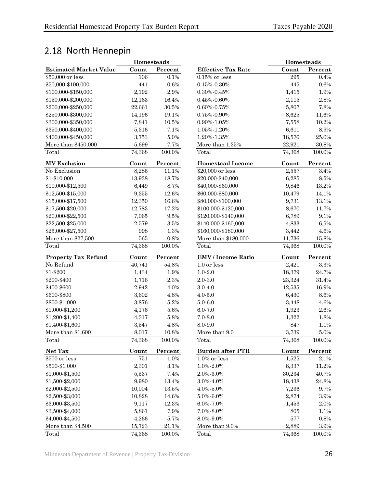## <span id="page-29-0"></span>2.18 North Hennepin

|                               | Homesteads |                                              |                           | Homesteads |          |
|-------------------------------|------------|----------------------------------------------|---------------------------|------------|----------|
| <b>Estimated Market Value</b> | Count      | Percent                                      | <b>Effective Tax Rate</b> | Count      | Percent  |
| \$50,000 or less              | 106        | 0.1%                                         | $0.15\%$ or less          | 295        | 0.4%     |
| \$50,000-\$100,000            | 441        | 0.6%                                         | $0.15\% - 0.30\%$         | 445        | $0.6\%$  |
| \$100,000-\$150,000           | 2,192      | 2.9%                                         | $0.30\% - 0.45\%$         | 1,415      | 1.9%     |
| \$150,000-\$200,000           | 12,163     | 16.4%                                        | $0.45\% - 0.60\%$         | 2,115      | $2.8\%$  |
| \$200,000-\$250,000           | 22,661     | $30.5\%$                                     | $0.60\% - 0.75\%$         | 5,807      | 7.8%     |
| \$250,000-\$300,000           | 14,196     | 19.1%                                        | $0.75\% - 0.90\%$         | 8,625      | 11.6%    |
| \$300,000-\$350,000           | 7,841      | 10.5%                                        | $0.90\% - 1.05\%$         | 7,558      | 10.2%    |
| \$350,000-\$400,000           | 5,316      | 7.1%                                         | 1.05%-1.20%               | 6,611      | $8.9\%$  |
| \$400,000-\$450,000           | 3,753      | 5.0%                                         | 1.20%-1.35%               | 18,576     | 25.0%    |
| More than \$450,000           | 5,699      | 7.7%                                         | More than 1.35%           | 22,921     | $30.8\%$ |
| Total                         | 74,368     | 100.0%                                       | Total                     | 74,368     | 100.0%   |
| <b>MV</b> Exclusion           | Count      | $\ensuremath{\textnormal{\textbf{Percent}}}$ | <b>Homestead Income</b>   | Count      | Percent  |
| No Exclusion                  | 8,286      | 11.1%                                        | \$20,000 or less          | 2,557      | $3.4\%$  |
| \$1-\$10,000                  | 13,938     | 18.7%                                        | \$20,000-\$40,000         | 6,285      | $8.5\%$  |
| \$10,000-\$12,500             | 6,449      | 8.7%                                         | \$40,000-\$60,000         | 9,846      | 13.2%    |
| \$12,500-\$15,000             | 9,355      | 12.6%                                        | \$60,000-\$80,000         | 10,479     | 14.1%    |
| \$15,000-\$17,500             | 12,350     | 16.6%                                        | \$80,000-\$100,000        | 9,731      | 13.1%    |
| \$17,500-\$20,000             | 12,783     | 17.2%                                        | \$100,000-\$120,000       | 8,670      | 11.7%    |
| \$20,000-\$22,500             | 7,065      | $9.5\%$                                      | \$120,000-\$140,000       | 6,789      | 9.1%     |
| \$22,500-\$25,000             | 2,579      | $3.5\%$                                      | \$140,000-\$160,000       | 4,833      | $6.5\%$  |
| \$25,000-\$27,500             | 998        | 1.3%                                         | \$160,000-\$180,000       | 3,442      | 4.6%     |
| More than \$27,500            | 565        | $0.8\%$                                      | More than \$180,000       | 11,736     | 15.8%    |
| Total                         | 74,368     | 100.0%                                       | Total                     | 74,368     | 100.0%   |
| <b>Property Tax Refund</b>    | Count      | Percent                                      | <b>EMV</b> / Income Ratio | Count      | Percent  |
| No Refund                     | 40,741     | 54.8%                                        | 1.0 or less               | 2,421      | $3.3\%$  |
| \$1-\$200                     | 1,434      | 1.9%                                         | $1.0 - 2.0$               | 18,379     | 24.7%    |
| \$200-\$400                   | 1,716      | $2.3\%$                                      | $2.0 - 3.0$               | 23,324     | 31.4%    |
| \$400-\$600                   | 2,942      | 4.0%                                         | $3.0 - 4.0$               | 12,535     | 16.9%    |
| \$600-\$800                   | 3,602      | 4.8%                                         | $4.0 - 5.0$               | 6,430      | $8.6\%$  |
| \$800-\$1,000                 | 3,876      | 5.2%                                         | $5.0 - 6.0$               | 3,448      | 4.6%     |
| \$1,000-\$1,200               | 4,176      | $5.6\%$                                      | $6.0 - 7.0$               | 1,923      | $2.6\%$  |
| \$1,200-\$1,400               | 4,317      | $5.8\%$                                      | $7.0 - 8.0$               | 1,322      | 1.8%     |
| \$1,400-\$1,600               | 3,547      | 4.8%                                         | 8.0-9.0                   | 847        | 1.1%     |
| More than \$1,600             | 8,017      | $10.8\%$                                     | More than 9.0             | 3,739      | $5.0\%$  |
| Total                         | 74,368     | 100.0%                                       | Total                     | 74,368     | 100.0%   |
| Net Tax                       | Count      | Percent                                      | <b>Burden after PTR</b>   | Count      | Percent  |
| \$500 or less                 | 751        | 1.0%                                         | $1.0\%$ or less           | 1,525      | 2.1%     |
| \$500-\$1,000                 | 2,301      | $3.1\%$                                      | 1.0%-2.0%                 | 8,337      | 11.2%    |
| \$1,000-\$1,500               | 5,537      | 7.4%                                         | 2.0%-3.0%                 | 30,234     | 40.7%    |
| \$1,500-\$2,000               | 9,980      | 13.4%                                        | 3.0%-4.0%                 | 18,438     | $24.8\%$ |
| \$2,000-\$2,500               | 10,004     | $13.5\%$                                     | $4.0\% - 5.0\%$           | 7,236      | 9.7%     |
| \$2,500-\$3,000               | 10,828     | 14.6%                                        | $5.0\% - 6.0\%$           | 2,874      | $3.9\%$  |
| \$3,000-\$3,500               | 9,117      | 12.3%                                        | $6.0\% - 7.0\%$           | 1,453      | $2.0\%$  |
| \$3,500-\$4,000               | 5,861      | 7.9%                                         | 7.0%-8.0%                 | 805        | 1.1%     |
| \$4,000-\$4,500               | 4,266      | 5.7%                                         | 8.0%-9.0%                 | $577\,$    | $0.8\%$  |
| More than \$4,500             | 15,723     | $21.1\%$                                     | More than 9.0%            | 2,889      | $3.9\%$  |
| Total                         | 74.368     | 100.0%                                       | Total                     | 74.368     | 100.0%   |

| <b>Homesteads</b> |        |           |                           |        | <b>Homesteads</b> |  |  |
|-------------------|--------|-----------|---------------------------|--------|-------------------|--|--|
|                   | Count  | Percent   | <b>Effective Tax Rate</b> | Count  | Percent           |  |  |
|                   | 106    | 0.1%      | $0.15\%$ or less          | 295    | 0.4%              |  |  |
|                   | 441    | $0.6\%$   | $0.15\% - 0.30\%$         | 445    | $0.6\%$           |  |  |
|                   | 2,192  | 2.9%      | $0.30\% - 0.45\%$         | 1,415  | 1.9%              |  |  |
|                   | 12,163 | 16.4%     | $0.45\% - 0.60\%$         | 2,115  | 2.8%              |  |  |
|                   | 22,661 | 30.5%     | $0.60\% - 0.75\%$         | 5,807  | 7.8%              |  |  |
|                   | 14,196 | 19.1%     | 0.75%-0.90%               | 8,625  | 11.6%             |  |  |
|                   | 7,841  | $10.5\%$  | $0.90\% - 1.05\%$         | 7,558  | 10.2%             |  |  |
|                   | 5,316  | 7.1%      | 1.05%-1.20%               | 6,611  | $8.9\%$           |  |  |
|                   | 3,753  | 5.0%      | 1.20%-1.35%               | 18,576 | $25.0\%$          |  |  |
|                   | 5,699  | 7.7%      | More than 1.35%           | 22,921 | 30.8%             |  |  |
|                   | 74,368 | 100.0%    | Total                     | 74,368 | 100.0%            |  |  |
|                   | Count  | Percent   | <b>Homestead Income</b>   | Count  | Percent           |  |  |
|                   | 8,286  | 11.1%     | \$20,000 or less          | 2,557  | 3.4%              |  |  |
|                   | 13,938 | 18.7%     | \$20,000-\$40,000         | 6,285  | $8.5\%$           |  |  |
|                   | 6,449  | 8.7%      | \$40,000-\$60,000         | 9,846  | 13.2%             |  |  |
|                   | 9,355  | $12.6\%$  | \$60,000-\$80,000         | 10,479 | 14.1%             |  |  |
|                   | 12,350 | $16.6\%$  | \$80,000-\$100,000        | 9,731  | 13.1%             |  |  |
|                   | 12,783 | 17.2%     | \$100,000-\$120,000       | 8,670  | 11.7%             |  |  |
|                   | 7,065  | $9.5\%$   | \$120,000-\$140,000       | 6,789  | 9.1%              |  |  |
|                   | 2,579  | 3.5%      | \$140,000-\$160,000       | 4,833  | $6.5\%$           |  |  |
|                   | 998    | 1.3%      | \$160,000-\$180,000       | 3,442  | 4.6%              |  |  |
|                   | 565    | $0.8\%$   | More than \$180,000       | 11,736 | 15.8%             |  |  |
|                   | 74,368 | 100.0%    | Total                     | 74,368 | 100.0%            |  |  |
|                   | Count  | Percent   | <b>EMV</b> / Income Ratio | Count  | Percent           |  |  |
|                   | 40,741 | 54.8%     | 1.0 or less               | 2,421  | $3.3\%$           |  |  |
|                   | 1,434  | 1.9%      | $1.0 - 2.0$               | 18,379 | 24.7%             |  |  |
|                   | 1,716  | 2.3%      | $2.0 - 3.0$               | 23,324 | 31.4%             |  |  |
|                   | 2,942  | 4.0%      | $3.0 - 4.0$               | 12,535 | 16.9%             |  |  |
|                   | 3,602  | 4.8%      | $4.0 - 5.0$               | 6,430  | $8.6\%$           |  |  |
|                   | 3,876  | 5.2%      | $5.0 - 6.0$               | 3,448  | $4.6\%$           |  |  |
|                   | 4,176  | $5.6\%$   | $6.0 - 7.0$               | 1,923  | $2.6\%$           |  |  |
|                   | 4,317  | 5.8%      | $7.0 - 8.0$               | 1,322  | $1.8\%$           |  |  |
|                   | 3,547  | 4.8%      | 8.0-9.0                   | 847    | 1.1%              |  |  |
|                   | 8,017  | 10.8%     | More than 9.0             | 3,739  | 5.0%              |  |  |
|                   | 74,368 | 100.0%    | Total                     | 74,368 | 100.0%            |  |  |
|                   | Count  | Percent   | <b>Burden after PTR</b>   | Count  | Percent           |  |  |
|                   | 751    | 1.0%      | $1.0\%$ or less           | 1,525  | 2.1%              |  |  |
|                   | 2,301  | 3.1%      | $1.0\% - 2.0\%$           | 8,337  | 11.2%             |  |  |
|                   | 5,537  | 7.4%      | 2.0%-3.0%                 | 30,234 | 40.7%             |  |  |
|                   | 9,980  | 13.4%     | 3.0%-4.0%                 | 18,438 | 24.8%             |  |  |
|                   | 10,004 | 13.5%     | 4.0%-5.0%                 | 7,236  | 9.7%              |  |  |
|                   | 10,828 | 14.6%     | 5.0%-6.0%                 | 2,874  | 3.9%              |  |  |
|                   | 9,117  | 12.3%     | 6.0%-7.0%                 | 1,453  | 2.0%              |  |  |
|                   | 5,861  | 7.9%      | 7.0%-8.0%                 | 805    | 1.1%              |  |  |
|                   | 4,266  | 5.7%      | 8.0%-9.0%                 | 577    | 0.8%              |  |  |
|                   | 15,723 | 21.1%     | More than 9.0%            | 2,889  | 3.9%              |  |  |
|                   | 74,368 | $100.0\%$ | Total                     | 74,368 | 100.0%            |  |  |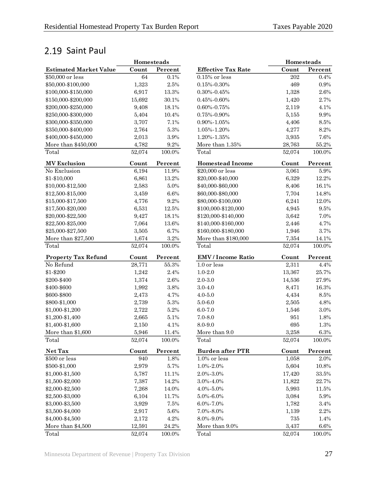## <span id="page-30-0"></span>2.19 Saint Paul

|                               | Homesteads |           |                           | Homesteads |           |
|-------------------------------|------------|-----------|---------------------------|------------|-----------|
| <b>Estimated Market Value</b> | Count      | Percent   | <b>Effective Tax Rate</b> | Count      | Percent   |
| \$50,000 or less              | 64         | 0.1%      | $0.15\%$ or less          | 202        | 0.4%      |
| \$50,000-\$100,000            | 1,323      | $2.5\%$   | $0.15\% - 0.30\%$         | 469        | $0.9\%$   |
| \$100,000-\$150,000           | 6,917      | 13.3%     | $0.30\% - 0.45\%$         | 1,328      | $2.6\%$   |
| \$150,000-\$200,000           | 15,692     | 30.1%     | $0.45\% - 0.60\%$         | 1,420      | 2.7%      |
| \$200,000-\$250,000           | 9,408      | 18.1%     | $0.60\% - 0.75\%$         | 2,119      | 4.1%      |
| \$250,000-\$300,000           | 5,404      | 10.4%     | $0.75\% - 0.90\%$         | 5,155      | $9.9\%$   |
| \$300,000-\$350,000           | 3,707      | 7.1%      | $0.90\% - 1.05\%$         | 4,406      | $8.5\%$   |
| \$350,000-\$400,000           | 2,764      | $5.3\%$   | 1.05%-1.20%               | 4,277      | 8.2%      |
| \$400,000-\$450,000           | 2,013      | $3.9\%$   | 1.20%-1.35%               | 3,935      | 7.6%      |
| More than \$450,000           | 4,782      | $9.2\%$   | More than 1.35%           | 28,763     | 55.2%     |
| Total                         | 52,074     | $100.0\%$ | Total                     | 52,074     | 100.0%    |
| <b>MV</b> Exclusion           | Count      | Percent   | <b>Homestead Income</b>   | Count      | Percent   |
| No Exclusion                  | 6,194      | 11.9%     | \$20,000 or less          | 3,061      | $5.9\%$   |
| \$1-\$10,000                  | 6,861      | 13.2%     | \$20,000-\$40,000         | 6,329      | 12.2%     |
| \$10,000-\$12,500             | 2,583      | $5.0\%$   | \$40,000-\$60,000         | 8,406      | 16.1%     |
| \$12,500-\$15,000             | 3,459      | 6.6%      | \$60,000-\$80,000         | 7,704      | 14.8%     |
| \$15,000-\$17,500             | 4,776      | 9.2%      | \$80,000-\$100,000        | 6,241      | $12.0\%$  |
| \$17,500-\$20,000             | 6,531      | $12.5\%$  | \$100,000-\$120,000       | 4,945      | $9.5\%$   |
| \$20,000-\$22,500             | 9,427      | 18.1%     | \$120,000-\$140,000       | 3,642      | 7.0%      |
| \$22,500-\$25,000             | 7,064      | 13.6%     | \$140,000-\$160,000       | 2,446      | 4.7%      |
| \$25,000-\$27,500             | 3,505      | 6.7%      | \$160,000-\$180,000       | 1,946      | 3.7%      |
| More than \$27,500            | 1,674      | $3.2\%$   | More than \$180,000       | 7,354      | 14.1%     |
| Total                         | 52,074     | 100.0%    | Total                     | 52,074     | 100.0%    |
| <b>Property Tax Refund</b>    | Count      | Percent   | <b>EMV</b> / Income Ratio | Count      | Percent   |
| No Refund                     | 28,771     | $55.3\%$  | 1.0 or less               | 2,311      | 4.4%      |
| \$1-\$200                     | 1,242      | 2.4%      | $1.0 - 2.0$               | 13,367     | 25.7%     |
| \$200-\$400                   | 1,374      | 2.6%      | $2.0 - 3.0$               | 14,536     | 27.9%     |
| \$400-\$600                   | 1,992      | 3.8%      | $3.0 - 4.0$               | 8,471      | 16.3%     |
| \$600-\$800                   | 2,473      | 4.7%      | $4.0 - 5.0$               | 4,434      | $8.5\%$   |
| \$800-\$1,000                 | 2,739      | $5.3\%$   | $5.0 - 6.0$               | 2,505      | 4.8%      |
| \$1,000-\$1,200               | 2,722      | $5.2\%$   | $6.0 - 7.0$               | 1,546      | $3.0\%$   |
| \$1,200-\$1,400               | 2,665      | $5.1\%$   | $7.0 - 8.0$               | 951        | 1.8%      |
| \$1,400-\$1,600               | 2,150      | 4.1%      | 8.0-9.0                   | 695        | 1.3%      |
| More than \$1,600             | 5,946      | 11.4%     | More than 9.0             | 3,258      | $6.3\%$   |
| Total                         | 52,074     | 100.0%    | Total                     | 52,074     | 100.0%    |
| Net Tax                       | Count      | Percent   | <b>Burden after PTR</b>   | Count      | Percent   |
| \$500 or less                 | 940        | 1.8%      | $1.0\%$ or less           | 1,058      | 2.0%      |
| \$500-\$1,000                 | 2,979      | 5.7%      | $1.0\% - 2.0\%$           | 5,604      | 10.8%     |
| \$1,000-\$1,500               | 5,787      | 11.1%     | 2.0%-3.0%                 | 17,420     | $33.5\%$  |
| \$1,500-\$2,000               | 7,387      | 14.2%     | 3.0%-4.0%                 | 11,822     | 22.7%     |
| \$2,000-\$2,500               | 7,268      | 14.0%     | 4.0%-5.0%                 | 5,993      | $11.5\%$  |
| \$2,500-\$3,000               | 6,104      | 11.7%     | $5.0\% - 6.0\%$           | 3,084      | $5.9\%$   |
| \$3,000-\$3,500               | 3,929      | 7.5%      | 6.0%-7.0%                 | 1,782      | 3.4%      |
| \$3,500-\$4,000               | 2,917      | $5.6\%$   | 7.0%-8.0%                 | 1,139      | $2.2\%$   |
| \$4,000-\$4,500               | 2,172      | 4.2%      | 8.0%-9.0%                 | 735        | 1.4%      |
| More than \$4,500             | 12,591     | $24.2\%$  | More than 9.0%            | 3,437      | $6.6\%$   |
| Total                         | 52,074     | $100.0\%$ | Total                     | 52,074     | $100.0\%$ |

| Count<br><b>Effective Tax Rate</b><br>Percent<br>$0.15\%$ or less<br>202<br>0.4%<br>$0.15\% - 0.30\%$<br>469<br>0.9%<br>1,328<br>$2.6\%$<br>$0.30\% - 0.45\%$<br>$0.45\% - 0.60\%$<br>1,420<br>2.7%<br>2,119<br>4.1%<br>$0.60\% - 0.75\%$<br>0.75%-0.90%<br>5,155<br>9.9%<br>$0.90\% - 1.05\%$<br>4,406<br>8.5%<br>1.05%-1.20%<br>4,277<br>8.2%<br>1.20%-1.35%<br>3,935<br>7.6%<br>More than 1.35%<br>55.2%<br>28,763<br>Total<br>52,074<br>100.0%<br><b>Homestead Income</b><br>Count<br>Percent<br>\$20,000 or less<br>3,061<br>5.9%<br>6,329<br>\$20,000-\$40,000<br>12.2%<br>\$40,000-\$60,000<br>8,406<br>16.1%<br>7,704<br>\$60,000-\$80,000<br>14.8%<br>\$80,000-\$100,000<br>6,241<br>12.0%<br>4,945<br>\$100,000-\$120,000<br>9.5%<br>\$120,000-\$140,000<br>3,642<br>7.0%<br>\$140,000-\$160,000<br>2,446<br>4.7%<br>\$160,000-\$180,000<br>3.7%<br>1,946<br>More than \$180,000<br>7,354<br>14.1%<br>Total<br>52,074<br>100.0%<br><b>EMV</b> / Income Ratio<br>Count<br>Percent<br>1.0 or less<br>2,311<br>4.4%<br>$1.0 - 2.0$<br>13,367<br>25.7%<br>$2.0 - 3.0$<br>14,536<br>27.9%<br>16.3%<br>$3.0 - 4.0$<br>8,471<br>8.5%<br>$4.0 - 5.0$<br>4,434<br>2,505<br>$5.0 - 6.0$<br>4.8%<br>$6.0 - 7.0$<br>1,546<br>3.0%<br>$7.0 - 8.0$<br>951<br>1.8%<br>695<br>1.3%<br>8.0-9.0<br>More than 9.0<br>3,258<br>6.3%<br>52,074<br>100.0%<br><b>Burden after PTR</b><br>Count<br>Percent<br>$1.0\%$ or less<br>1,058<br>2.0%<br>1.0%-2.0%<br>5,604<br>10.8%<br>2.0%-3.0%<br>17,420<br>33.5%<br>3.0%-4.0%<br>11,822<br>22.7%<br>5,993<br>$4.0\% - 5.0\%$<br>11.5%<br>5.0%-6.0%<br>3,084<br>5.9%<br>6.0%-7.0%<br>1,782<br>3.4%<br>7.0%-8.0%<br>1,139<br>2.2%<br>8.0%-9.0%<br>735<br>1.4%<br>More than 9.0%<br>$6.6\%$<br>3,437 |       | <b>Homesteads</b> |  |  |  |
|----------------------------------------------------------------------------------------------------------------------------------------------------------------------------------------------------------------------------------------------------------------------------------------------------------------------------------------------------------------------------------------------------------------------------------------------------------------------------------------------------------------------------------------------------------------------------------------------------------------------------------------------------------------------------------------------------------------------------------------------------------------------------------------------------------------------------------------------------------------------------------------------------------------------------------------------------------------------------------------------------------------------------------------------------------------------------------------------------------------------------------------------------------------------------------------------------------------------------------------------------------------------------------------------------------------------------------------------------------------------------------------------------------------------------------------------------------------------------------------------------------------------------------------------------------------------------------------------------------------------------------------------------------------------------------------------------------------------------------|-------|-------------------|--|--|--|
|                                                                                                                                                                                                                                                                                                                                                                                                                                                                                                                                                                                                                                                                                                                                                                                                                                                                                                                                                                                                                                                                                                                                                                                                                                                                                                                                                                                                                                                                                                                                                                                                                                                                                                                                  |       |                   |  |  |  |
|                                                                                                                                                                                                                                                                                                                                                                                                                                                                                                                                                                                                                                                                                                                                                                                                                                                                                                                                                                                                                                                                                                                                                                                                                                                                                                                                                                                                                                                                                                                                                                                                                                                                                                                                  |       |                   |  |  |  |
|                                                                                                                                                                                                                                                                                                                                                                                                                                                                                                                                                                                                                                                                                                                                                                                                                                                                                                                                                                                                                                                                                                                                                                                                                                                                                                                                                                                                                                                                                                                                                                                                                                                                                                                                  |       |                   |  |  |  |
|                                                                                                                                                                                                                                                                                                                                                                                                                                                                                                                                                                                                                                                                                                                                                                                                                                                                                                                                                                                                                                                                                                                                                                                                                                                                                                                                                                                                                                                                                                                                                                                                                                                                                                                                  |       |                   |  |  |  |
|                                                                                                                                                                                                                                                                                                                                                                                                                                                                                                                                                                                                                                                                                                                                                                                                                                                                                                                                                                                                                                                                                                                                                                                                                                                                                                                                                                                                                                                                                                                                                                                                                                                                                                                                  |       |                   |  |  |  |
|                                                                                                                                                                                                                                                                                                                                                                                                                                                                                                                                                                                                                                                                                                                                                                                                                                                                                                                                                                                                                                                                                                                                                                                                                                                                                                                                                                                                                                                                                                                                                                                                                                                                                                                                  |       |                   |  |  |  |
|                                                                                                                                                                                                                                                                                                                                                                                                                                                                                                                                                                                                                                                                                                                                                                                                                                                                                                                                                                                                                                                                                                                                                                                                                                                                                                                                                                                                                                                                                                                                                                                                                                                                                                                                  |       |                   |  |  |  |
|                                                                                                                                                                                                                                                                                                                                                                                                                                                                                                                                                                                                                                                                                                                                                                                                                                                                                                                                                                                                                                                                                                                                                                                                                                                                                                                                                                                                                                                                                                                                                                                                                                                                                                                                  |       |                   |  |  |  |
|                                                                                                                                                                                                                                                                                                                                                                                                                                                                                                                                                                                                                                                                                                                                                                                                                                                                                                                                                                                                                                                                                                                                                                                                                                                                                                                                                                                                                                                                                                                                                                                                                                                                                                                                  |       |                   |  |  |  |
|                                                                                                                                                                                                                                                                                                                                                                                                                                                                                                                                                                                                                                                                                                                                                                                                                                                                                                                                                                                                                                                                                                                                                                                                                                                                                                                                                                                                                                                                                                                                                                                                                                                                                                                                  |       |                   |  |  |  |
|                                                                                                                                                                                                                                                                                                                                                                                                                                                                                                                                                                                                                                                                                                                                                                                                                                                                                                                                                                                                                                                                                                                                                                                                                                                                                                                                                                                                                                                                                                                                                                                                                                                                                                                                  |       |                   |  |  |  |
|                                                                                                                                                                                                                                                                                                                                                                                                                                                                                                                                                                                                                                                                                                                                                                                                                                                                                                                                                                                                                                                                                                                                                                                                                                                                                                                                                                                                                                                                                                                                                                                                                                                                                                                                  |       |                   |  |  |  |
|                                                                                                                                                                                                                                                                                                                                                                                                                                                                                                                                                                                                                                                                                                                                                                                                                                                                                                                                                                                                                                                                                                                                                                                                                                                                                                                                                                                                                                                                                                                                                                                                                                                                                                                                  |       |                   |  |  |  |
|                                                                                                                                                                                                                                                                                                                                                                                                                                                                                                                                                                                                                                                                                                                                                                                                                                                                                                                                                                                                                                                                                                                                                                                                                                                                                                                                                                                                                                                                                                                                                                                                                                                                                                                                  |       |                   |  |  |  |
|                                                                                                                                                                                                                                                                                                                                                                                                                                                                                                                                                                                                                                                                                                                                                                                                                                                                                                                                                                                                                                                                                                                                                                                                                                                                                                                                                                                                                                                                                                                                                                                                                                                                                                                                  |       |                   |  |  |  |
|                                                                                                                                                                                                                                                                                                                                                                                                                                                                                                                                                                                                                                                                                                                                                                                                                                                                                                                                                                                                                                                                                                                                                                                                                                                                                                                                                                                                                                                                                                                                                                                                                                                                                                                                  |       |                   |  |  |  |
|                                                                                                                                                                                                                                                                                                                                                                                                                                                                                                                                                                                                                                                                                                                                                                                                                                                                                                                                                                                                                                                                                                                                                                                                                                                                                                                                                                                                                                                                                                                                                                                                                                                                                                                                  |       |                   |  |  |  |
|                                                                                                                                                                                                                                                                                                                                                                                                                                                                                                                                                                                                                                                                                                                                                                                                                                                                                                                                                                                                                                                                                                                                                                                                                                                                                                                                                                                                                                                                                                                                                                                                                                                                                                                                  |       |                   |  |  |  |
|                                                                                                                                                                                                                                                                                                                                                                                                                                                                                                                                                                                                                                                                                                                                                                                                                                                                                                                                                                                                                                                                                                                                                                                                                                                                                                                                                                                                                                                                                                                                                                                                                                                                                                                                  |       |                   |  |  |  |
|                                                                                                                                                                                                                                                                                                                                                                                                                                                                                                                                                                                                                                                                                                                                                                                                                                                                                                                                                                                                                                                                                                                                                                                                                                                                                                                                                                                                                                                                                                                                                                                                                                                                                                                                  |       |                   |  |  |  |
|                                                                                                                                                                                                                                                                                                                                                                                                                                                                                                                                                                                                                                                                                                                                                                                                                                                                                                                                                                                                                                                                                                                                                                                                                                                                                                                                                                                                                                                                                                                                                                                                                                                                                                                                  |       |                   |  |  |  |
|                                                                                                                                                                                                                                                                                                                                                                                                                                                                                                                                                                                                                                                                                                                                                                                                                                                                                                                                                                                                                                                                                                                                                                                                                                                                                                                                                                                                                                                                                                                                                                                                                                                                                                                                  |       |                   |  |  |  |
|                                                                                                                                                                                                                                                                                                                                                                                                                                                                                                                                                                                                                                                                                                                                                                                                                                                                                                                                                                                                                                                                                                                                                                                                                                                                                                                                                                                                                                                                                                                                                                                                                                                                                                                                  |       |                   |  |  |  |
|                                                                                                                                                                                                                                                                                                                                                                                                                                                                                                                                                                                                                                                                                                                                                                                                                                                                                                                                                                                                                                                                                                                                                                                                                                                                                                                                                                                                                                                                                                                                                                                                                                                                                                                                  |       |                   |  |  |  |
|                                                                                                                                                                                                                                                                                                                                                                                                                                                                                                                                                                                                                                                                                                                                                                                                                                                                                                                                                                                                                                                                                                                                                                                                                                                                                                                                                                                                                                                                                                                                                                                                                                                                                                                                  |       |                   |  |  |  |
|                                                                                                                                                                                                                                                                                                                                                                                                                                                                                                                                                                                                                                                                                                                                                                                                                                                                                                                                                                                                                                                                                                                                                                                                                                                                                                                                                                                                                                                                                                                                                                                                                                                                                                                                  |       |                   |  |  |  |
|                                                                                                                                                                                                                                                                                                                                                                                                                                                                                                                                                                                                                                                                                                                                                                                                                                                                                                                                                                                                                                                                                                                                                                                                                                                                                                                                                                                                                                                                                                                                                                                                                                                                                                                                  |       |                   |  |  |  |
|                                                                                                                                                                                                                                                                                                                                                                                                                                                                                                                                                                                                                                                                                                                                                                                                                                                                                                                                                                                                                                                                                                                                                                                                                                                                                                                                                                                                                                                                                                                                                                                                                                                                                                                                  |       |                   |  |  |  |
|                                                                                                                                                                                                                                                                                                                                                                                                                                                                                                                                                                                                                                                                                                                                                                                                                                                                                                                                                                                                                                                                                                                                                                                                                                                                                                                                                                                                                                                                                                                                                                                                                                                                                                                                  |       |                   |  |  |  |
|                                                                                                                                                                                                                                                                                                                                                                                                                                                                                                                                                                                                                                                                                                                                                                                                                                                                                                                                                                                                                                                                                                                                                                                                                                                                                                                                                                                                                                                                                                                                                                                                                                                                                                                                  |       |                   |  |  |  |
|                                                                                                                                                                                                                                                                                                                                                                                                                                                                                                                                                                                                                                                                                                                                                                                                                                                                                                                                                                                                                                                                                                                                                                                                                                                                                                                                                                                                                                                                                                                                                                                                                                                                                                                                  |       |                   |  |  |  |
|                                                                                                                                                                                                                                                                                                                                                                                                                                                                                                                                                                                                                                                                                                                                                                                                                                                                                                                                                                                                                                                                                                                                                                                                                                                                                                                                                                                                                                                                                                                                                                                                                                                                                                                                  |       |                   |  |  |  |
|                                                                                                                                                                                                                                                                                                                                                                                                                                                                                                                                                                                                                                                                                                                                                                                                                                                                                                                                                                                                                                                                                                                                                                                                                                                                                                                                                                                                                                                                                                                                                                                                                                                                                                                                  |       |                   |  |  |  |
|                                                                                                                                                                                                                                                                                                                                                                                                                                                                                                                                                                                                                                                                                                                                                                                                                                                                                                                                                                                                                                                                                                                                                                                                                                                                                                                                                                                                                                                                                                                                                                                                                                                                                                                                  |       |                   |  |  |  |
|                                                                                                                                                                                                                                                                                                                                                                                                                                                                                                                                                                                                                                                                                                                                                                                                                                                                                                                                                                                                                                                                                                                                                                                                                                                                                                                                                                                                                                                                                                                                                                                                                                                                                                                                  |       |                   |  |  |  |
|                                                                                                                                                                                                                                                                                                                                                                                                                                                                                                                                                                                                                                                                                                                                                                                                                                                                                                                                                                                                                                                                                                                                                                                                                                                                                                                                                                                                                                                                                                                                                                                                                                                                                                                                  | Total |                   |  |  |  |
|                                                                                                                                                                                                                                                                                                                                                                                                                                                                                                                                                                                                                                                                                                                                                                                                                                                                                                                                                                                                                                                                                                                                                                                                                                                                                                                                                                                                                                                                                                                                                                                                                                                                                                                                  |       |                   |  |  |  |
|                                                                                                                                                                                                                                                                                                                                                                                                                                                                                                                                                                                                                                                                                                                                                                                                                                                                                                                                                                                                                                                                                                                                                                                                                                                                                                                                                                                                                                                                                                                                                                                                                                                                                                                                  |       |                   |  |  |  |
|                                                                                                                                                                                                                                                                                                                                                                                                                                                                                                                                                                                                                                                                                                                                                                                                                                                                                                                                                                                                                                                                                                                                                                                                                                                                                                                                                                                                                                                                                                                                                                                                                                                                                                                                  |       |                   |  |  |  |
|                                                                                                                                                                                                                                                                                                                                                                                                                                                                                                                                                                                                                                                                                                                                                                                                                                                                                                                                                                                                                                                                                                                                                                                                                                                                                                                                                                                                                                                                                                                                                                                                                                                                                                                                  |       |                   |  |  |  |
|                                                                                                                                                                                                                                                                                                                                                                                                                                                                                                                                                                                                                                                                                                                                                                                                                                                                                                                                                                                                                                                                                                                                                                                                                                                                                                                                                                                                                                                                                                                                                                                                                                                                                                                                  |       |                   |  |  |  |
|                                                                                                                                                                                                                                                                                                                                                                                                                                                                                                                                                                                                                                                                                                                                                                                                                                                                                                                                                                                                                                                                                                                                                                                                                                                                                                                                                                                                                                                                                                                                                                                                                                                                                                                                  |       |                   |  |  |  |
|                                                                                                                                                                                                                                                                                                                                                                                                                                                                                                                                                                                                                                                                                                                                                                                                                                                                                                                                                                                                                                                                                                                                                                                                                                                                                                                                                                                                                                                                                                                                                                                                                                                                                                                                  |       |                   |  |  |  |
|                                                                                                                                                                                                                                                                                                                                                                                                                                                                                                                                                                                                                                                                                                                                                                                                                                                                                                                                                                                                                                                                                                                                                                                                                                                                                                                                                                                                                                                                                                                                                                                                                                                                                                                                  |       |                   |  |  |  |
|                                                                                                                                                                                                                                                                                                                                                                                                                                                                                                                                                                                                                                                                                                                                                                                                                                                                                                                                                                                                                                                                                                                                                                                                                                                                                                                                                                                                                                                                                                                                                                                                                                                                                                                                  |       |                   |  |  |  |
|                                                                                                                                                                                                                                                                                                                                                                                                                                                                                                                                                                                                                                                                                                                                                                                                                                                                                                                                                                                                                                                                                                                                                                                                                                                                                                                                                                                                                                                                                                                                                                                                                                                                                                                                  |       |                   |  |  |  |
|                                                                                                                                                                                                                                                                                                                                                                                                                                                                                                                                                                                                                                                                                                                                                                                                                                                                                                                                                                                                                                                                                                                                                                                                                                                                                                                                                                                                                                                                                                                                                                                                                                                                                                                                  |       |                   |  |  |  |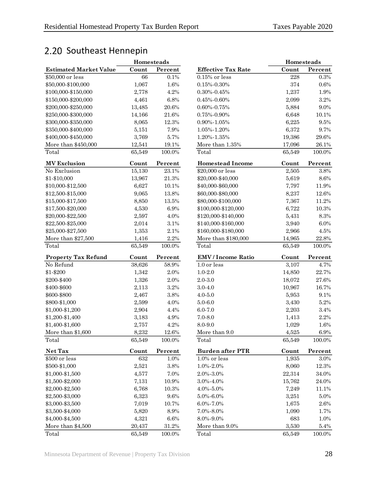## <span id="page-31-0"></span>2.20 Southeast Hennepin

|                                      | Homesteads      |               |  |  |
|--------------------------------------|-----------------|---------------|--|--|
| <b>Estimated Market Value</b>        | Count           | Percent       |  |  |
| \$50,000 or less                     | 66              | 0.1%          |  |  |
| \$50,000-\$100,000                   | 1,067           | 1.6%          |  |  |
| \$100,000-\$150,000                  | 2,778           | 4.2%          |  |  |
| \$150,000-\$200,000                  | 4,461           | 6.8%          |  |  |
| \$200,000-\$250,000                  | 13,485          | $20.6\%$      |  |  |
| \$250,000-\$300,000                  | 14,166          | 21.6%         |  |  |
| \$300,000-\$350,000                  | 8,065           | 12.3%         |  |  |
| \$350,000-\$400,000                  | 5,151           | 7.9%          |  |  |
| \$400,000-\$450,000                  | 3,769           | 5.7%          |  |  |
| More than \$450,000                  | 12,541          | 19.1%         |  |  |
| Total                                | 65,549          | 100.0%        |  |  |
|                                      |                 |               |  |  |
| <b>MV Exclusion</b>                  | Count           | Percent       |  |  |
| No Exclusion                         | 15,130          | 23.1%         |  |  |
| \$1-\$10,000                         | 13,967          | 21.3%         |  |  |
| \$10,000-\$12,500                    | 6,627           | 10.1%         |  |  |
| \$12,500-\$15,000                    | 9,065           | 13.8%         |  |  |
| \$15,000-\$17,500                    | 8,850           | 13.5%         |  |  |
| \$17,500-\$20,000                    | 4,530           | 6.9%          |  |  |
| \$20,000-\$22,500                    | 2,597           | 4.0%          |  |  |
| \$22,500-\$25,000                    | 2,014           | 3.1%          |  |  |
| \$25,000-\$27,500                    | 1,353           | 2.1%          |  |  |
| More than \$27,500                   |                 | 2.2%          |  |  |
|                                      | 1,416           |               |  |  |
| Total                                | 65,549          | 100.0%        |  |  |
|                                      |                 |               |  |  |
| <b>Property Tax Refund</b>           | Count           | Percent       |  |  |
| No Refund                            | 38,626          | 58.9%         |  |  |
| \$1-\$200                            | 1,342           | 2.0%          |  |  |
| \$200-\$400                          | 1,326           | 2.0%          |  |  |
| \$400-\$600                          |                 | 3.2%          |  |  |
|                                      | 2,113           | 3.8%          |  |  |
| \$600-\$800                          | 2,467           | 4.0%          |  |  |
| \$800-\$1,000                        | 2,599           |               |  |  |
| \$1,000-\$1,200                      | 2,904           | 4.4%          |  |  |
| \$1,200-\$1,400                      | 3,183           | 4.9%          |  |  |
| \$1,400-\$1,600                      | 2,757           | 4.2%          |  |  |
| More than \$1,600                    | 8,232           | 12.6%         |  |  |
| Total                                | 65,549          | 100.0%        |  |  |
| Net Tax                              | Count           | Percent       |  |  |
| \$500 or less                        | 632             | 1.0%          |  |  |
| \$500-\$1,000                        | 2,521           | 3.8%          |  |  |
| \$1,000-\$1,500                      | 4,577           | 7.0%          |  |  |
| \$1,500-\$2,000                      | 7,131           | 10.9%         |  |  |
| \$2,000-\$2,500                      | 6,768           | 10.3%         |  |  |
| \$2,500-\$3,000                      | 6,323           | 9.6%          |  |  |
| \$3,000-\$3,500                      | 7,019           | 10.7%         |  |  |
| \$3,500-\$4,000                      |                 | 8.9%          |  |  |
|                                      | 5,820           |               |  |  |
| \$4,000-\$4,500<br>More than \$4,500 | 4,321<br>20,437 | 6.6%<br>31.2% |  |  |

| <b>Homesteads</b>             |        |          | <b>Homesteads</b>         |        |           |
|-------------------------------|--------|----------|---------------------------|--------|-----------|
| <b>Estimated Market Value</b> | Count  | Percent  | <b>Effective Tax Rate</b> | Count  | Percent   |
| \$50,000 or less              | 66     | 0.1%     | $0.15\%$ or less          | 228    | 0.3%      |
| \$50,000-\$100,000            | 1,067  | 1.6%     | $0.15\% - 0.30\%$         | 374    | $0.6\%$   |
| \$100,000-\$150,000           | 2,778  | 4.2%     | $0.30\% - 0.45\%$         | 1,237  | 1.9%      |
| \$150,000-\$200,000           | 4,461  | 6.8%     | $0.45\% - 0.60\%$         | 2,099  | 3.2%      |
| \$200,000-\$250,000           | 13,485 | 20.6%    | $0.60\% - 0.75\%$         | 5,884  | 9.0%      |
| \$250,000-\$300,000           | 14,166 | 21.6%    | $0.75\% - 0.90\%$         | 6,648  | 10.1%     |
| \$300,000-\$350,000           | 8,065  | 12.3%    | $0.90\% - 1.05\%$         | 6,225  | 9.5%      |
| \$350,000-\$400,000           | 5,151  | 7.9%     | 1.05%-1.20%               | 6,372  | 9.7%      |
| \$400,000-\$450,000           | 3,769  | 5.7%     | 1.20%-1.35%               | 19,386 | 29.6%     |
| More than \$450,000           | 12,541 | 19.1%    | More than 1.35%           | 17,096 | 26.1%     |
| Total                         | 65,549 | 100.0%   | Total                     | 65,549 | 100.0%    |
| <b>MV Exclusion</b>           | Count  | Percent  | <b>Homestead Income</b>   | Count  | Percent   |
| No Exclusion                  | 15,130 | 23.1%    | \$20,000 or less          | 2,505  | 3.8%      |
| \$1-\$10,000                  | 13,967 | $21.3\%$ | \$20,000-\$40,000         | 5,619  | $8.6\%$   |
| \$10,000-\$12,500             | 6,627  | 10.1%    | \$40,000-\$60,000         | 7,797  | 11.9%     |
| \$12,500-\$15,000             | 9,065  | 13.8%    | \$60,000-\$80,000         | 8,237  | 12.6%     |
| \$15,000-\$17,500             | 8,850  | 13.5%    | \$80,000-\$100,000        | 7,367  | 11.2%     |
| \$17,500-\$20,000             | 4,530  | 6.9%     | \$100,000-\$120,000       | 6,722  | 10.3%     |
| \$20,000-\$22,500             | 2,597  | 4.0%     | \$120,000-\$140,000       | 5,431  | 8.3%      |
| \$22,500-\$25,000             | 2,014  | $3.1\%$  | \$140,000-\$160,000       | 3,940  | $6.0\%$   |
| \$25,000-\$27,500             | 1,353  | 2.1%     | \$160,000-\$180,000       | 2,966  | 4.5%      |
| More than \$27,500            | 1,416  | $2.2\%$  | More than \$180,000       | 14,965 | $22.8\%$  |
| Total                         | 65,549 | 100.0%   | Total                     | 65,549 | 100.0%    |
| <b>Property Tax Refund</b>    | Count  | Percent  | <b>EMV</b> / Income Ratio | Count  | Percent   |
| No Refund                     | 38,626 | 58.9%    | 1.0 or less               | 3,107  | 4.7%      |
| \$1-\$200                     | 1,342  | 2.0%     | $1.0 - 2.0$               | 14,850 | 22.7%     |
| \$200-\$400                   | 1,326  | 2.0%     | $2.0 - 3.0$               | 18,072 | 27.6%     |
| \$400-\$600                   | 2,113  | 3.2%     | $3.0 - 4.0$               | 10,967 | 16.7%     |
| \$600-\$800                   | 2,467  | 3.8%     | $4.0 - 5.0$               | 5,953  | 9.1%      |
| \$800-\$1,000                 | 2,599  | 4.0%     | $5.0 - 6.0$               | 3,430  | $5.2\%$   |
| \$1,000-\$1,200               | 2,904  | 4.4%     | $6.0 - 7.0$               | 2,203  | $3.4\%$   |
| \$1,200-\$1,400               | 3,183  | 4.9%     | $7.0 - 8.0$               | 1,413  | $2.2\%$   |
| \$1,400-\$1,600               | 2,757  | 4.2%     | 8.0-9.0                   | 1,029  | 1.6%      |
| More than \$1,600             | 8,232  | $12.6\%$ | More than 9.0             | 4,525  | $6.9\%$   |
| Total                         | 65,549 | 100.0%   | Total                     | 65,549 | 100.0%    |
| Net Tax                       | Count  | Percent  | <b>Burden after PTR</b>   | Count  | Percent   |
| \$500 or less                 | 632    | 1.0%     | 1.0% or less              | 1,935  | 3.0%      |
| \$500-\$1,000                 | 2,521  | $3.8\%$  | $1.0\% - 2.0\%$           | 8,060  | 12.3%     |
| \$1,000-\$1,500               | 4,577  | 7.0%     | 2.0%-3.0%                 | 22,314 | 34.0%     |
| \$1,500-\$2,000               | 7,131  | 10.9%    | $3.0\% - 4.0\%$           | 15,762 | 24.0%     |
| \$2,000-\$2,500               | 6,768  | 10.3%    | $4.0\% - 5.0\%$           | 7,249  | 11.1%     |
| \$2,500-\$3,000               | 6,323  | 9.6%     | $5.0\% - 6.0\%$           | 3,251  | $5.0\%$   |
| \$3,000-\$3,500               | 7,019  | 10.7%    | $6.0\% - 7.0\%$           | 1,675  | 2.6%      |
| \$3,500-\$4,000               | 5,820  | $8.9\%$  | 7.0%-8.0%                 | 1,090  | 1.7%      |
| \$4,000-\$4,500               | 4,321  | $6.6\%$  | 8.0%-9.0%                 | 683    | 1.0%      |
| More than \$4,500             | 20,437 | $31.2\%$ | More than 9.0%            | 3,530  | 5.4%      |
| Total                         | 65,549 | 100.0%   | Total                     | 65,549 | $100.0\%$ |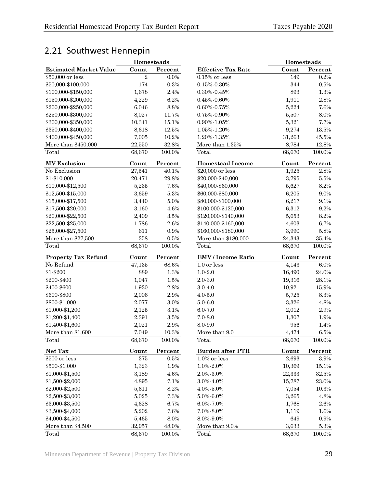## <span id="page-32-0"></span>2.21 Southwest Hennepin

|                               |                  | <b>Homesteads</b> |                           | Ho               |
|-------------------------------|------------------|-------------------|---------------------------|------------------|
| <b>Estimated Market Value</b> | Count            | Percent           | <b>Effective Tax Rate</b> | Cou              |
| \$50,000 or less              | $\boldsymbol{2}$ | $0.0\%$           | $0.15\%$ or less          | $\mathbf 1$      |
| \$50,000-\$100,000            | 174              | $0.3\%$           | $0.15\% - 0.30\%$         | $\boldsymbol{3}$ |
| \$100,000-\$150,000           | 1,678            | 2.4%              | $0.30\% - 0.45\%$         | 8                |
| \$150,000-\$200,000           | 4,229            | 6.2%              | $0.45\% - 0.60\%$         | 1,9              |
| \$200,000-\$250,000           | 6,046            | 8.8%              | 0.60%-0.75%               | 5,2              |
| \$250,000-\$300,000           | 8,027            | 11.7%             | $0.75\%$ - $0.90\%$       | 5,5              |
| \$300,000-\$350,000           | 10,341           | 15.1%             | 0.90%-1.05%               | 5,3              |
| \$350,000-\$400,000           | 8,618            | 12.5%             | 1.05%-1.20%               | 9,2              |
| \$400,000-\$450,000           | 7,005            | 10.2%             | 1.20%-1.35%               | 31,2             |
| More than \$450,000           | 22,550           | 32.8%             | More than 1.35%           | 8,7              |
| Total                         | 68,670           | 100.0%            | Total                     | 68,6             |
| <b>MV Exclusion</b>           | Count            | Percent           | <b>Homestead Income</b>   | Cou              |
| No Exclusion                  | 27,541           | 40.1%             | \$20,000 or less          | 1,9              |
| \$1-\$10,000                  | 20,471           | 29.8%             | \$20,000-\$40,000         | 3,7              |
| \$10,000-\$12,500             | 5,235            | 7.6%              | \$40,000-\$60,000         | 5,6              |
| \$12,500-\$15,000             | 3,659            | $5.3\%$           | \$60,000-\$80,000         | 6,2              |
| \$15,000-\$17,500             | 3,440            | 5.0%              | \$80,000-\$100,000        | 6,2              |
| \$17,500-\$20,000             | 3,160            | 4.6%              | \$100,000-\$120,000       | 6,3              |
| \$20,000-\$22,500             | 2,409            | $3.5\%$           | \$120,000-\$140,000       | 5,6              |
| \$22,500-\$25,000             | 1,786            | $2.6\%$           | \$140,000-\$160,000       | 4,6              |
| \$25,000-\$27,500             | 611              | $0.9\%$           | \$160,000-\$180,000       | 3,9              |
| More than $$27,500$           | 358              | $0.5\%$           | More than \$180,000       | 24,3             |
| Total                         | 68,670           | 100.0%            | Total                     | 68,6             |
| <b>Property Tax Refund</b>    | Count            | Percent           | <b>EMV</b> / Income Ratio | Cou              |
| No Refund                     | 47,135           | 68.6%             | 1.0 or less               | 4,1              |
| \$1-\$200                     | 889              | 1.3%              | $1.0 - 2.0$               | 16,4             |
| \$200-\$400                   | 1,047            | 1.5%              | $2.0 - 3.0$               | 19,3             |
| \$400-\$600                   | 1,930            | 2.8%              | $3.0 - 4.0$               | 10,9             |
| \$600-\$800                   | 2,006            | 2.9%              | $4.0 - 5.0$               | 5,7              |
| \$800-\$1,000                 | 2,077            | $3.0\%$           | $5.0 - 6.0$               | 3,3              |
| \$1,000-\$1,200               | 2,125            | $3.1\%$           | $6.0 - 7.0$               | 2,0              |
| \$1,200-\$1,400               | 2,391            | 3.5%              | $7.0 - 8.0$               | 1,3              |
| \$1,400-\$1,600               | 2,021            | 2.9%              | 8.0-9.0                   | 9                |
| More than \$1,600             | 7,049            | 10.3%             | More than 9.0             | 4,4              |
| Total                         | 68,670           | 100.0%            | Total                     | 68,6             |
| Net Tax                       | Count            | Percent           | <b>Burden after PTR</b>   | Cou              |
| \$500 or less                 | 375              | $0.5\%$           | $1.0\%$ or less           | 2,6              |
| \$500-\$1,000                 | 1,323            | 1.9%              | 1.0%-2.0%                 | 10,3             |
| \$1,000-\$1,500               | 3,189            | 4.6%              | 2.0%-3.0%                 | 22,3             |
| \$1,500-\$2,000               | 4,895            | 7.1%              | 3.0%-4.0%                 | 15,7             |
| \$2,000-\$2,500               | 5,611            | 8.2%              | 4.0%-5.0%                 | 7,0              |
| \$2,500-\$3,000               | 5,025            | 7.3%              |                           | 3,2              |
| \$3,000-\$3,500               | 4,628            | 6.7%              | 5.0%-6.0%<br>6.0%-7.0%    | 1,7              |
|                               |                  |                   |                           |                  |
| \$3,500-\$4,000               | 5,202            | 7.6%              | 7.0%-8.0%                 | 1,1              |
| \$4,000-\$4,500               | 5,465            | 8.0%              | 8.0%-9.0%                 | 6                |
| More than \$4,500<br>Total    | 32,957           | 48.0%             | More than $9.0\%$         | 3,6              |
|                               | 68,670           | 100.0%            | Total                     | 68,6             |

|                               | <b>Homesteads</b> |          |                           | <b>Homesteads</b> |          |
|-------------------------------|-------------------|----------|---------------------------|-------------------|----------|
| <b>Estimated Market Value</b> | Count             | Percent  | <b>Effective Tax Rate</b> | Count             | Percent  |
| \$50,000 or less              | $\overline{2}$    | $0.0\%$  | $0.15\%$ or less          | 149               | $0.2\%$  |
| \$50,000-\$100,000            | 174               | 0.3%     | $0.15\% - 0.30\%$         | 344               | 0.5%     |
| \$100,000-\$150,000           | 1,678             | 2.4%     | $0.30\% - 0.45\%$         | 893               | 1.3%     |
| \$150,000-\$200,000           | 4,229             | 6.2%     | $0.45\% - 0.60\%$         | 1,911             | $2.8\%$  |
| \$200,000-\$250,000           | 6,046             | 8.8%     | $0.60\% - 0.75\%$         | 5,224             | 7.6%     |
| \$250,000-\$300,000           | 8,027             | 11.7%    | 0.75%-0.90%               | 5,507             | 8.0%     |
| \$300,000-\$350,000           | 10,341            | 15.1%    | 0.90%-1.05%               | 5,321             | 7.7%     |
| \$350,000-\$400,000           | 8,618             | 12.5%    | 1.05%-1.20%               | 9,274             | 13.5%    |
| \$400,000-\$450,000           | 7,005             | 10.2%    | $1.20\% - 1.35\%$         | 31,263            | 45.5%    |
| More than \$450,000           | 22,550            | 32.8%    | More than $1.35\%$        | 8,784             | 12.8%    |
| Total                         | 68,670            | 100.0%   | Total                     | 68,670            | 100.0%   |
| <b>MV Exclusion</b>           | Count             | Percent  | <b>Homestead Income</b>   | Count             | Percent  |
| No Exclusion                  | 27,541            | 40.1%    | \$20,000 or less          | 1,925             | 2.8%     |
| \$1-\$10,000                  | 20,471            | $29.8\%$ | \$20,000-\$40,000         | 3,795             | 5.5%     |
| \$10,000-\$12,500             | 5,235             | 7.6%     | \$40,000-\$60,000         | 5,627             | 8.2%     |
| \$12,500-\$15,000             | 3,659             | 5.3%     | \$60,000-\$80,000         | 6,205             | 9.0%     |
| \$15,000-\$17,500             | 3,440             | 5.0%     | \$80,000-\$100,000        | 6,217             | 9.1%     |
| \$17,500-\$20,000             | 3,160             | 4.6%     | \$100,000-\$120,000       | 6,312             | 9.2%     |
| \$20,000-\$22,500             | 2,409             | $3.5\%$  | \$120,000-\$140,000       | 5,653             | $8.2\%$  |
| \$22,500-\$25,000             | 1,786             | 2.6%     | \$140,000-\$160,000       | 4,603             | 6.7%     |
| \$25,000-\$27,500             | 611               | 0.9%     | \$160,000-\$180,000       | 3,990             | $5.8\%$  |
| More than \$27,500            | 358               | $0.5\%$  | More than \$180,000       | 24,343            | 35.4%    |
| Total                         | 68,670            | 100.0%   | Total                     | 68,670            | 100.0%   |
| <b>Property Tax Refund</b>    | Count             | Percent  | <b>EMV</b> / Income Ratio | Count             | Percent  |
| No Refund                     | 47,135            | 68.6%    | 1.0 or less               | 4,143             | $6.0\%$  |
| \$1-\$200                     | 889               | 1.3%     | $1.0 - 2.0$               | 16,490            | 24.0%    |
| \$200-\$400                   | 1,047             | 1.5%     | $2.0 - 3.0$               | 19,316            | 28.1%    |
| \$400-\$600                   | 1,930             | 2.8%     | $3.0 - 4.0$               | 10,921            | 15.9%    |
| \$600-\$800                   | 2,006             | 2.9%     | $4.0 - 5.0$               | 5,725             | $8.3\%$  |
| \$800-\$1,000                 | 2,077             | 3.0%     | $5.0 - 6.0$               | 3,326             | 4.8%     |
| \$1,000-\$1,200               | 2,125             | 3.1%     | $6.0 - 7.0$               | 2,012             | $2.9\%$  |
| \$1,200-\$1,400               | 2,391             | $3.5\%$  | $7.0 - 8.0$               | 1,307             | 1.9%     |
| \$1,400-\$1,600               | 2,021             | $2.9\%$  | 8.0-9.0                   | 956               | 1.4%     |
| More than \$1,600             | 7,049             | $10.3\%$ | More than 9.0             | 4,474             | $6.5\%$  |
| Total                         | 68,670            | 100.0%   | Total                     | 68,670            | 100.0%   |
| Net Tax                       | Count             | Percent  | <b>Burden after PTR</b>   | Count             | Percent  |
| \$500 or less                 | 375               | $0.5\%$  | 1.0% or less              | 2,693             | $3.9\%$  |
| \$500-\$1,000                 | 1,323             | 1.9%     | $1.0\% - 2.0\%$           | 10,369            | 15.1%    |
| \$1,000-\$1,500               | 3,189             | $4.6\%$  | $2.0\% - 3.0\%$           | 22,333            | $32.5\%$ |
| \$1,500-\$2,000               | 4,895             | 7.1%     | 3.0%-4.0%                 | 15,787            | 23.0%    |
| \$2,000-\$2,500               | 5,611             | 8.2%     | 4.0%-5.0%                 | 7,054             | 10.3%    |
| \$2,500-\$3,000               | 5,025             | 7.3%     | 5.0%-6.0%                 | 3,265             | 4.8%     |
| \$3,000-\$3,500               | 4,628             | 6.7%     | 6.0%-7.0%                 | 1,768             | 2.6%     |
| \$3,500-\$4,000               | 5,202             | 7.6%     | 7.0%-8.0%                 | 1,119             | 1.6%     |
| \$4,000-\$4,500               | 5,465             | 8.0%     | 8.0%-9.0%                 | 649               | $0.9\%$  |
| More than \$4,500             | 32,957            | 48.0%    | More than 9.0%            | 3,633             | $5.3\%$  |
| Total                         | 68.670            | 100.0%   | Total                     | 68.670            | 100.0%   |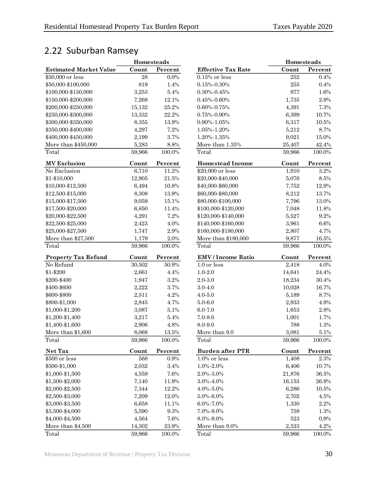## 2.22 Suburban Ramsey

|                               | Homesteads |           |                           | Homesteads |           |
|-------------------------------|------------|-----------|---------------------------|------------|-----------|
| <b>Estimated Market Value</b> | Count      | Percent   | <b>Effective Tax Rate</b> | Count      | Percent   |
| \$50,000 or less              | 28         | $0.0\%$   | $0.15\%$ or less          | 252        | 0.4%      |
| \$50,000-\$100,000            | 819        | 1.4%      | $0.15\% - 0.30\%$         | 255        | 0.4%      |
| \$100,000-\$150,000           | 3,253      | 5.4%      | $0.30\% - 0.45\%$         | 977        | 1.6%      |
| \$150,000-\$200,000           | 7,268      | 12.1%     | $0.45\% - 0.60\%$         | 1,735      | 2.9%      |
| \$200,000-\$250,000           | 15,132     | 25.2%     | $0.60\% - 0.75\%$         | 4,391      | 7.3%      |
| \$250,000-\$300,000           | 13,332     | 22.2%     | $0.75\% - 0.90\%$         | 6,399      | 10.7%     |
| \$300,000-\$350,000           | 8,355      | 13.9%     | $0.90\% - 1.05\%$         | 6,317      | 10.5%     |
| \$350,000-\$400,000           | 4,297      | 7.2%      | 1.05%-1.20%               | 5,212      | 8.7%      |
| \$400,000-\$450,000           | 2,199      | 3.7%      | 1.20%-1.35%               | 9,021      | 15.0%     |
| More than \$450,000           | 5,283      | 8.8%      | More than 1.35%           | 25,407     | 42.4%     |
| Total                         | 59,966     | 100.0%    | Total                     | 59,966     | 100.0%    |
| <b>MV</b> Exclusion           | Count      | Percent   | <b>Homestead Income</b>   | Count      | Percent   |
| No Exclusion                  | 6,710      | 11.2%     | \$20,000 or less          | 1,910      | $3.2\%$   |
| \$1-\$10,000                  | 12,905     | $21.5\%$  | \$20,000-\$40,000         | 5,076      | $8.5\%$   |
| \$10,000-\$12,500             | 6,494      | 10.8%     | \$40,000-\$60,000         | 7,752      | 12.9%     |
| \$12,500-\$15,000             | 8,308      | 13.9%     | \$60,000-\$80,000         | 8,212      | 13.7%     |
| \$15,000-\$17,500             | 9,059      | 15.1%     | \$80,000-\$100,000        | 7,796      | $13.0\%$  |
| \$17,500-\$20,000             | 6,850      | 11.4%     | \$100,000-\$120,000       | 7,048      | 11.8%     |
| \$20,000-\$22,500             | 4,291      | 7.2%      | \$120,000-\$140,000       | 5,527      | 9.2%      |
| \$22,500-\$25,000             | 2,423      | 4.0%      | \$140,000-\$160,000       | 3,961      | $6.6\%$   |
| \$25,000-\$27,500             | 1,747      | 2.9%      | \$160,000-\$180,000       | 2,807      | 4.7%      |
| More than \$27,500            | 1,179      | $2.0\%$   | More than \$180,000       | 9,877      | 16.5%     |
| Total                         | 59,966     | 100.0%    | Total                     | 59,966     | 100.0%    |
| <b>Property Tax Refund</b>    | Count      | Percent   | <b>EMV</b> / Income Ratio | Count      | Percent   |
| No Refund                     | 30,502     | $50.9\%$  | 1.0 or less               | 2,418      | 4.0%      |
| \$1-\$200                     | 2,661      | 4.4%      | $1.0 - 2.0$               | 14,641     | 24.4%     |
| \$200-\$400                   | 1,947      | 3.2%      | $2.0 - 3.0$               | 18,234     | 30.4%     |
| \$400-\$600                   | 2,222      | 3.7%      | $3.0 - 4.0$               | 10,028     | 16.7%     |
| \$600-\$800                   | 2,511      | 4.2%      | $4.0 - 5.0$               | 5,189      | 8.7%      |
| \$800-\$1,000                 | 2,845      | 4.7%      | $5.0 - 6.0$               | 2,933      | 4.9%      |
| \$1,000-\$1,200               | 3,087      | 5.1%      | $6.0 - 7.0$               | 1,653      | $2.8\%$   |
| \$1,200-\$1,400               | 3,217      | 5.4%      | $7.0 - 8.0$               | 1,001      | 1.7%      |
| \$1,400-\$1,600               | 2,906      | 4.8%      | 8.0-9.0                   | 788        | 1.3%      |
| More than \$1,600             | 8,068      | $13.5\%$  | More than 9.0             | 3,081      | $5.1\%$   |
| Total                         | 59,966     | 100.0%    | Total                     | 59,966     | 100.0%    |
| Net Tax                       | Count      | Percent   | <b>Burden after PTR</b>   | Count      | Percent   |
| \$500 or less                 | 568        | 0.9%      | $1.0\%$ or less           | 1,408      | $2.3\%$   |
| \$500-\$1,000                 | 2,032      | $3.4\%$   | 1.0%-2.0%                 | 6,406      | 10.7%     |
| \$1,000-\$1,500               | 4,559      | 7.6%      | 2.0%-3.0%                 | 21,876     | 36.5%     |
| \$1,500-\$2,000               | 7,140      | 11.9%     | 3.0%-4.0%                 | 16,153     | 26.9%     |
| \$2,000-\$2,500               | 7,344      | 12.2%     | 4.0%-5.0%                 | 6,286      | $10.5\%$  |
| \$2,500-\$3,000               | 7,209      | 12.0%     | $5.0\% - 6.0\%$           | 2,702      | 4.5%      |
| \$3,000-\$3,500               | 6,658      | 11.1%     | 6.0%-7.0%                 | 1,330      | $2.2\%$   |
| \$3,500-\$4,000               | 5,590      | 9.3%      | 7.0%-8.0%                 | 759        | 1.3%      |
| \$4,000-\$4,500               | 4,564      | 7.6%      | 8.0%-9.0%                 | 523        | $0.9\%$   |
| More than \$4,500             | 14,302     | $23.9\%$  | More than 9.0%            | 2,523      | $4.2\%$   |
| Total                         | 59,966     | $100.0\%$ | Total                     | 59,966     | $100.0\%$ |

<span id="page-33-0"></span>

|                               | Homesteads |           |                           | Homesteads |          |  |
|-------------------------------|------------|-----------|---------------------------|------------|----------|--|
| <b>Estimated Market Value</b> | Count      | Percent   | <b>Effective Tax Rate</b> | Count      | Percent  |  |
| \$50,000 or less              | 28         | 0.0%      | $0.15\%$ or less          | 252        | 0.4%     |  |
| \$50,000-\$100,000            | 819        | 1.4%      | $0.15\% - 0.30\%$         | $255\,$    | 0.4%     |  |
| \$100,000-\$150,000           | 3,253      | 5.4%      | $0.30\% - 0.45\%$         | 977        | 1.6%     |  |
| \$150,000-\$200,000           | 7,268      | 12.1%     | $0.45\% - 0.60\%$         | 1,735      | 2.9%     |  |
| \$200,000-\$250,000           | 15,132     | 25.2%     | $0.60\% - 0.75\%$         | 4,391      | $7.3\%$  |  |
| \$250,000-\$300,000           | 13,332     | 22.2%     | $0.75\% - 0.90\%$         | 6,399      | 10.7%    |  |
| \$300,000-\$350,000           | 8,355      | 13.9%     | $0.90\% - 1.05\%$         | 6,317      | $10.5\%$ |  |
| \$350,000-\$400,000           | 4,297      | 7.2%      | 1.05%-1.20%               | 5,212      | 8.7%     |  |
| \$400,000-\$450,000           | 2,199      | 3.7%      | 1.20%-1.35%               | 9,021      | 15.0%    |  |
| More than \$450,000           | 5,283      | $8.8\%$   | More than 1.35%           | 25,407     | $42.4\%$ |  |
| Total                         | 59,966     | $100.0\%$ | Total                     | 59,966     | 100.0%   |  |
| <b>MV</b> Exclusion           | Count      | Percent   | <b>Homestead Income</b>   | Count      | Percent  |  |
| No Exclusion                  | 6,710      | 11.2%     | $\$20,\!000$ or less      | 1,910      | 3.2%     |  |
| \$1-\$10,000                  | 12,905     | 21.5%     | \$20,000-\$40,000         | 5,076      | $8.5\%$  |  |
| \$10,000-\$12,500             | 6,494      | 10.8%     | \$40,000-\$60,000         | 7,752      | 12.9%    |  |
| \$12,500-\$15,000             | 8,308      | 13.9%     | \$60,000-\$80,000         | 8,212      | 13.7%    |  |
| \$15,000-\$17,500             | 9,059      | 15.1%     | \$80,000-\$100,000        | 7,796      | 13.0%    |  |
| \$17,500-\$20,000             | 6,850      | 11.4%     | \$100,000-\$120,000       | 7,048      | 11.8%    |  |
| \$20,000-\$22,500             | 4,291      | 7.2%      | \$120,000-\$140,000       | 5,527      | $9.2\%$  |  |
| \$22,500-\$25,000             | 2,423      | 4.0%      | \$140,000-\$160,000       | 3,961      | $6.6\%$  |  |
| \$25,000-\$27,500             | 1,747      | 2.9%      | \$160,000-\$180,000       | 2,807      | 4.7%     |  |
| More than \$27,500            | 1,179      | $2.0\%$   | More than \$180,000       | 9,877      | 16.5%    |  |
| Total                         | 59,966     | 100.0%    | Total                     | 59,966     | 100.0%   |  |
| <b>Property Tax Refund</b>    | Count      | Percent   | <b>EMV</b> / Income Ratio | Count      | Percent  |  |
| No Refund                     | 30,502     | 50.9%     | 1.0 or less               | 2,418      | 4.0%     |  |
| \$1-\$200                     | 2,661      | 4.4%      | $1.0 - 2.0$               | 14,641     | 24.4%    |  |
| \$200-\$400                   | 1,947      | $3.2\%$   | $2.0 - 3.0$               | 18,234     | 30.4%    |  |
| \$400-\$600                   | 2,222      | 3.7%      | $3.0 - 4.0$               | 10,028     | 16.7%    |  |
| \$600-\$800                   | 2,511      | $4.2\%$   | $4.0 - 5.0$               | 5,189      | 8.7%     |  |
| \$800-\$1,000                 | 2,845      | 4.7%      | $5.0 - 6.0$               | 2,933      | 4.9%     |  |
| \$1,000-\$1,200               | 3,087      | $5.1\%$   | $6.0 - 7.0$               | 1,653      | $2.8\%$  |  |
| \$1,200-\$1,400               | 3,217      | 5.4%      | $7.0 - 8.0$               | 1,001      | 1.7%     |  |
| \$1,400-\$1,600               | 2,906      | 4.8%      | 8.0-9.0                   | 788        | 1.3%     |  |
| More than \$1,600             | 8,068      | $13.5\%$  | More than 9.0             | 3,081      | 5.1%     |  |
| Total                         | 59,966     | 100.0%    | Total                     | 59,966     | 100.0%   |  |
| Net Tax                       | Count      | Percent   | <b>Burden after PTR</b>   | Count      | Percent  |  |
| \$500 or less                 | 568        | 0.9%      | 1.0% or less              | 1,408      | $2.3\%$  |  |
| \$500-\$1,000                 | 2,032      | $3.4\%$   | 1.0%-2.0%                 | 6,406      | 10.7%    |  |
| \$1,000-\$1,500               | 4,559      | 7.6%      | 2.0%-3.0%                 | 21,876     | $36.5\%$ |  |
| \$1,500-\$2,000               | 7,140      | 11.9%     | 3.0%-4.0%                 | 16,153     | 26.9%    |  |
| \$2,000-\$2,500               | 7,344      | 12.2%     | $4.0\% - 5.0\%$           | 6,286      | 10.5%    |  |
| \$2,500-\$3,000               | 7,209      | 12.0%     | $5.0\% - 6.0\%$           | 2,702      | 4.5%     |  |
| \$3,000-\$3,500               | 6,658      | 11.1%     | 6.0%-7.0%                 | 1,330      | $2.2\%$  |  |
| \$3,500-\$4,000               | 5,590      | 9.3%      | 7.0%-8.0%                 | 759        | 1.3%     |  |
| \$4,000-\$4,500               | 4,564      | 7.6%      | 8.0%-9.0%                 | 523        | 0.9%     |  |
| More than \$4,500             | 14,302     | 23.9%     | More than 9.0%            | 2,523      | 4.2%     |  |
|                               |            |           |                           |            |          |  |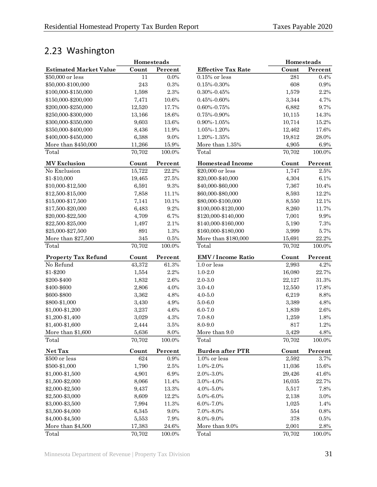## <span id="page-34-0"></span>2.23 Washington

|                               | Homesteads |           |                           | Homesteads |           |
|-------------------------------|------------|-----------|---------------------------|------------|-----------|
| <b>Estimated Market Value</b> | Count      | Percent   | <b>Effective Tax Rate</b> | Count      | Percent   |
| \$50,000 or less              | 11         | 0.0%      | $0.15\%$ or less          | 281        | 0.4%      |
| \$50,000-\$100,000            | 243        | 0.3%      | $0.15\% - 0.30\%$         | 608        | $0.9\%$   |
| \$100,000-\$150,000           | 1,598      | 2.3%      | $0.30\% - 0.45\%$         | 1,579      | 2.2%      |
| \$150,000-\$200,000           | 7,471      | 10.6%     | $0.45\% - 0.60\%$         | 3,344      | 4.7%      |
| \$200,000-\$250,000           | 12,520     | 17.7%     | $0.60\% - 0.75\%$         | 6,882      | 9.7%      |
| \$250,000-\$300,000           | 13,166     | 18.6%     | $0.75\% - 0.90\%$         | 10,115     | 14.3%     |
| \$300,000-\$350,000           | 9,603      | 13.6%     | $0.90\% - 1.05\%$         | 10,714     | 15.2%     |
| \$350,000-\$400,000           | 8,436      | 11.9%     | 1.05%-1.20%               | 12,462     | 17.6%     |
| \$400,000-\$450,000           | 6,388      | $9.0\%$   | 1.20%-1.35%               | 19,812     | 28.0%     |
| More than \$450,000           | 11,266     | 15.9%     | More than 1.35%           | 4,905      | $6.9\%$   |
| Total                         | 70,702     | 100.0%    | Total                     | 70,702     | 100.0%    |
| <b>MV</b> Exclusion           | Count      | Percent   | <b>Homestead Income</b>   | Count      | Percent   |
| No Exclusion                  | 15,722     | 22.2%     | \$20,000 or less          | 1,747      | $2.5\%$   |
| \$1-\$10,000                  | 19,465     | 27.5%     | \$20,000-\$40,000         | 4,304      | 6.1%      |
| \$10,000-\$12,500             | 6,591      | 9.3%      | \$40,000-\$60,000         | 7,367      | 10.4%     |
| \$12,500-\$15,000             | 7,858      | 11.1%     | \$60,000-\$80,000         | 8,593      | 12.2%     |
| \$15,000-\$17,500             | 7,141      | 10.1%     | \$80,000-\$100,000        | 8,550      | 12.1%     |
| \$17,500-\$20,000             | 6,483      | 9.2%      | \$100,000-\$120,000       | 8,260      | 11.7%     |
| \$20,000-\$22,500             | 4,709      | 6.7%      | \$120,000-\$140,000       | 7,001      | $9.9\%$   |
| \$22,500-\$25,000             | 1,497      | 2.1%      | \$140,000-\$160,000       | 5,190      | 7.3%      |
| \$25,000-\$27,500             | 891        | 1.3%      | \$160,000-\$180,000       | 3,999      | 5.7%      |
| More than \$27,500            | 345        | $0.5\%$   | More than \$180,000       | 15,691     | $22.2\%$  |
| Total                         | 70,702     | 100.0%    | Total                     | 70,702     | 100.0%    |
| <b>Property Tax Refund</b>    | Count      | Percent   | <b>EMV</b> / Income Ratio | Count      | Percent   |
| No Refund                     | 43,372     | 61.3%     | 1.0 or less               | 2,993      | 4.2%      |
| \$1-\$200                     | 1,554      | 2.2%      | $1.0 - 2.0$               | 16,080     | 22.7%     |
| \$200-\$400                   | 1,832      | $2.6\%$   | $2.0 - 3.0$               | 22,127     | $31.3\%$  |
| \$400-\$600                   | 2,806      | 4.0%      | $3.0 - 4.0$               | 12,550     | 17.8%     |
| \$600-\$800                   | 3,362      | 4.8%      | $4.0 - 5.0$               | 6,219      | 8.8%      |
| \$800-\$1,000                 | 3,430      | 4.9%      | $5.0 - 6.0$               | 3,389      | 4.8%      |
| \$1,000-\$1,200               | 3,237      | 4.6%      | $6.0 - 7.0$               | 1,839      | $2.6\%$   |
| \$1,200-\$1,400               | 3,029      | 4.3%      | $7.0 - 8.0$               | 1,259      | 1.8%      |
| \$1,400-\$1,600               | 2,444      | $3.5\%$   | 8.0-9.0                   | 817        | 1.2%      |
| More than \$1,600             | 5,636      | $8.0\%$   | More than 9.0             | 3,429      | $4.8\%$   |
| Total                         | 70,702     | 100.0%    | Total                     | 70,702     | 100.0%    |
| Net Tax                       | Count      | Percent   | <b>Burden after PTR</b>   | Count      | Percent   |
| \$500 or less                 | 624        | 0.9%      | $1.0\%$ or less           | 2,592      | 3.7%      |
| \$500-\$1,000                 | 1,790      | $2.5\%$   | $1.0\% - 2.0\%$           | 11,036     | $15.6\%$  |
| \$1,000-\$1,500               | 4,901      | 6.9%      | 2.0%-3.0%                 | 29,426     | 41.6%     |
| \$1,500-\$2,000               | 8,066      | 11.4%     | 3.0%-4.0%                 | 16,035     | 22.7%     |
| \$2,000-\$2,500               | 9,437      | 13.3%     | $4.0\% - 5.0\%$           | 5,517      | 7.8%      |
| \$2,500-\$3,000               | 8,609      | 12.2%     | $5.0\% - 6.0\%$           | 2,138      | $3.0\%$   |
| \$3,000-\$3,500               | 7,994      | 11.3%     | $6.0\% - 7.0\%$           | 1,025      | 1.4%      |
| \$3,500-\$4,000               | 6,345      | $9.0\%$   | 7.0%-8.0%                 | 554        | 0.8%      |
| \$4,000-\$4,500               | 5,553      | 7.9%      | $8.0\% - 9.0\%$           | 378        | $0.5\%$   |
| More than \$4,500             | 17,383     | $24.6\%$  | More than 9.0%            | 2,001      | $2.8\%$   |
| Total                         | 70,702     | $100.0\%$ | Total                     | 70,702     | $100.0\%$ |

|                           | <b>Homesteads</b> |         |
|---------------------------|-------------------|---------|
| <b>Effective Tax Rate</b> | Count             | Percent |
| $0.15\%$ or less          | 281               | 0.4%    |
| $0.15\% - 0.30\%$         | 608               | 0.9%    |
| 0.30%-0.45%               | 1,579             | 2.2%    |
| $0.45\% - 0.60\%$         | 3,344             | 4.7%    |
| $0.60\% - 0.75\%$         | 6,882             | 9.7%    |
| 0.75%-0.90%               | 10,115            | 14.3%   |
| 0.90%-1.05%               | 10,714            | 15.2%   |
| 1.05%-1.20%               | 12,462            | 17.6%   |
| 1.20%-1.35%               | 19,812            | 28.0%   |
| More than $1.35\%$        | 4,905             | 6.9%    |
| Total                     | 70,702            | 100.0%  |
| <b>Homestead Income</b>   | Count             | Percent |
| \$20,000 or less          | 1,747             | 2.5%    |
| \$20,000-\$40,000         | 4,304             | 6.1%    |
| \$40,000-\$60,000         | 7,367             | 10.4%   |
| \$60,000-\$80,000         | 8,593             | 12.2%   |
| \$80,000-\$100,000        | 8,550             | 12.1%   |
| \$100,000-\$120,000       | 8,260             | 11.7%   |
| \$120,000-\$140,000       | 7,001             | 9.9%    |
| \$140,000-\$160,000       | 5,190             | 7.3%    |
| \$160,000-\$180,000       | 3,999             | 5.7%    |
| More than \$180,000       | 15,691            | 22.2%   |
| Total                     | 70,702            | 100.0%  |
| <b>EMV</b> / Income Ratio | Count             | Percent |
| 1.0 or less               | 2,993             | 4.2%    |
| $1.0 - 2.0$               | 16,080            | 22.7%   |
| $2.0 - 3.0$               | 22,127            | 31.3%   |
| $3.0 - 4.0$               | 12,550            | 17.8%   |
| $4.0 - 5.0$               | 6,219             | 8.8%    |
| $5.0 - 6.0$               | 3,389             | 4.8%    |
| $6.0 - 7.0$               | 1,839             | 2.6%    |
| $7.0 - 8.0$               | 1,259             | 1.8%    |
| 8.0-9.0                   | 817               | 1.2%    |
| More than 9.0             | 3,429             | 4.8%    |
| Total                     | 70,702            | 100.0%  |
| <b>Burden after PTR</b>   | Count             | Percent |
| $1.0\%$ or less           | 2,592             | 3.7%    |
| 1.0%-2.0%                 | 11,036            | 15.6%   |
| 2.0%-3.0%                 | 29,426            | 41.6%   |
| 3.0%-4.0%                 | 16,035            | 22.7%   |
| 4.0%-5.0%                 | 5,517             | 7.8%    |
| 5.0%-6.0%                 | 2,138             | 3.0%    |
| 6.0%-7.0%                 | 1,025             | 1.4%    |
| 7.0%-8.0%                 | 554               | 0.8%    |
| 8.0%-9.0%                 | 378               | 0.5%    |
| More than 9.0%            | 2,001             | 2.8%    |
| Total                     | 70,702            | 100.0%  |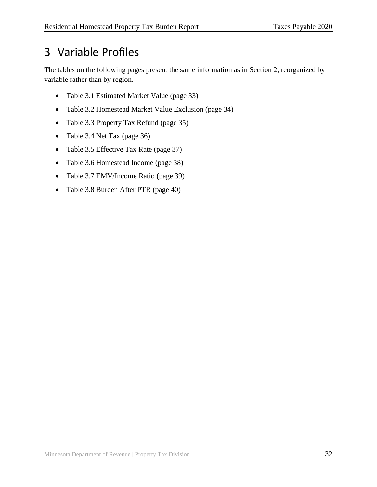## <span id="page-35-0"></span>3 Variable Profiles

The tables on the following pages present the same information as in Section 2, reorganized by variable rather than by region.

- Table 3.1 Estimated Market Value (page 33)
- Table 3.2 Homestead Market Value Exclusion (page 34)
- Table 3.3 Property Tax Refund (page 35)
- Table 3.4 Net Tax (page 36)
- Table 3.5 Effective Tax Rate (page 37)
- Table 3.6 Homestead Income (page 38)
- Table 3.7 EMV/Income Ratio (page 39)
- Table 3.8 Burden After PTR (page 40)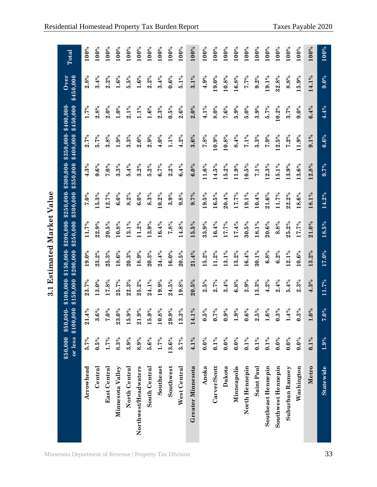|                      |          |                                          | $\ddot{3}$              |            | <b>Estimated Market Value</b>                   |                     |           |                                    |                        |                   |         |
|----------------------|----------|------------------------------------------|-------------------------|------------|-------------------------------------------------|---------------------|-----------|------------------------------------|------------------------|-------------------|---------|
|                      | \$50,000 | or less \$100,000<br>\$50,000-           | \$100,000-<br>\$150,000 | \$200,0000 | $$150,000 - $200,000 - $250,000 -$<br>\$250,000 | \$300,000           | \$350,000 | $$300,000 - $350,000$<br>\$400,000 | \$450,000<br>\$400,000 | Over<br>\$450,000 | Total   |
| Arrowhead            | 5.7%     | $.4\%$<br>$\overline{\mathbf{a}}$        | 23.7%                   | 19.0%      | 11.7%                                           | 7.0%                | 4.3%      | 2.7%                               | 1.7%                   | 2.8%              | 100%    |
| Central              | $0.5\%$  | $.6\%$<br>က                              | 13.0%                   | 23.2%      | 22.9%                                           | 5.3%                | 9.6%      | 5.7%                               | 2.8%                   | 3.4%              | 100%    |
| <b>East Central</b>  | 1.7%     | $\frac{6}{6}$<br>Ņ                       | 17.8%                   | 25.3%      | 20.5%                                           | 12.7%               | 7.0%      | 3.8%                               | 2.0%                   | 2.2%              | 100%    |
| Minnesota Valley     | 8.3%     | $\frac{6}{6}$<br>$\overline{23}$         | 25.7%                   | 18.6%      | 10.8%                                           | 6.0%                | 3.3%      | 1.9%                               | $1.0\%$                | 1.6%              | $100\%$ |
| North Central        | 3.9%     | 9%<br>$\overline{15}$                    | 22.3%                   | 20.3%      | 13.1%                                           | 8.2%                | 5.4%      | 3.3%                               | $2.1\%$                | 5.5%              | 100%    |
| Northwest/Headwaters | 8.9%     | $9\%$<br>$\overline{\mathbf{a}}$         | 25.2%                   | 18.9%      | 11.2%                                           | 6.0%                | 3.2%      | 2.0%                               | 1.1%                   | 1.6%              | 100%    |
| South Central        | 5.6%     | 9%<br>$\frac{15}{10}$                    | 24.1%                   | 20.3%      | 13.9%                                           | 8.3%                | 5.2%      | 2.9%                               | $1.6\%$                | 2.2%              | 100%    |
| Southeast            | 1.7%     | 8%<br>$\bar{5}$                          | 19.9%                   | 24.4%      | 16.4%                                           | 10.2%               | 6.7%      | 4.0%                               | 2.3%                   | 3.4%              | 100%    |
| Southwest            | 13.6%    | $9\%$<br>29.                             | 24.5%                   | $16.0\%$   | 7.8%                                            | 3.9%                | 2.2%      | $1.1\%$                            | $0.5\%$                | $0.6\%$           | 100%    |
| West Central         | 3.7%     | $.3\%$<br>$\mathbf{13}$                  | 19.8%                   | 20.5%      | 14.8%                                           | 9.8%                | 6.4%      | 4.2%                               | 2.6%                   | 5.1%              | 100%    |
| Greater Minnesota    | $4.1\%$  | 14.1%                                    | 20.5%                   | 21.4%      | 15.5%                                           | 9.7%                | 6.0%      | 3.6%                               | 2.0%                   | $3.1\%$           | 100%    |
| Anoka                | $0.0\%$  | 5%<br>0                                  | 2.5%                    | 15.2%      | 33.9%                                           | 19.5%               | 11.6%     | 7.8%                               | 4.1%                   | 4.9%              | 100%    |
| Carver/Scott         | $0.1\%$  | $7\%$<br>6                               | 2.7%                    | 11.2%      | 16.4%                                           | 16.5%               | 14.5%     | 10.9%                              | 8.0%                   | 19.0%             | 100%    |
| Dakota               | $0.0\%$  | 9%<br>$\bullet$                          | 3.4%                    | $13.1\%$   | 17.7%                                           | 20.4%               | 15.2%     | 10.8%                              | 7.6%                   | 10.8%             | 100%    |
| Minneapolis          | $0.0\%$  | 9%<br>$\blacksquare$                     | 6.8%                    | 13.2%      | 17.4%                                           | 17.7%               | 11.9%     | 8.4%                               | 5.9%                   | 16.8%             | 100%    |
| North Hennepin       | $0.1\%$  | 6%<br>0                                  | 2.9%                    | 16.4%      | 30.5%                                           | 19.1%               | 10.5%     | $7.1\%$                            | 5.0%                   | 7.7%              | 100%    |
| Saint Paul           | $0.1\%$  | 5%<br>$\boldsymbol{\omega}$              | 13.3%                   | 30.1%      | 18.1%                                           | 10.4%               | $7.1\%$   | 5.3%                               | 3.9%                   | 9.2%              | 100%    |
| Southeast Hennepin   | $0.1\%$  | $\ddot{6}$ %<br>$\overline{\phantom{0}}$ | 4.2%                    | 6.8%       | $20.6\%$                                        | 21.6%               | 12.3%     | 7.9%                               | 5.7%                   | 19.1%             | 100%    |
| Southwest Hennepin   | $0.0\%$  | $3\%$<br>$\bullet$                       | 2.4%                    | 6.2%       | 8.8%                                            | 11.7%               | 15.1%     | 12.5%                              | 10.2%                  | 32.8%             | 100%    |
| Suburban Ramsey      | $0.0\%$  | $.4\%$                                   | 5.4%                    | $2.1\%$    | 25.2%                                           | 22.2%               | 13.9%     | $7.2\%$                            | 3.7%                   | 8.8%              | 100%    |
| Washington           | $0.0\%$  | $.3\%$<br>$\dot{\bullet}$                | 2.3%                    | 10.6%      | 17.7%                                           | 18.6%               | 13.6%     | 11.9%                              | 9.0%                   | 15.9%             | 100%    |
| Metro                | $0.1\%$  | $0\%$                                    | 4.3%                    | 13.2%      | $21.0\%$                                        | 18.1%               | 12.8%     | 9.1%                               | 6.4%                   | 14.1%             | 100%    |
| Statewide            | $1.9\%$  | $.0\%$<br>H                              | 11.7%                   | 17.0%      | 18.5%                                           | $\overline{14.2\%}$ | 9.7%      | $6.6\%$                            | 4.4%                   | $9.0\%$           | 100%    |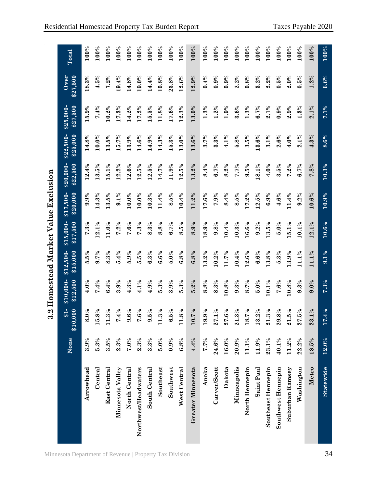|                      | None     | $$1-$<br>\$10,000                     | \$12,500<br>$\overline{$}10,000$ - | \$15,000<br>$$12,500-$ | \$17,500<br>$$15,000-$ | \$20,000<br>$$17,500-$ | \$22,500<br>$$20,000-$ | \$25,000<br>$$22,500-$ | \$27,500<br>\$25,000 | \$27,500<br>Over | Total              |
|----------------------|----------|---------------------------------------|------------------------------------|------------------------|------------------------|------------------------|------------------------|------------------------|----------------------|------------------|--------------------|
| Arrowhead            | 3.9%     | $\frac{6}{6}$<br>$\dot{\infty}$       | 4.0%                               | 5.5%                   | $7.3\%$                | 9.9%                   | 12.4%                  | 14.8%                  | 15.9%                | 18.3%            | 100%               |
| Central              | 5.3%     | 8%<br>15.                             | 7.4%                               | 9.7%                   | $2.1\%$                | 14.3%                  | 3.5%                   | $10.0\%$               | 7.4%                 | $4.5\%$          | 100%               |
| <b>East Central</b>  | 3.5%     | $3\%$<br>$\overline{11}$ .            | 6.4%                               | 8.3%                   | 11.0%                  | 13.5%                  | 15.1%                  | 13.5%                  | 10.2%                | $7.2\%$          | 100%               |
| Minnesota Valley     | 2.3%     | $4\%$<br>Ŀ,                           | 3.9%                               | 5.4%                   | $7.2\%$                | $9.1\%$                | 12.2%                  | 15.7%                  | 17.3%                | 19.4%            | 100%               |
| North Central        | 7.0%     | 6%<br>$\dot{\bullet}$                 | $4.3\%$                            | 5.9%                   | 7.6%                   | $10.0\%$               | 12.6%                  | 13.9%                  | 14.2%                | 14.8%            | 100%               |
| Northwest/Headwaters | 2.3%     | $6\%$<br>Γ.                           | 4.1%                               | 5.5%                   | 7.3%                   | $10.0\%$               | 12.5%                  | 14.6%                  | 17.2%                | 19.0%            | 100%               |
| South Central        | 3.3%     | $\frac{6}{2}$<br>$\ddot{\phantom{a}}$ | 4.9%                               | 6.3%                   | 8.3%                   | 10.3%                  | 12.5%                  | 14.9%                  | 5.5%                 | 14.4%            | 100%               |
| Southeast            | 5.0%     | $3\%$<br>$\overline{11}$ .            | 5.3%                               | 6.6%                   | 8.8%                   | 11.4%                  | 14.7%                  | 14.3%                  | 11.8%                | 10.8%            | 100%               |
| Southwest            | 0.9%     | 262<br>نۍ                             | 3.9%                               | 5.0%                   | 6.7%                   | 8.5%                   | 11.9%                  | 15.3%                  | 17.6%                | 23.8%            | 100%               |
| West Central         | 6.8%     | 8%<br>$\mathbf{1}$                    | 5.3%                               | 6.8%                   | 8.5%                   | 10.4%                  | 12.5%                  | 13.0%                  | 12.3%                | 12.6%            | 100%               |
| Greater Minnesota    | 4.4%     | $7\%$<br>10.                          | 5.2%                               | 6.8%                   | 8.9%                   | 11.2%                  | 13.2%                  | 13.6%                  | 13.0%                | 12.9%            | 100%               |
| Anoka                | 7.7%     | 9%<br>19.                             | 8.8%                               | 13.2%                  | 18.9%                  | 17.6%                  | 8.4%                   | 3.7%                   | 1.3%                 | 0.4%             | 100%               |
| Carver/Scott         | 24.6%    | $1\%$<br>27.                          | 8.3%                               | 10.2%                  | 9.8%                   | 7.9%                   | 6.7%                   | 3.3%                   | $1.2\%$              | 0.9%             | 100%               |
| Dakota               | $16.0\%$ | 6%<br>27.                             | 10.8%                              | 11.7%                  | 10.4%                  | 8.4%                   | 8.2%                   | $4.1\%$                | 1.9%                 | 0.9%             | $100\%$            |
| Minneapolis          | 20.9%    | $3\%$<br>$\overline{21}$ .            | 9.3%                               | 10.4%                  | 10.3%                  | 8.5%                   | 7.7%                   | 5.8%                   | 3.6%                 | 2.2%             | 100%               |
| North Hennepin       | 11.1%    | $7\%$<br>18.                          | 8.7%                               | 12.6%                  | 16.6%                  | 17.2%                  | 9.5%                   | 3.5%                   | 1.3%                 | 0.8%             | 100%               |
| Saint Paul           | 11.9%    | $2\%$<br>13.                          | 5.0%                               | 6.6%                   | 9.2%                   | 12.5%                  | 18.1%                  | 13.6%                  | 6.7%                 | $3.2\%$          | 100%               |
| Southeast Hennepin   | 23.1%    | $3\%$<br>21.                          | 10.1%                              | 13.8%                  | 13.5%                  | 6.9%                   | 4.0%                   | $3.1\%$                | $2.1\%$              | $2.2\%$          | $100\%$            |
| Southwest Hennepin   | 40.1%    | 8%<br>29.                             | 7.6%                               | 5.3%                   | 5.0%                   | 4.6%                   | 3.5%                   | 2.6%                   | 0.9%                 | $0.5\%$          | 100%               |
| Suburban Ramsey      | 11.2%    | $\frac{2}{6}$<br>$\overline{21}$ .    | 10.8%                              | 13.9%                  | 15.1%                  | 11.4%                  | $7.2\%$                | 4.0%                   | 2.9%                 | 2.0%             | 100%               |
| Washington           | 22.2%    | 262<br>27.                            | 9.3%                               | 11.1%                  | 10.1%                  | 9.2%                   | 6.7%                   | $2.1\%$                | $1.3\%$              | 0.5%             | 100%               |
| Metro                | 18.5%    | $1\%$<br>23                           | 9.0%                               | 11.1%                  | 12.1%                  | $10.6\%$               | 7.8%                   | 4.3%                   | 2.1%                 | 1.2%             | 100%               |
| Statewide            | 12.0%    | $.4\%$<br>17.                         | 7.3%                               | $9.1\%$                | 10.6%                  | 10.9%                  | 10.3%                  | $8.6\%$                | $7.1\%$              | $6.6\%$          | $\overline{100\%}$ |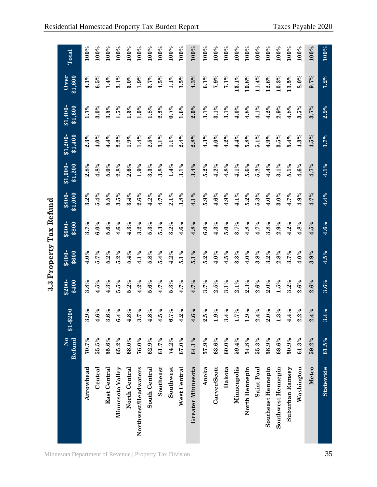|                      |                          |                               |                  | 3.3 Property Tax Refund |                 |                   |                                |                    |                    |                 |         |
|----------------------|--------------------------|-------------------------------|------------------|-------------------------|-----------------|-------------------|--------------------------------|--------------------|--------------------|-----------------|---------|
|                      | $\overline{X}$<br>Refund | $$1 - $200$                   | \$400<br>$$200-$ | \$400-<br>\$600         | \$600-<br>\$800 | \$1,000<br>\$800- | \$1,200<br>$\overline{$1,000}$ | \$1,400<br>\$1,200 | \$1,600<br>\$1,400 | \$1,600<br>Over | Total   |
| Arrowhead            | 70.7%                    | 3.9%                          | 3.8%             | 4.0%                    | 3.7%            | 3.2%              | 2.8%                           | $2.3\%$            | 1.7%               | 4.1%            | $100\%$ |
| Central              | 55.5%                    | 6%<br>$\ddot{+}$              | 4.5%             | 5.7%                    | $6.0\%$         | 5.4%              | 4.8%                           | $4.0\%$            | 3.0%               | 6.5%            | 100%    |
| <b>East Central</b>  | 55.6%                    | 3.6%                          | 4.3%             | 5.2%                    | 5.6%            | 5.5%              | $5.0\%$                        | 4.4%               | 3.5%               | 7.4%            | $100\%$ |
| Minnesota Valley     | 65.2%                    | 4%<br>ڿ                       | 5.5%             | $5.2\%$                 | 4.6%            | 3.5%              | 2.8%                           | 2.2%               | 1.5%               | $3.1\%$         | $100\%$ |
| North Central        | 68.0%                    | 8%<br>$\ddot{+}$              | 5.2%             | 5.4%                    | 4.3%            | 3.4%              | 2.6%                           | 1.9%               | $1.3\%$            | $3.0\%$         | 100%    |
| Northwest/Headwaters | 76.0%                    | $\sqrt{6}L$<br>$\ddot{\circ}$ | 4.2%             | $4.1\%$                 | 3.2%            | 2.6%              | 1.9%                           | 1.4%               | $1.0\%$            | 1.9%            | 100%    |
| South Central        | 62.9%                    | 8%<br>₹                       | 5.6%             | 5.8%                    | 5.3%            | 4.2%              | 3.3%                           | 2.5%               | 1.8%               | 3.7%            | 100%    |
| Southeast            | 61.7%                    | 4.5%                          | 4.7%             | 5.4%                    | 5.3%            | 4.7%              | 3.8%                           | $3.1\%$            | 2.2%               | $4.5\%$         | 100%    |
| Southwest            | 74.2%                    | $7\%$<br>نۍ                   | $5.3\%$          | 4.2%                    | 3.2%            | $2.1\%$           | $1.4\%$                        | $1.1\%$            | 0.7%               | $1.1\%$         | 100%    |
| West Central         | $67.0\%$                 | $2\%$<br>$\div$               | 4.7%             | 5.1%                    | 4.6%            | 3.8%              | $3.1\%$                        | 2.4%               | 1.6%               | 3.5%            | 100%    |
| Greater Minnesota    | 64.1%                    | $6\%$<br>$\ddot{=}$           | 4.7%             | $5.1\%$                 | 4.8%            | 4.1%              | 3.4%                           | 2.8%               | 2.0%               | 4.3%            | 100%    |
| Anoka                | 57.9%                    | 2.5%                          | 3.7%             | 5.2%                    | 6.0%            | 5.9%              | 5.2%                           | $4.3\%$            | $3.1\%$            | $6.1\%$         | 100%    |
| Carver/Scott         | 63.6%                    | $9\%$                         | $2.5\%$          | 4.0%                    | 4.3%            | 4.6%              | 4.2%                           | $4.0\%$            | $3.1\%$            | 7.9%            | 100%    |
| Dakota               | $60.0\%$                 | 3.4%                          | 3.1%             | 4.5%                    | $5.0\%$         | 4.9%              | 4.8%                           | 4.2%               | 3.1%               | $7.1\%$         | 100%    |
| Minneapolis          | 59.4%                    | $7\%$                         | $2.1\%$          | 3.3%                    | 3.7%            | 4.1%              | $4.1\%$                        | 4.4%               | $4.0\%$            | 13.1%           | 100%    |
| North Hennepin       | 54.8%                    | $1.9\%$                       | 2.3%             | $4.0\%$                 | 4.8%            | 5.2%              | 5.6%                           | 5.8%               | 4.8%               | 10.8%           | 100%    |
| Saint Paul           | 55.3%                    | 2.4%                          | 2.6%             | 3.8%                    | 4.7%            | 5.3%              | 5.2%                           | 5.1%               | 4.1%               | 11.4%           | $100\%$ |
| Southeast Hennepin   | 58.9%                    | 2.0%                          | $2.0\%$          | 3.2%                    | 3.8%            | $4.0\%$           | 4.4%                           | 4.9%               | 4.2%               | 12.6%           | 100%    |
| Southwest Hennepin   | 68.6%                    | $3\%$                         | $1.5\%$          | 2.8%                    | 2.9%            | 3.0%              | $3.1\%$                        | 3.5%               | 2.9%               | 10.3%           | 100%    |
| Suburban Ramsey      | 50.9%                    | $4\%$<br>₹                    | 3.2%             | 3.7%                    | 4.2%            | 4.7%              | $5.1\%$                        | 5.4%               | 4.8%               | 13.5%           | 100%    |
| Washington           | 61.3%                    | $2\%$<br>$\ddot{\mathbf{a}}$  | 2.6%             | 4.0%                    | 4.8%            | 4.9%              | 4.6%                           | 4.3%               | 3.5%               | $8.0\%$         | 100%    |
| Metro                | 59.2%                    | 4%<br>$\dot{\mathbf{a}}$      | 2.6%             | 3.9%                    | 4.5%            | 4.7%              | 4.7%                           | 4.5%               | 3.7%               | $9.7\%$         | 100%    |
| <b>Statewide</b>     | 61.5%                    | $4\%$<br>$\ddot{\text{o}}$    | 3.6%             | $4.5\%$                 | $4.6\%$         | 4.4%              | 4.1%                           | 3.7%               | 2.9%               | $7.2\%$         | 100%    |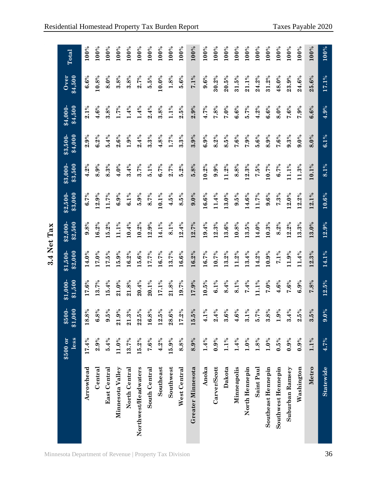|                      |                  |                                 |                    |                                 | 3.4 Net Tax          |                     |                    |                    |                    |                   |         |
|----------------------|------------------|---------------------------------|--------------------|---------------------------------|----------------------|---------------------|--------------------|--------------------|--------------------|-------------------|---------|
|                      | less<br>\$500 or | $\frac{1}{2}$<br>\$1,000<br>85( | \$1,500<br>\$1,000 | $\overline{1,500}$ -<br>\$2,000 | \$2,500<br>$$2,000-$ | \$3,000<br>\$2,500  | \$3,500<br>\$3,000 | \$4,000<br>\$3,500 | \$4,500<br>\$4,000 | \$4,500<br>Over   | Total   |
| Arrowhead            | 17.4%            | 18.8%                           | 17.6%              | 14.0%                           | 9.8%                 | 6.7%                | 4.2%               | 2.9%               | $2.1\%$            | 6.6%              | 100%    |
| Central              | 2.9%             | 6.8%                            | 13.7%              | 17.0%                           | 16.2%                | 12.9%               | 8.9%               | 6.2%               | 4.6%               | $\mathbf{10.8}\%$ | 100%    |
| <b>East Central</b>  | 5.4%             | 9.5%                            | 15.4%              | 17.5%                           | 15.2%                | 11.7%               | 8.3%               | 5.4%               | 3.8%               | 8.0%              | $100\%$ |
| Minnesota Valley     | $11.0\%$         | 21.9%                           | 21.0%              | 15.9%                           | 11.1%                | 6.9%                | 4.0%               | 2.6%               | 1.7%               | 3.8%              | 100%    |
| North Central        | 13.7%            | $21.3\%$                        | 21.8%              | 16.2%                           | 10.4%                | 6.1%                | 3.4%               | 1.9%               | 1.4%               | 3.8%              | 100%    |
| Northwest/Headwaters | 15.2%            | 22.5%                           | 20.4%              | 15.6%                           | 10.2%                | 5.9%                | 3.7%               | 2.4%               | 1.4%               | 2.7%              | 100%    |
| South Central        | 7.6%             | 16.8%                           | 20.1%              | 17.7%                           | 12.9%                | 8.7%                | 5.1%               | 3.3%               | 2.4%               | 5.5%              | 100%    |
| Southeast            | 4.2%             | 12.5%                           | 17.1%              | 16.7%                           | 14.1%                | 10.1%               | 6.7%               | 4.8%               | 3.8%               | $10.0\%$          | 100%    |
| Southwest            | 15.9%            | 28.6%                           | 21.8%              | 13.7%                           | $8.1\%$              | 4.5%                | 2.7%               | 1.7%               | $1.1\%$            | $1.8\%$           | 100%    |
| West Central         | 8.8%             | 17.2%                           | 19.7%              | 16.6%                           | 12.4%                | 8.5%                | 5.2%               | 3.3%               | 2.5%               | 5.6%              | 100%    |
| Greater Minnesota    | 8.9%             | 262<br>15.                      | 17.9%              | 16.2%                           | 12.7%                | 9.0%                | 5.8%               | 3.9%               | 2.9%               | $7.1\%$           | 100%    |
| Anoka                | $1.4\%$          | $1\%$<br>નું.                   | $10.5\%$           | 16.7%                           | 19.4%                | 16.6%               | 10.2%              | 6.9%               | 4.7%               | 9.6%              | 100%    |
| Carver/Scott         | $0.9\%$          | 2.4%                            | $6.1\%$            | 10.7%                           | 12.3%                | 11.4%               | 9.9%               | 8.2%               | 7.8%               | 30.2%             | 100%    |
| Dakota               | 1.1%             | 3.6%                            | 8.4%               | 13.2%                           | 13.6%                | $13.0\%$            | 11.2%              | 8.5%               | $7.0\%$            | 20.5%             | 100%    |
| Minneapolis          | 1.4%             | 4.6%                            | 8.1%               | 11.2%                           | 10.8%                | 9.5%                | 8.8%               | 7.6%               | 6.6%               | 31.5%             | 100%    |
| North Hennepin       | 1.0%             | $1\%$<br>$\dot{\bullet}$        | 7.4%               | 13.4%                           | 13.5%                | 14.6%               | 12.3%              | 7.9%               | 5.7%               | 21.1%             | 100%    |
| Saint Paul           | 1.8%             | $7\%$<br>ູ່                     | 11.1%              | 14.2%                           | 14.0%                | 11.7%               | 7.5%               | 5.6%               | 4.2%               | 24.2%             | 100%    |
| Southeast Hennepin   | 1.0%             | 3.8%                            | 7.0%               | 10.9%                           | 10.3%                | 9.6%                | 10.7%              | 8.9%               | 6.6%               | 31.2%             | 100%    |
| Southwest Hennepin   | 0.5%             | 1.9%                            | 4.6%               | $7.1\%$                         | 8.2%                 | 7.3%                | 6.7%               | 7.6%               | 8.0%               | 48.0%             | 100%    |
| Suburban Ramsey      | $0.9\%$          | 3.4%                            | 7.6%               | 11.9%                           | 12.2%                | 2.0%                | 11.1%              | 9.3%               | 7.6%               | 23.9%             | 100%    |
| Washington           | 0.9%             | 2.5%                            | 6.9%               | 11.4%                           | 13.3%                | 12.2%               | 11.3%              | 9.0%               | 7.9%               | 24.6%             | 100%    |
| Metro                | 1.1%             | 3.5%                            | 7.8%               | 12.3%                           | $13.0\%$             | $12.1\%$            | 10.1%              | 8.0%               | 6.6%               | $25.6\%$          | 100%    |
| <b>Statewide</b>     | 4.7%             | 9.0%                            | 12.5%              | $\overline{14.1\%}$             | 12.9%                | $\overline{10.6\%}$ | $8.1\%$            | $6.1\%$            | 4.9%               | 17.1%             | 100%    |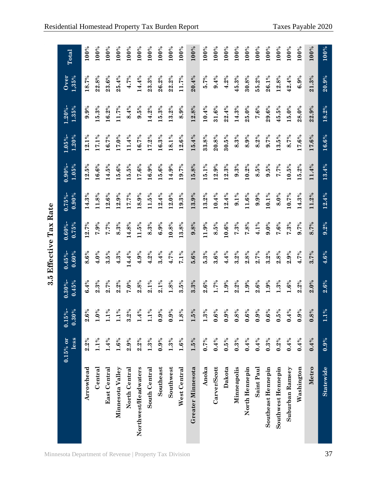|                      |                     |                                            |                        |                        | 3.5 Effective Tax Rate |                        |                     |                     |                     |               |       |
|----------------------|---------------------|--------------------------------------------|------------------------|------------------------|------------------------|------------------------|---------------------|---------------------|---------------------|---------------|-------|
|                      | $0.15\%$ or<br>less | $0.15\%$ -<br>$\overline{\textbf{0.30\%}}$ | $0.30\%$ -<br>$0.45\%$ | $0.45\%$ -<br>$0.60\%$ | $0.60\%$ -<br>0.75%    | $0.90\%$<br>$0.75\%$ - | 1.05%<br>$0.90\%$ - | 1.20%<br>$1.05\%$ - | 1.35%<br>$1.20\%$ - | Over<br>1,35% | Total |
| Arrowhead            | 2.2%                | 2.6%                                       | 6.4%                   | 8.6%                   | 12.7%                  | 14.3%                  | 12.5%               | 12.1%               | 9.9%                | 18.7%         | 100%  |
| Central              | $1.1\%$             | $\mathbf{0}\%$                             | 2.3%                   | 4.0%                   | 7.9%                   | 11.8%                  | 16.6%               | 17.1%               | 15.3%               | 22.8%         | 100%  |
| <b>East Central</b>  | 1.4%                | 1.1%                                       | 2.7%                   | 3.5%                   | 7.7%                   | 12.6%                  | 14.5%               | 16.7%               | 16.2%               | 23.6%         | 100%  |
| Minnesota Valley     | 1.6%                | $1\%$                                      | $2.2\%$                | 4.3%                   | 8.3%                   | 12.9%                  | 15.6%               | 17.0%               | 11.7%               | 25.4%         | 100%  |
| North Central        | 2.9%                | 3.2%                                       | 7.0%                   | 14.4%                  | 4.8%                   | 17.7%                  | 15.5%               | 11.4%               | 8.4%                | 4.7%          | 100%  |
| Northwest/Headwaters | 2.2%                | 4%                                         | 2.8%                   | 4.9%                   | 11.5%                  | 18.9%                  | 17.6%               | 16.7%               | 9.5%                | 14.4%         | 100%  |
| South Central        | $1.3\%$             | $1\%$                                      | $2.1\%$                | 4.2%                   | 8.3%                   | 11.5%                  | 16.9%               | 17.2%               | 14.2%               | 23.3%         | 100%  |
| Southeast            | 0.9%                | 0.9%                                       | $2.1\%$                | 3.4%                   | 6.9%                   | 12.4%                  | 15.6%               | 16.3%               | 15.3%               | 26.2%         | 100%  |
| Southwest            | $1.3\%$             | 0.9%                                       | 1.8%                   | 4.7%                   | 10.8%                  | $12.0\%$               | $14.9\%$            | 18.1%               | 13.2%               | 22.2%         | 100%  |
| West Central         | 1.6%                | 8%                                         | 3.5%                   | 7.1%                   | 13.8%                  | 19.3%                  | 19.7%               | 12.6%               | 8.9%                | 11.7%         | 100%  |
| Greater Minnesota    | $1.5\%$             | $\frac{6}{2}$                              | 3.3%                   | 5.6%                   | 9.8%                   | 13.9%                  | 15.8%               | 15.4%               | 12.8%               | 20.4%         | 100%  |
| Anoka                | $0.7\%$             | $1.3\%$                                    | 2.6%                   | 5.3%                   | 11.9%                  | 13.2%                  | 15.1%               | 33.8%               | 10.4%               | 5.7%          | 100%  |
| Carver/Scott         | 0.4%                | 0.6%                                       | 1.7%                   | 3.6%                   | 8.5%                   | 10.4%                  | 12.9%               | 20.8%               | 31.6%               | 9.4%          | 100%  |
| Dakota               | 0.5%                | 0.9%                                       | 1.9%                   | 4.4%                   | 10.6%                  | 12.4%                  | 12.3%               | 30.5%               | 22.4%               | 4.2%          | 100%  |
| Minneapolis          | $0.3\%$             | 0.8%                                       | 2.2%                   | $3.2\%$                | 7.3%                   | $9.1\%$                | 9.3%                | 8.3%                | 14.3%               | 45.3%         | 100%  |
| North Hennepin       | 0.4%                | 0.6%                                       | 1.9%                   | 2.8%                   | 7.8%                   | 11.6%                  | 10.2%               | 8.9%                | 25.0%               | 30.8%         | 100%  |
| Saint Paul           | 0.4%                | 0.9%                                       | 2.6%                   | 2.7%                   | 4.1%                   | 9.9%                   | 8.5%                | 8.2%                | 7.6%                | 55.2%         | 100%  |
| Southeast Hennepin   | $0.3\%$             | 0.6%                                       | 1.9%                   | 3.2%                   | 9.0%                   | $10.1\%$               | 9.5%                | 9.7%                | 29.6%               | 26.1%         | 100%  |
| Southwest Hennepin   | $0.2\%$             | 0.5%                                       | 1.3%                   | 2.8%                   | 7.6%                   | 8.0%                   | 7.7%                | 13.5%               | 45.5%               | 12.8%         | 100%  |
| Suburban Ramsey      | 0.4%                | 0.4%                                       | 1.6%                   | 2.9%                   | $7.3\%$                | 10.7%                  | 10.5%               | 8.7%                | 15.0%               | 42.4%         | 100%  |
| Washington           | 0.4%                | $9\%$<br>$\ddot{\bullet}$                  | $2.2\%$                | 4.7%                   | 9.7%                   | 14.3%                  | 15.2%               | 17.6%               | 28.0%               | 6.9%          | 100%  |
| Metro                | 0.4%                | 8%<br>$\dot{\bullet}$                      | 2.0%                   | 3.7%                   | 8.7%                   | 11.2%                  | 11.4%               | 17.6%               | 22.9%               | 21.3%         | 100%  |
| <b>Statewide</b>     | 0.9%                | $1\%$<br>÷                                 | 2.6%                   | 4.6%                   | 9.2%                   | 12.4%                  | 13.4%               | $16.6\%$            | 18.2%               | 20.9%         | 100%  |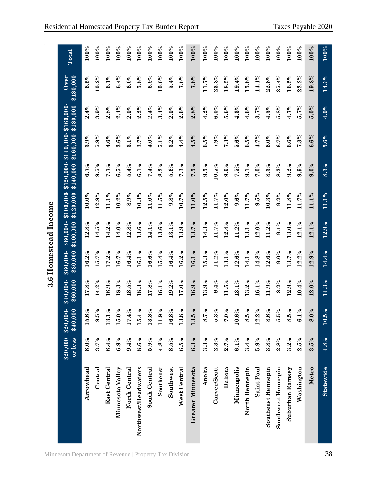|                      |                     |                                     |                        |                       | 3.6 Homestead Income   |           |                                                                |           |           |                   |         |
|----------------------|---------------------|-------------------------------------|------------------------|-----------------------|------------------------|-----------|----------------------------------------------------------------|-----------|-----------|-------------------|---------|
|                      | or less<br>\$20,000 | \$40,000<br>$\frac{1}{2}$<br>\$20,0 | $$40,000-$<br>\$60,000 | \$60,000-<br>\$80,000 | \$100,000<br>\$80,000- | \$120,000 | $$100,000$ - $$120,000$ - $$140,000$ - $$160,000$<br>\$140,000 | \$160,000 | \$180,000 | \$180,000<br>Over | Total   |
| Arrowhead            | 8.0%                | 15.6%                               | 17.8%                  | 16.2%                 | 12.8%                  | $10.0\%$  | 6.7%                                                           | 3.9%      | 2.4%      | 6.5%              | 100%    |
| Central              | 3.7%                | 262<br>$\ddot{\bullet}$             | 14.2%                  | 15.7%                 | 14.5%                  | 12.9%     | 9.5%                                                           | 5.9%      | 3.9%      | 10.2%             | 100%    |
| <b>East Central</b>  | 6.4%                | 13.1%                               | 16.9%                  | 17.2%                 | 14.2%                  | 11.1%     | 7.7%                                                           | 4.6%      | 2.8%      | 6.1%              | $100\%$ |
| Minnesota Valley     | 6.9%                | $\delta^{\circ}$<br>$\overline{15}$ | 18.3%                  | 16.7%                 | 14.0%                  | 10.2%     | 6.5%                                                           | 3.6%      | 2.4%      | 6.4%              | 100%    |
| North Central        | 9.4%                | 17.4%                               | 18.5%                  | 16.4%                 | 12.8%                  | 8.9%      | 5.4%                                                           | $3.1\%$   | 2.0%      | 6.0%              | 100%    |
| Northwest/Headwaters | 8.6%                | $4\%$<br>$\overline{15}$ .          | 18.3%                  | 16.1%                 | 13.6%                  | 10.3%     | 6.1%                                                           | 3.7%      | 2.2%      | 5.8%              | 100%    |
| South Central        | 5.9%                | 8%<br>$\frac{3}{13}$                | 17.8%                  | 16.6%                 | $14.1\%$               | 11.0%     | 7.4%                                                           | 4.0%      | 2.4%      | 6.9%              | 100%    |
| Southeast            | 4.8%                | 9%<br>Ξ                             | 16.1%                  | 15.4%                 | 13.6%                  | 11.5%     | 8.2%                                                           | $5.1\%$   | 3.4%      | $10.0\%$          | 100%    |
| Southwest            | 8.5%                | 8%<br><u>16.</u>                    | 19.2%                  | 16.4%                 | 13.1%                  | 9.8%      | 5.6%                                                           | 3.2%      | $2.0\%$   | 5.4%              | 100%    |
| West Central         | 6.5%                | 8%<br>$\frac{3}{1}$                 | 17.0%                  | 16.2%                 | 13.9%                  | 10.7%     | 7.3%                                                           | 4.4%      | 2.6%      | 7.6%              | 100%    |
| Greater Minnesota    | 6.3%                | $5\%$<br>13.                        | 16.9%                  | $16.1\%$              | 13.7%                  | 11.0%     | 7.5%                                                           | $4.5\%$   | 2.8%      | 7.8%              | 100%    |
| Anoka                | 3.3%                | $7\%$<br>$\dot{\infty}$             | 13.9%                  | 15.3%                 | 14.3%                  | 12.5%     | 9.5%                                                           | 6.5%      | $4.2\%$   | 11.7%             | 100%    |
| Carver/Scott         | 2.3%                | 5.3%                                | 9.4%                   | 11.2%                 | 11.7%                  | 11.7%     | 10.5%                                                          | 7.9%      | 6.0%      | 23.8%             | 100%    |
| Dakota               | 2.7%                | 7.0%                                | 11.5%                  | 13.1%                 | 12.4%                  | 12.0%     | 9.9%                                                           | 7.3%      | 5.6%      | 18.5%             | 100%    |
| Minneapolis          | $6.1\%$             | 10.6%                               | 13.1%                  | 12.6%                 | 11.2%                  | 9.6%      | 7.5%                                                           | 5.6%      | 4.3%      | 19.4%             | 100%    |
| North Hennepin       | 3.4%                | 8.5%                                | 13.2%                  | 14.1%                 | 13.1%                  | 11.7%     | $9.1\%$                                                        | 6.5%      | 4.6%      | 15.8%             | 100%    |
| Saint Paul           | 5.9%                | 12.2%                               | 16.1%                  | 14.8%                 | 12.0%                  | 9.5%      | 7.0%                                                           | 4.7%      | 3.7%      | 14.1%             | 100%    |
| Southeast Hennepin   | 3.8%                | $6\%$<br>$\ddot{\bm{s}}$            | 11.9%                  | 12.6%                 | 11.2%                  | 10.3%     | 8.3%                                                           | 6.0%      | 4.5%      | 22.8%             | 100%    |
| Southwest Hennepin   | 2.8%                | 5.5%                                | 8.2%                   | 9.0%                  | $9.1\%$                | 9.2%      | 8.2%                                                           | 6.7%      | 5.8%      | 35.4%             | 100%    |
| Suburban Ramsey      | 3.2%                | 262<br>$\ddot{\circ}$               | 12.9%                  | 13.7%                 | 13.0%                  | 11.8%     | 9.2%                                                           | 6.6%      | 4.7%      | 16.5%             | 100%    |
| Washington           | 2.5%                | $1\%$<br>6.                         | 10.4%                  | 12.2%                 | 12.1%                  | 11.7%     | 9.9%                                                           | $7.3\%$   | 5.7%      | 22.2%             | 100%    |
| Metro                | 3.5%                | $\delta^{\circ}$<br>$\dot{\infty}$  | $12.0\%$               | 12.9%                 | $12.1\%$               | 11.1%     | $9.0\%$                                                        | 6.6%      | 5.0%      | 19.8%             | 100%    |
| <b>Statewide</b>     | $4.8\%$             | $5\%$<br>$\frac{1}{10}$             | $14.3\%$               | 14.4%                 | 12.9%                  | 11.1%     | 8.3%                                                           | 5.6%      | $4.0\%$   | $14.3\%$          | 100%    |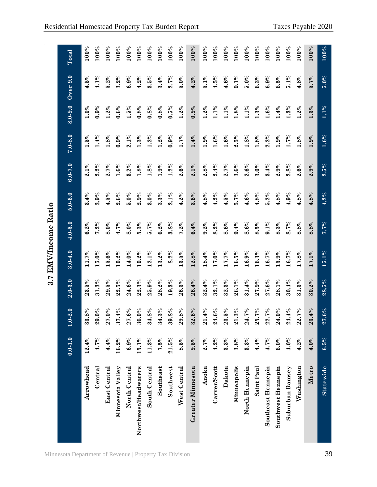|                      |             |                   |             | 3.7 EMV/Income Ratio |             |             |                      |                    |             |          |         |
|----------------------|-------------|-------------------|-------------|----------------------|-------------|-------------|----------------------|--------------------|-------------|----------|---------|
|                      | $0.0 - 1.0$ | 2.0<br>$1.0 -$    | $2.0 - 3.0$ | $3.0 - 4.0$          | $4.0 - 5.0$ | $5.0 - 6.0$ | $6.0 - 7.0$          | $7.0 - 8.0$        | $8.0 - 9.0$ | Over 9.0 | Total   |
| Arrowhead            | 12.4%       | 33.8%             | 23.5%       | 11.7%                | 6.2%        | 3.4%        | $2.1\%$              | $1.5\%$            | $1.0\%$     | $4.5\%$  | 100%    |
| Central              | 4.7%        | 29.0%             | 31.3%       | 15.0%                | $7.2\%$     | 3.9%        | 2.2%                 | 1.4%               | 0.9%        | 4.1%     | 100%    |
| <b>East Central</b>  | 4.4%        | 27.0%             | 29.5%       | 15.6%                | 8.0%        | 4.5%        | 2.7%                 | 1.8%               | $1.2\%$     | 5.2%     | $100\%$ |
| Minnesota Valley     | 16.2%       | 37.4%             | 22.5%       | 10.2%                | 4.7%        | 2.6%        | 1.6%                 | 0.9%               | $0.6\%$     | 3.2%     | 100%    |
| North Central        | 6.9%        | 27.6%             | 24.6%       | 14.0%                | $8.0\%$     | 5.0%        | 3.2%                 | $2.1\%$            | $1.5\%$     | 6.9%     | 100%    |
| Northwest/Headwaters | 15.1%       | 36.0%             | 22.3%       | 10.2%                | $5.3\%$     | 2.9%        | $1.8\%$              | 1.3%               | 0.8%        | 4.2%     | 100%    |
| South Central        | 11.3%       | 34.8%             | 25.9%       | 12.1%                | 5.7%        | 3.0%        | 1.8%                 | $1.2\%$            | $0.8\%$     | 3.5%     | 100%    |
| Southeast            | 7.5%        | 34.3%             | 28.2%       | 13.2%                | 6.2%        | 3.3%        | $1.9\%$              | $1.2\%$            | $0.8\%$     | 3.4%     | 100%    |
| Southwest            | 21.5%       | 8%<br>39.         | 19.3%       | 8.2%                 | 3.8%        | $2.1\%$     | $1.2\%$              | 0.9%               | $0.5\%$     | 2.7%     | 100%    |
| West Central         | 8.5%        | 8%<br>29.         | 26.3%       | 13.5%                | $7.2\%$     | 4.2%        | 2.6%                 | 1.7%               | 1.2%        | 5.0%     | 100%    |
| Greater Minnesota    | 9.5%        | $6\%$<br>32.      | 26.4%       | 12.8%                | 6.4%        | 3.6%        | $2.1\%$              | 1.4%               | 0.9%        | 4.2%     | 100%    |
| Anoka                | 2.7%        | 21.4%             | 32.4%       | 18.4%                | $9.2\%$     | 4.8%        | 2.8%                 | 1.9%               | $1.2\%$     | $5.1\%$  | 100%    |
| Carver/Scott         | 4.2%        | $\textbf{24.6}\%$ | 32.1%       | 17.0%                | 8.2%        | 4.2%        | 2.4%                 | $1.6\%$            | $1.1\%$     | 4.5%     | 100%    |
| Dakota               | 3.3%        | 23.5%             | 32.3%       | 17.7%                | 8.6%        | 4.5%        | 2.7%                 | 1.6%               | $1.1\%$     | 4.6%     | 100%    |
| Minneapolis          | 3.8%        | $21.3\%$          | 26.1%       | 16.5%                | 9.4%        | 5.7%        | $3.6\%$              | 2.5%               | 1.8%        | $9.1\%$  | 100%    |
| North Hennepin       | 3.3%        | $7\%$<br>24.      | 31.4%       | 16.9%                | 8.6%        | 4.6%        | $\boldsymbol{2.6\%}$ | 1.8%               | $1.1\%$     | $5.0\%$  | 100%    |
| Saint Paul           | 4.4%        | 25.7%             | 27.9%       | 16.3%                | 8.5%        | 4.8%        | 3.0%                 | 1.8%               | 1.3%        | 6.3%     | 100%    |
| Southeast Hennepin   | 4.7%        | $7\%$<br>22.      | 27.6%       | 16.7%                | $9.1\%$     | 5.2%        | 3.4%                 | 2.2%               | 1.6%        | 6.9%     | 100%    |
| Southwest Hennepin   | 6.0%        | 24.0%             | 28.1%       | $15.9\%$             | 8.3%        | 4.8%        | 2.9%                 | 1.9%               | 1.4%        | 6.5%     | 100%    |
| Suburban Ramsey      | 4.0%        | 4%<br>24.         | 30.4%       | 16.7%                | 8.7%        | 4.9%        | 2.8%                 | 1.7%               | 1.3%        | $5.1\%$  | 100%    |
| Washington           | 4.2%        | $7\%$<br>22.      | 31.3%       | 17.8%                | 8.8%        | 4.8%        | 2.6%                 | 1.8%               | 1.2%        | 4.8%     | $100\%$ |
| Metro                | 4.0%        | 4%<br>23.         | 30.2%       | 17.1%                | 8.8%        | 4.8%        | 2.9%                 | 1.9%               | 1.3%        | 5.7%     | 100%    |
| <b>Statewide</b>     | 6.5%        | 27.6%             | 28.5%       | 15.1%                | 7.7%        | 4.2%        | $2.5\%$              | $\overline{1.6\%}$ | 1.1%        | 5.0%     | $100\%$ |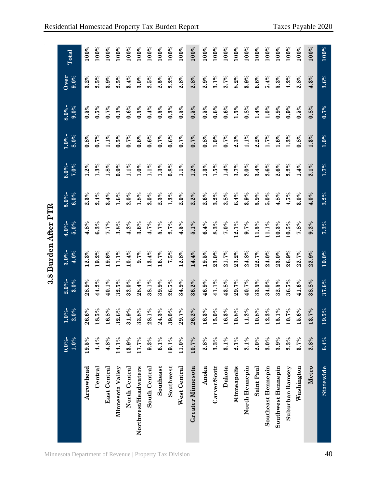|                      |                      |                             |                   |                   | 3.8 Burden After PTR |                   |                   |                    |                   |              |         |
|----------------------|----------------------|-----------------------------|-------------------|-------------------|----------------------|-------------------|-------------------|--------------------|-------------------|--------------|---------|
|                      | $0.0\%$ -<br>$1.0\%$ | $1.0\%$ -<br>2.0%           | $2.0\%$ -<br>3.0% | $3.0\%$ -<br>4.0% | $4.0\%$ -<br>5.0%    | $5.0\%$ -<br>6.0% | 7.0%<br>$6.0\%$ - | 8.0%<br>$7.0\%$ -  | 9.0%<br>$8.0\%$ - | Over<br>9.0% | Total   |
| Arrowhead            | 19.5%                | 26.6%                       | 28.9%             | 12.3%             | 4.8%                 | $2.3\%$           | $1.2\%$           | 0.8%               | 0.5%              | 3.2%         | 100%    |
| Central              | 4.4%                 | 18.5%                       | $44.2\%$          | 19.2%             | 6.3%                 | 2.4%              | $1.3\%$           | 0.7%               | 0.5%              | 2.5%         | 100%    |
| <b>East Central</b>  | 4.8%                 | 16.8%                       | 40.1%             | 19.6%             | 7.7%                 | 3.4%              | 1.8%              | $1.1\%$            | 0.7%              | 3.9%         | $100\%$ |
| Minnesota Valley     | 14.1%                | 6%<br>32.                   | 32.5%             | 11.1%             | 3.8%                 | 1.6%              | 0.9%              | 0.5%               | 0.3%              | 2.5%         | $100\%$ |
| North Central        | 13.9%                | 31.9%                       | 32.0%             | 10.4%             | 4.2%                 | $2.0\%$           | $1.1\%$           | 0.7%               | 0.6%              | 3.4%         | 100%    |
| Northwest/Headwaters | 17.7%                | 33.8%                       | 28.4%             | 9.7%              | 3.6%                 | $1.8\%$           | $1.0\%$           | $0.6\%$            | 0.5%              | 3.0%         | 100%    |
| South Central        | 9.3%                 | 28.1%                       | 38.1%             | 13.4%             | 4.7%                 | 2.0%              | 1.1%              | 0.6%               | 0.4%              | 2.5%         | 100%    |
| Southeast            | $6.1\%$              | 24.3%                       | 39.9%             | 16.7%             | 5.7%                 | $2.3\%$           | $1.3\%$           | 0.7%               | 0.5%              | 2.5%         | 100%    |
| Southwest            | 19.1%                | $\mathbf{0}\%$<br>39.       | $\textbf{26.5}\%$ | 7.5%              | 2.7%                 | $1.3\%$           | $0.8\%$           | $\mathbf{0.6}\%$   | $0.3\%$           | 2.2%         | 100%    |
| West Central         | 11.0%                | $\sqrt{6}$<br>29.           | 34.9%             | 12.8%             | 4.5%                 | 2.0%              | 1.1%              | 0.7%               | 0.5%              | 2.8%         | 100%    |
| Greater Minnesota    | 10.7%                | $2\%$<br>26.                | 36.2%             | 14.4%             | $5.1\%$              | 2.2%              | $1.2\%$           | 0.7%               | 0.5%              | 2.8%         | $100\%$ |
| Anoka                | 2.8%                 | 16.3%                       | $46.9\%$          | 19.5%             | 6.4%                 | 2.6%              | $1.3\%$           | 0.8%               | $0.5\%$           | 2.9%         | 100%    |
| Carver/Scott         | 3.3%                 | 15.0%                       | 41.1%             | 23.0%             | 8.3%                 | $3.2\%$           | 1.5%              | $1.0\%$            | 0.6%              | $3.1\%$      | 100%    |
| Dakota               | $3.1\%$              | 16.3%                       | 43.8%             | 21.7%             | 7.0%                 | 2.8%              | 1.4%              | 0.7%               | $\mathbf{0.6}\%$  | 2.7%         | 100%    |
| Minneapolis          | $2.1\%$              | 10.8%                       | 29.7%             | 23.2%             | 2.1%                 | 6.4%              | 3.7%              | 2.3%               | 1.5%              | 8.2%         | 100%    |
| North Hennepin       | $2.1\%$              | 11.2%                       | 40.7%             | 24.8%             | 9.7%                 | 3.9%              | 2.0%              | $1.1\%$            | 0.8%              | 3.9%         | 100%    |
| Saint Paul           | 2.0%                 | 10.8%                       | 33.5%             | 22.7%             | 11.5%                | 5.9%              | 3.4%              | 2.2%               | 1.4%              | 6.6%         | $100\%$ |
| Southeast Hennepin   | 3.0%                 | 12.3%                       | 34.0%             | 24.0%             | 11.1%                | $5.0\%$           | 2.6%              | 1.7%               | 1.0%              | 5.4%         | 100%    |
| Southwest Hennepin   | 3.9%                 | 15.1%                       | 32.5%             | 23.0%             | 10.3%                | 4.8%              | 2.6%              | 1.6%               | 0.9%              | $5.3\%$      | 100%    |
| Suburban Ramsey      | 2.3%                 | $\sqrt{6}$<br>$\frac{1}{2}$ | 36.5%             | 26.9%             | 10.5%                | $4.5\%$           | $2.2\%$           | $1.3\%$            | 0.9%              | 4.2%         | 100%    |
| Washington           | 3.7%                 | 6%<br>15.                   | 41.6%             | 22.7%             | 7.8%                 | 3.0%              | 1.4%              | $0.8\%$            | 0.5%              | 2.8%         | 100%    |
| Metro                | 2.8%                 | $7\%$<br>$\frac{3}{1}$      | 38.8%             | 22.9%             | 9.2%                 | 4.0%              | 2.1%              | 1.3%               | 0.8%              | 4.3%         | 100%    |
| <b>Statewide</b>     | 6.4%                 | $^{6/9}$<br>19.             | 37.6%             | 19.0%             | 7.3%                 | 3.2%              | 1.7%              | $\overline{1.0\%}$ | $0.7\%$           | 3.6%         | 100%    |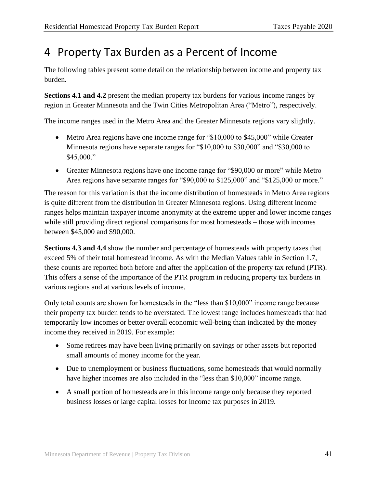## <span id="page-44-0"></span>4 Property Tax Burden as a Percent of Income

The following tables present some detail on the relationship between income and property tax burden.

**Sections 4.1 and 4.2** present the median property tax burdens for various income ranges by region in Greater Minnesota and the Twin Cities Metropolitan Area ("Metro"), respectively.

The income ranges used in the Metro Area and the Greater Minnesota regions vary slightly.

- Metro Area regions have one income range for "\$10,000 to \$45,000" while Greater Minnesota regions have separate ranges for "\$10,000 to \$30,000" and "\$30,000 to \$45,000."
- Greater Minnesota regions have one income range for "\$90,000 or more" while Metro Area regions have separate ranges for "\$90,000 to \$125,000" and "\$125,000 or more."

The reason for this variation is that the income distribution of homesteads in Metro Area regions is quite different from the distribution in Greater Minnesota regions. Using different income ranges helps maintain taxpayer income anonymity at the extreme upper and lower income ranges while still providing direct regional comparisons for most homesteads – those with incomes between \$45,000 and \$90,000.

**Sections 4.3 and 4.4** show the number and percentage of homesteads with property taxes that exceed 5% of their total homestead income. As with the Median Values table in Section 1.7, these counts are reported both before and after the application of the property tax refund (PTR). This offers a sense of the importance of the PTR program in reducing property tax burdens in various regions and at various levels of income.

Only total counts are shown for homesteads in the "less than \$10,000" income range because their property tax burden tends to be overstated. The lowest range includes homesteads that had temporarily low incomes or better overall economic well-being than indicated by the money income they received in 2019. For example:

- Some retirees may have been living primarily on savings or other assets but reported small amounts of money income for the year.
- Due to unemployment or business fluctuations, some homesteads that would normally have higher incomes are also included in the "less than \$10,000" income range.
- A small portion of homesteads are in this income range only because they reported business losses or large capital losses for income tax purposes in 2019.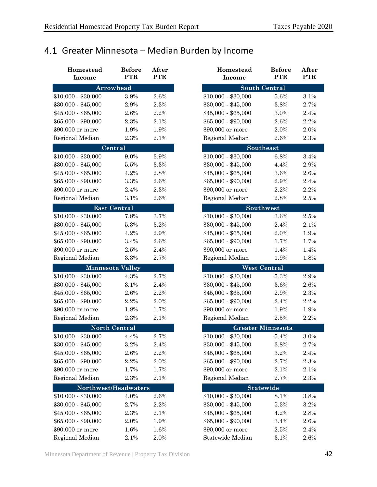## <span id="page-45-0"></span>4.1 Greater Minnesota – Median Burden by Income

| Homestead<br><b>Income</b> | <b>Before</b><br><b>PTR</b> | After<br><b>PTR</b> | Homestead<br><b>Income</b> | <b>Before</b><br><b>PTR</b> | After<br><b>PTR</b> |
|----------------------------|-----------------------------|---------------------|----------------------------|-----------------------------|---------------------|
|                            | Arrowhead                   |                     |                            | <b>South Central</b>        |                     |
| $$10,000 - $30,000$        | 3.9%                        | 2.6%                | $$10,000 - $30,000$        | 5.6%                        | 3.1%                |
| $$30,000 - $45,000$        | 2.9%                        | 2.3%                | $$30,000 - $45,000$        | 3.8%                        | 2.7%                |
| $$45,000 - $65,000$        | 2.6%                        | 2.2%                | $$45,000 - $65,000$        | 3.0%                        | 2.4%                |
| $$65,000 - $90,000$        | 2.3%                        | 2.1%                | $$65,000 - $90,000$        | 2.6%                        | 2.2%                |
| \$90,000 or more           | 1.9%                        | 1.9%                | \$90,000 or more           | 2.0%                        | 2.0%                |
| Regional Median            | 2.3%                        | 2.1%                | Regional Median            | 2.6%                        | 2.3%                |
|                            | Central                     |                     |                            | Southeast                   |                     |
| $$10,000 - $30,000$        | 9.0%                        | 3.9%                | $$10,000 - $30,000$        | 6.8%                        | 3.4%                |
| $$30,000 - $45,000$        | 5.5%                        | $3.3\%$             | $$30,000 - $45,000$        | 4.4%                        | 2.9%                |
| $$45,000 - $65,000$        | 4.2%                        | 2.8%                | $$45,000 - $65,000$        | 3.6%                        | 2.6%                |
| $$65,000 - $90,000$        | 3.3%                        | 2.6%                | $$65,000 - $90,000$        | 2.9%                        | 2.4%                |
| \$90,000 or more           | 2.4%                        | 2.3%                | \$90,000 or more           | 2.2%                        | 2.2%                |
| Regional Median            | 3.1%                        | 2.6%                | Regional Median            | 2.8%                        | 2.5%                |
|                            | <b>East Central</b>         |                     |                            | Southwest                   |                     |
| $$10,000 - $30,000$        | 7.8%                        | 3.7%                | $$10,000 - $30,000$        | 3.6%                        | 2.5%                |
| $$30,000 - $45,000$        | 5.3%                        | 3.2%                | $$30,000 - $45,000$        | 2.4%                        | 2.1%                |
| $$45,000 - $65,000$        | 4.2%                        | 2.9%                | $$45,000 - $65,000$        | 2.0%                        | 1.9%                |
| $$65,000 - $90,000$        | 3.4%                        | 2.6%                | $$65,000 - $90,000$        | 1.7%                        | 1.7%                |
| \$90,000 or more           | 2.5%                        | 2.4%                | \$90,000 or more           | 1.4%                        | 1.4%                |
| Regional Median            | 3.3%                        | 2.7%                | Regional Median            | 1.9%                        | 1.8%                |
|                            | <b>Minnesota Valley</b>     |                     |                            | <b>West Central</b>         |                     |
| $$10,000 - $30,000$        | 4.3%                        | 2.7%                | $$10,000 - $30,000$        | 5.3%                        | 2.9%                |
| $$30,000 - $45,000$        | 3.1%                        | 2.4%                | $$30,000 - $45,000$        | 3.6%                        | 2.6%                |
| $$45,000 - $65,000$        | 2.6%                        | 2.2%                | $$45,000 - $65,000$        | 2.9%                        | 2.3%                |
| $$65,000 - $90,000$        | 2.2%                        | 2.0%                | $$65,000 - $90,000$        | 2.4%                        | 2.2%                |
| \$90,000 or more           | 1.8%                        | 1.7%                | \$90,000 or more           | 1.9%                        | 1.9%                |
| Regional Median            | 2.3%                        | 2.1%                | Regional Median            | 2.5%                        | 2.2%                |
|                            | <b>North Central</b>        |                     |                            | <b>Greater Minnesota</b>    |                     |
| $$10,000 - $30,000$        | 4.4%                        | 2.7%                | $$10,000 - $30,000$        | 5.4%                        | 3.0%                |
| $$30,000 - $45,000$        | 3.2%                        | 2.4%                | $$30,000 - $45,000$        | 3.8%                        | 2.7%                |
| $$45,000 - $65,000$        | 2.6%                        | 2.2%                | $$45,000 - $65,000$        | 3.2%                        | 2.4%                |
| $$65,000 - $90,000$        | 2.2%                        | 2.0%                | $$65,000 - $90,000$        | 2.7%                        | 2.3%                |
| \$90,000 or more           | 1.7%                        | 1.7%                | \$90,000 or more           | 2.1%                        | 2.1%                |
| Regional Median            | 2.3%                        | 2.1%                | Regional Median            | 2.7%                        | 2.3%                |
| Northwest/Headwaters       |                             |                     |                            | <b>Statewide</b>            |                     |
| $$10,000 - $30,000$        | 4.0%                        | 2.6%                | $$10,000 - $30,000$        | 8.1%                        | 3.8%                |
| $$30,000 - $45,000$        | 2.7%                        | 2.2%                | $$30,000 - $45,000$        | 5.3%                        | 3.2%                |
| $$45,000 - $65,000$        | 2.3%                        | 2.1%                | $$45,000 - $65,000$        | 4.2%                        | 2.8%                |
| $$65,000 - $90,000$        | 2.0%                        | 1.9%                | $$65,000 - $90,000$        | 3.4%                        | 2.6%                |
| \$90,000 or more           | 1.6%                        | 1.6%                | \$90,000 or more           | 2.5%                        | 2.4%                |
| Regional Median            | $2.1\%$                     | 2.0%                | Statewide Median           | 3.1%                        | 2.6%                |

| Homestead      | <b>Before</b>           | After      | Homestead           | <b>Before</b>            | After      |
|----------------|-------------------------|------------|---------------------|--------------------------|------------|
| Income         | <b>PTR</b>              | <b>PTR</b> | Income              | <b>PTR</b>               | <b>PTR</b> |
|                | <b>Arrowhead</b>        |            |                     | <b>South Central</b>     |            |
| $00 - $30,000$ | $3.9\%$                 | 2.6%       | $$10,000 - $30,000$ | 5.6%                     | 3.1%       |
| $00 - $45,000$ | 2.9%                    | 2.3%       | $$30,000 - $45,000$ | 3.8%                     | 2.7%       |
| $00 - $65,000$ | 2.6%                    | 2.2%       | $$45,000 - $65,000$ | 3.0%                     | 2.4%       |
| $00 - $90,000$ | 2.3%                    | 2.1%       | $$65,000 - $90,000$ | 2.6%                     | 2.2%       |
| 00 or more     | 1.9%                    | 1.9%       | \$90,000 or more    | 2.0%                     | 2.0%       |
| nal Median     | 2.3%                    | 2.1%       | Regional Median     | 2.6%                     | 2.3%       |
|                | Central                 |            |                     | Southeast                |            |
| $00 - $30,000$ | 9.0%                    | 3.9%       | $$10,000 - $30,000$ | 6.8%                     | 3.4%       |
| $00 - $45,000$ | 5.5%                    | $3.3\%$    | $$30,000 - $45,000$ | 4.4%                     | 2.9%       |
| $00 - $65,000$ | 4.2%                    | 2.8%       | $$45,000 - $65,000$ | 3.6%                     | 2.6%       |
| $00 - $90,000$ | 3.3%                    | 2.6%       | $$65,000 - $90,000$ | 2.9%                     | 2.4%       |
| 00 or more     | 2.4%                    | 2.3%       | \$90,000 or more    | 2.2%                     | 2.2%       |
| nal Median     | 3.1%                    | 2.6%       | Regional Median     | 2.8%                     | 2.5%       |
|                | <b>East Central</b>     |            |                     | Southwest                |            |
| $00 - $30,000$ | 7.8%                    | 3.7%       | $$10,000 - $30,000$ | 3.6%                     | 2.5%       |
| $00 - $45,000$ | 5.3%                    | 3.2%       | $$30,000 - $45,000$ | 2.4%                     | 2.1%       |
| $00 - $65,000$ | 4.2%                    | 2.9%       | $$45,000 - $65,000$ | 2.0%                     | 1.9%       |
| $00 - $90,000$ | 3.4%                    | 2.6%       | $$65,000 - $90,000$ | 1.7%                     | 1.7%       |
| 00 or more     | 2.5%                    | 2.4%       | \$90,000 or more    | 1.4%                     | 1.4%       |
| nal Median     | 3.3%                    | 2.7%       | Regional Median     | 1.9%                     | 1.8%       |
|                | <b>Minnesota Valley</b> |            |                     | <b>West Central</b>      |            |
| $00 - $30,000$ | 4.3%                    | 2.7%       | $$10,000 - $30,000$ | 5.3%                     | 2.9%       |
| $00 - $45,000$ | 3.1%                    | 2.4%       | $$30,000 - $45,000$ | 3.6%                     | 2.6%       |
| $00 - $65,000$ | $2.6\%$                 | 2.2%       | $$45,000 - $65,000$ | 2.9%                     | 2.3%       |
| $00 - $90,000$ | 2.2%                    | 2.0%       | $$65,000 - $90,000$ | 2.4%                     | 2.2%       |
| 00 or more     | 1.8%                    | 1.7%       | \$90,000 or more    | 1.9%                     | 1.9%       |
| nal Median     | 2.3%                    | 2.1%       | Regional Median     | 2.5%                     | 2.2%       |
|                | <b>North Central</b>    |            |                     | <b>Greater Minnesota</b> |            |
| $00 - $30,000$ | 4.4%                    | 2.7%       | $$10,000 - $30,000$ | 5.4%                     | 3.0%       |
| $00 - $45,000$ | $3.2\%$                 | 2.4%       | \$30,000 - \$45,000 | 3.8%                     | 2.7%       |
| $00 - $65,000$ | 2.6%                    | 2.2%       | $$45,000 - $65,000$ | 3.2%                     | 2.4%       |
| $00 - $90,000$ | 2.2%                    | 2.0%       | \$65,000 - \$90,000 | 2.7%                     | 2.3%       |
| 00 or more     | 1.7%                    | 1.7%       | \$90,000 or more    | 2.1%                     | 2.1%       |
| nal Median     | 2.3%                    | 2.1%       | Regional Median     | 2.7%                     | 2.3%       |
|                | Northwest/Headwaters    |            |                     | Statewide                |            |
| $00 - $30,000$ | 4.0%                    | 2.6%       | $$10,000 - $30,000$ | 8.1%                     | 3.8%       |
| $00 - $45,000$ | 2.7%                    | 2.2%       | $$30,000 - $45,000$ | 5.3%                     | 3.2%       |
| $00 - $65,000$ | 2.3%                    | $2.1\%$    | $$45,000 - $65,000$ | 4.2%                     | 2.8%       |
| $00 - $90,000$ | 2.0%                    | 1.9%       | $$65,000 - $90,000$ | 3.4%                     | 2.6%       |
| 00 or more     | 1.6%                    | 1.6%       | \$90,000 or more    | 2.5%                     | 2.4%       |
| nal Median     | 2.1%                    | 2.0%       | Statewide Median    | 3.1%                     | 2.6%       |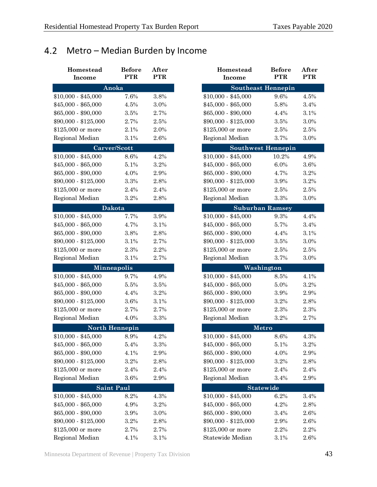## <span id="page-46-0"></span>Metro – Median Burden by Income

| Homestead<br>Income  | <b>Before</b><br><b>PTR</b> | After<br><b>PTR</b> | Homestead<br><b>Income</b> | <b>Before</b><br><b>PTR</b> | After<br><b>PTR</b> |
|----------------------|-----------------------------|---------------------|----------------------------|-----------------------------|---------------------|
|                      |                             |                     |                            |                             |                     |
|                      | Anoka                       |                     |                            | <b>Southeast Hennepin</b>   |                     |
| $$10,000 - $45,000$  | 7.6%                        | 3.8%                | $$10,000 - $45,000$        | 9.6%                        | 4.5%                |
| $$45,000 - $65,000$  | 4.5%                        | 3.0%                | $$45,000 - $65,000$        | 5.8%                        | 3.4%                |
| $$65,000 - $90,000$  | 3.5%                        | 2.7%                | $$65,000 - $90,000$        | 4.4%                        | 3.1%                |
| \$90,000 - \$125,000 | 2.7%                        | 2.5%                | $$90,000 - $125,000$       | 3.5%                        | 3.0%                |
| \$125,000 or more    | 2.1%                        | 2.0%                | \$125,000 or more          | 2.5%                        | 2.5%                |
| Regional Median      | 3.1%                        | 2.6%                | Regional Median            | 3.7%                        | 3.0%                |
|                      | Carver/Scott                |                     |                            | <b>Southwest Hennepin</b>   |                     |
| $$10,000 - $45,000$  | 8.6%                        | 4.2%                | $$10,000 - $45,000$        | 10.2%                       | 4.9%                |
| $$45,000 - $65,000$  | 5.1%                        | 3.2%                | $$45,000 - $65,000$        | 6.0%                        | 3.6%                |
| $$65,000 - $90,000$  | 4.0%                        | 2.9%                | $$65,000 - $90,000$        | 4.7%                        | 3.2%                |
| $$90,000 - $125,000$ | 3.3%                        | 2.8%                | $$90,000 - $125,000$       | 3.9%                        | 3.2%                |
| \$125,000 or more    | 2.4%                        | 2.4%                | \$125,000 or more          | 2.5%                        | 2.5%                |
| Regional Median      | 3.2%                        | 2.8%                | Regional Median            | 3.3%                        | 3.0%                |
|                      | Dakota                      |                     |                            | <b>Suburban Ramsey</b>      |                     |
| $$10,000 - $45,000$  | 7.7%                        | 3.9%                | $$10,000 - $45,000$        | 9.3%                        | 4.4%                |
| $$45,000 - $65,000$  | 4.7%                        | 3.1%                | $$45,000 - $65,000$        | 5.7%                        | 3.4%                |
| $$65,000 - $90,000$  | 3.8%                        | 2.8%                | $$65,000 - $90,000$        | 4.4%                        | 3.1%                |
| \$90,000 - \$125,000 | 3.1%                        | 2.7%                | \$90,000 - \$125,000       | 3.5%                        | 3.0%                |
| \$125,000 or more    | 2.3%                        | 2.2%                | \$125,000 or more          | 2.5%                        | 2.5%                |
| Regional Median      | 3.1%                        | 2.7%                | Regional Median            | 3.7%                        | 3.0%                |
|                      | <b>Minneapolis</b>          |                     |                            | Washington                  |                     |
| $$10,000 - $45,000$  | 9.7%                        | 4.9%                | $$10,000 - $45,000$        | 8.5%                        | 4.1%                |
| $$45,000 - $65,000$  | 5.5%                        | 3.5%                | $$45,000 - $65,000$        | 5.0%                        | 3.2%                |
| $$65,000 - $90,000$  | 4.4%                        | 3.2%                | $$65,000 - $90,000$        | 3.9%                        | 2.9%                |
| $$90,000 - $125,000$ | 3.6%                        | 3.1%                | $$90,000 - $125,000$       | 3.2%                        | 2.8%                |
| \$125,000 or more    | 2.7%                        | 2.7%                | \$125,000 or more          | 2.3%                        | 2.3%                |
| Regional Median      | 4.0%                        | 3.3%                | Regional Median            | 3.2%                        | 2.7%                |
|                      | <b>North Hennepin</b>       |                     |                            | Metro                       |                     |
| $$10,000 - $45,000$  | 8.9%                        | 4.2%                | $$10,000 - $45,000$        | 8.6%                        | 4.3%                |
| $$45,000 - $65,000$  | $5.4\%$                     | $3.3\%$             | $$45,000 - $65,000$        | 5.1%                        | 3.2%                |
| $$65,000 - $90,000$  | 4.1%                        | 2.9%                | $$65,000 - $90,000$        | 4.0%                        | 2.9%                |
| \$90,000 - \$125,000 | 3.2%                        | 2.8%                | \$90,000 - \$125,000       | 3.2%                        | 2.8%                |
| \$125,000 or more    | 2.4%                        | 2.4%                | \$125,000 or more          | 2.4%                        | 2.4%                |
| Regional Median      | 3.6%                        | 2.9%                | Regional Median            | 3.4%                        | 2.9%                |
|                      | <b>Saint Paul</b>           |                     |                            | <b>Statewide</b>            |                     |
| $$10,000 - $45,000$  | 8.2%                        | 4.3%                | $$10,000 - $45,000$        | 6.2%                        | 3.4%                |
| $$45,000 - $65,000$  | 4.9%                        | $3.2\%$             | $$45,000 - $65,000$        | 4.2%                        | 2.8%                |
| $$65,000 - $90,000$  | 3.9%                        | 3.0%                | $$65,000 - $90,000$        | 3.4%                        | 2.6%                |
| $$90,000 - $125,000$ | 3.2%                        | 2.8%                | $$90,000 - $125,000$       | 2.9%                        | 2.6%                |
| \$125,000 or more    | 2.7%                        | 2.7%                | \$125,000 or more          | 2.2%                        | 2.2%                |
| Regional Median      | 4.1%                        | 3.1%                | Statewide Median           | 3.1%                        | 2.6%                |

| Homestead<br>Income | <b>Before</b><br><b>PTR</b> | After<br><b>PTR</b> | <b>Homestead</b><br>Income | <b>Before</b><br><b>PTR</b> | After<br><b>PTR</b> |
|---------------------|-----------------------------|---------------------|----------------------------|-----------------------------|---------------------|
|                     | Anoka                       |                     | <b>Southeast Hennepin</b>  |                             |                     |
| $00 - $45,000$      | 7.6%                        | 3.8%                | $$10,000 - $45,000$        | 9.6%                        | 4.5%                |
| $00 - $65,000$      | 4.5%                        | 3.0%                | $$45,000 - $65,000$        | 5.8%                        | 3.4%                |
| $00 - $90,000$      | 3.5%                        | 2.7%                | $$65,000 - $90,000$        | 4.4%                        | 3.1%                |
| $00 - $125,000$     | 2.7%                        | 2.5%                | $$90,000 - $125,000$       | 3.5%                        | 3.0%                |
| 000 or more         | 2.1%                        | 2.0%                | \$125,000 or more          | 2.5%                        | 2.5%                |
| nal Median          | 3.1%                        | 2.6%                | Regional Median            | 3.7%                        | 3.0%                |
|                     | Carver/Scott                |                     | <b>Southwest Hennepin</b>  |                             |                     |
| $00 - $45,000$      | 8.6%                        | 4.2%                | $$10,000 - $45,000$        | 10.2%                       | 4.9%                |
| $00 - $65,000$      | 5.1%                        | 3.2%                | $$45,000 - $65,000$        | 6.0%                        | 3.6%                |
| $00 - $90,000$      | 4.0%                        | 2.9%                | $$65,000 - $90,000$        | 4.7%                        | 3.2%                |
| $00 - $125,000$     | 3.3%                        | 2.8%                | $$90,000 - $125,000$       | 3.9%                        | 3.2%                |
| 000 or more         | 2.4%                        | 2.4%                | \$125,000 or more          | 2.5%                        | 2.5%                |
| nal Median          | 3.2%                        | 2.8%                | Regional Median            | 3.3%                        | 3.0%                |
|                     | <b>Dakota</b>               |                     |                            | <b>Suburban Ramsey</b>      |                     |
| $00 - $45,000$      | 7.7%                        | 3.9%                | $$10,000 - $45,000$        | 9.3%                        | 4.4%                |
| $00 - $65,000$      | 4.7%                        | 3.1%                | $$45,000 - $65,000$        | 5.7%                        | 3.4%                |
| $00 - $90,000$      | 3.8%                        | 2.8%                | $$65,000 - $90,000$        | 4.4%                        | 3.1%                |
| $00 - $125,000$     | 3.1%                        | 2.7%                | $$90,000 - $125,000$       | 3.5%                        | 3.0%                |
| 000 or more         | 2.3%                        | 2.2%                | \$125,000 or more          | 2.5%                        | 2.5%                |
| nal Median          | 3.1%                        | 2.7%                | Regional Median            | 3.7%                        | 3.0%                |
|                     | <b>Minneapolis</b>          |                     | Washington                 |                             |                     |
| $00 - $45,000$      | 9.7%                        | 4.9%                | $$10,000 - $45,000$        | 8.5%                        | 4.1%                |
| $00 - $65,000$      | 5.5%                        | 3.5%                | $$45,000 - $65,000$        | 5.0%                        | 3.2%                |
| $00 - $90,000$      | 4.4%                        | 3.2%                | $$65,000 - $90,000$        | 3.9%                        | 2.9%                |
| $00 - $125,000$     | 3.6%                        | 3.1%                | $$90,000 - $125,000$       | 3.2%                        | 2.8%                |
| 000 or more         | 2.7%                        | 2.7%                | \$125,000 or more          | 2.3%                        | 2.3%                |
| nal Median          | 4.0%                        | 3.3%                | Regional Median            | 3.2%                        | 2.7%                |
|                     | North Hennepin              |                     |                            | Metro                       |                     |
| $00 - $45,000$      | 8.9%                        | 4.2%                | $$10,000 - $45,000$        | 8.6%                        | 4.3%                |
| $00 - $65,000$      | 5.4%                        | 3.3%                | $$45,000 - $65,000$        | 5.1%                        | 3.2%                |
| $00 - $90,000$      | 4.1%                        | 2.9%                | \$65,000 - \$90,000        | 4.0%                        | 2.9%                |
| $00 - $125,000$     | 3.2%                        | 2.8%                | \$90,000 - \$125,000       | 3.2%                        | 2.8%                |
| 000 or more         | 2.4%                        | 2.4%                | \$125,000 or more          | 2.4%                        | 2.4%                |
| nal Median          | 3.6%                        | 2.9%                | Regional Median            | 3.4%                        | 2.9%                |
|                     | <b>Saint Paul</b>           |                     |                            | <b>Statewide</b>            |                     |
| $00 - $45,000$      | 8.2%                        | 4.3%                | $$10,000 - $45,000$        | 6.2%                        | 3.4%                |
| $00 - $65,000$      | 4.9%                        | 3.2%                | $$45,000 - $65,000$        | 4.2%                        | 2.8%                |
| $00 - $90,000$      | 3.9%                        | 3.0%                | $$65,000 - $90,000$        | 3.4%                        | 2.6%                |
| $00 - $125,000$     | 3.2%                        | 2.8%                | \$90,000 - \$125,000       | 2.9%                        | 2.6%                |
| 000 or more         | 2.7%                        | 2.7%                | \$125,000 or more          | 2.2%                        | 2.2%                |
| nal Median          | 4.1%                        | 3.1%                | Statewide Median           | 3.1%                        | 2.6%                |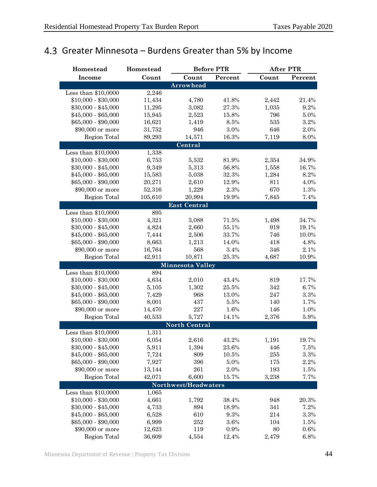## <span id="page-47-0"></span>4.3 Greater Minnesota – Burdens Greater than 5% by Income

| Homestead           | Homestead | <b>Before PTR</b>       |         |       | <b>After PTR</b> |  |  |
|---------------------|-----------|-------------------------|---------|-------|------------------|--|--|
| Income              | Count     | Count                   | Percent | Count | Percent          |  |  |
|                     |           | <b>Arrowhead</b>        |         |       |                  |  |  |
| Less than \$10,0000 | 2,246     |                         |         |       |                  |  |  |
| $$10,000 - $30,000$ | 11,434    | 4,780                   | 41.8%   | 2,442 | 21.4%            |  |  |
| $$30,000 - $45,000$ | 11,295    | 3,082                   | 27.3%   | 1,035 | 9.2%             |  |  |
| $$45,000 - $65,000$ | 15,945    | 2,523                   | 15.8%   | 796   | 5.0%             |  |  |
| $$65,000 - $90,000$ | 16,621    | 1,419                   | $8.5\%$ | 535   | 3.2%             |  |  |
| \$90,000 or more    | 31,752    | 946                     | 3.0%    | 646   | 2.0%             |  |  |
| Region Total        | 89,293    | 14,571                  | 16.3%   | 7,119 | 8.0%             |  |  |
|                     |           | Central                 |         |       |                  |  |  |
| Less than \$10,0000 | 1,338     |                         |         |       |                  |  |  |
| $$10,000 - $30,000$ | 6,753     | 5,532                   | 81.9%   | 2,354 | 34.9%            |  |  |
| $$30,000 - $45,000$ | 9,349     | 5,313                   | 56.8%   | 1,558 | 16.7%            |  |  |
| $$45,000 - $65,000$ | 15,583    | 5,038                   | 32.3%   | 1,284 | 8.2%             |  |  |
| $$65,000 - $90,000$ | 20,271    | 2,610                   | 12.9%   | 811   | 4.0%             |  |  |
| \$90,000 or more    | 52,316    | 1,229                   | 2.3%    | 670   | 1.3%             |  |  |
| Region Total        | 105,610   | 20,994                  | 19.9%   | 7,845 | 7.4%             |  |  |
|                     |           | <b>East Central</b>     |         |       |                  |  |  |
| Less than \$10,0000 | 895       |                         |         |       |                  |  |  |
| $$10,000 - $30,000$ | 4,321     | 3,088                   | 71.5%   | 1,498 | 34.7%            |  |  |
| $$30,000 - $45,000$ | 4,824     | 2,660                   | 55.1%   | 919   | 19.1%            |  |  |
| $$45,000 - $65,000$ | 7,444     | 2,506                   | 33.7%   | 746   | 10.0%            |  |  |
| $$65,000 - $90,000$ | 8,663     | 1,213                   | 14.0%   | 418   | 4.8%             |  |  |
| \$90,000 or more    | 16,764    | 568                     | 3.4%    | 346   | 2.1%             |  |  |
| Region Total        | 42,911    | 10,871                  | 25.3%   | 4,687 | 10.9%            |  |  |
|                     |           | <b>Minnesota Valley</b> |         |       |                  |  |  |
| Less than \$10,0000 | 894       |                         |         |       |                  |  |  |
| $$10,000 - $30,000$ | 4,634     | 2,010                   | 43.4%   | 819   | 17.7%            |  |  |
| $$30,000 - $45,000$ | 5,105     | 1,302                   | 25.5%   | 342   | 6.7%             |  |  |
| $$45,000 - $65,000$ | 7,429     | 968                     | 13.0%   | 247   | $3.3\%$          |  |  |
| $$65,000 - $90,000$ | 8,001     | 437                     | $5.5\%$ | 140   | 1.7%             |  |  |
| \$90,000 or more    | 14,470    | 227                     | 1.6%    | 146   | 1.0%             |  |  |
| Region Total        | 40,533    | 5,727                   | 14.1%   | 2,376 | 5.9%             |  |  |
|                     |           | <b>North Central</b>    |         |       |                  |  |  |
| Less than \$10,0000 | 1,311     |                         |         |       |                  |  |  |
| $$10,000 - $30,000$ | 6,054     | 2,616                   | 43.2%   | 1,191 | 19.7%            |  |  |
| $$30,000 - $45,000$ | 5,911     | 1,394                   | 23.6%   | 446   | 7.5%             |  |  |
| $$45,000 - $65,000$ | 7,724     | 809                     | 10.5%   | 255   | 3.3%             |  |  |
| $$65,000 - $90,000$ | 7,927     | 396                     | 5.0%    | 175   | 2.2%             |  |  |
| \$90,000 or more    | 13,144    | 261                     | 2.0%    | 193   | 1.5%             |  |  |
| Region Total        | 42,071    | 6,600                   | 15.7%   | 3,238 | 7.7%             |  |  |
|                     |           | Northwest/Headwaters    |         |       |                  |  |  |
| Less than \$10,0000 | 1,065     |                         |         |       |                  |  |  |
| $$10,000 - $30,000$ | 4,661     | 1,792                   | 38.4%   | 948   | 20.3%            |  |  |
| $$30,000 - $45,000$ | 4,733     | 894                     | 18.9%   | 341   | 7.2%             |  |  |
| $$45,000 - $65,000$ | 6,528     | 610                     | 9.3%    | 214   | 3.3%             |  |  |
| $$65,000 - $90,000$ | 6,999     | 252                     | 3.6%    | 104   | 1.5%             |  |  |
| \$90,000 or more    | 12,623    | 119                     | 0.9%    | 80    | 0.6%             |  |  |
| Region Total        | 36,609    | 4,554                   | 12.4%   | 2,479 | 6.8%             |  |  |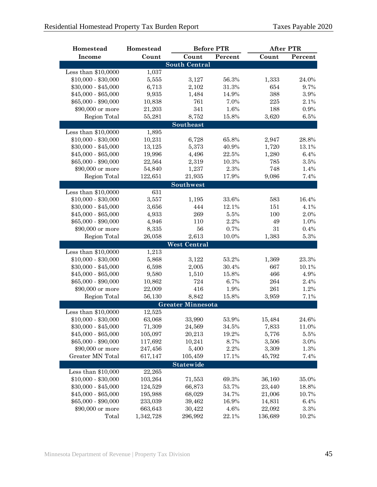| Homestead                               | Homestead            |                          | <b>Before PTR</b> |                  | <b>After PTR</b> |  |
|-----------------------------------------|----------------------|--------------------------|-------------------|------------------|------------------|--|
| <b>Income</b>                           | Count                | Count                    | Percent           | Count            | Percent          |  |
|                                         |                      | <b>South Central</b>     |                   |                  |                  |  |
| Less than \$10,0000                     | 1,037                |                          |                   |                  |                  |  |
| $$10,000 - $30,000$                     | 5,555                | 3,127                    | 56.3%             | 1,333            | 24.0%            |  |
| $$30,000 - $45,000$                     | 6,713                | 2,102                    | 31.3%             | 654              | 9.7%             |  |
| $$45,000 - $65,000$                     | 9,935                | 1,484                    | 14.9%             | 388              | $3.9\%$          |  |
| \$65,000 - \$90,000                     | 10,838               | 761                      | 7.0%              | 225              | 2.1%             |  |
| \$90,000 or more                        | 21,203               | 341                      | 1.6%              | 188              | 0.9%             |  |
| Region Total                            | 55,281               | 8,752                    | 15.8%             | 3,620            | $6.5\%$          |  |
|                                         |                      | Southeast                |                   |                  |                  |  |
| Less than \$10,0000                     | 1,895                |                          |                   |                  |                  |  |
| $$10,000 - $30,000$                     | 10,231               | 6,728                    | 65.8%             | 2,947            | 28.8%            |  |
| $$30,000 - $45,000$                     | 13,125               | 5,373                    | 40.9%             | 1,720            | 13.1%            |  |
| $$45,000 - $65,000$                     | 19,996               | 4,496                    | 22.5%             | 1,280            | 6.4%             |  |
| $$65,000 - $90,000$                     | 22,564               | 2,319                    | 10.3%             | 785              | $3.5\%$          |  |
| \$90,000 or more                        | 54,840               | 1,237                    | 2.3%              | 748              | 1.4%             |  |
| Region Total                            | 122,651              | 21,935                   | 17.9%             | 9,086            | 7.4%             |  |
|                                         |                      | Southwest                |                   |                  |                  |  |
| Less than \$10,0000                     | 631                  |                          |                   |                  |                  |  |
| $$10,000 - $30,000$                     | 3,557                | 1,195                    | 33.6%             | 583              | 16.4%            |  |
| $$30,000 - $45,000$                     | 3,656                | 444                      | 12.1%             | 151              | 4.1%             |  |
| $$45,000 - $65,000$                     | 4,933                | 269                      | 5.5%              | 100              | 2.0%             |  |
| \$65,000 - \$90,000                     | 4,946                | 110                      | 2.2%              | 49               | 1.0%             |  |
| \$90,000 or more                        | 8,335                | 56                       | 0.7%              | 31               | 0.4%             |  |
| Region Total                            | 26,058               | 2,613                    | 10.0%             | 1,383            | $5.3\%$          |  |
|                                         |                      | <b>West Central</b>      |                   |                  |                  |  |
| Less than \$10,0000                     | 1,213                |                          |                   |                  |                  |  |
| $$10,000 - $30,000$                     | 5,868                | 3,122                    | 53.2%             | 1,369            | 23.3%            |  |
| $$30,000 - $45,000$                     | 6,598                | 2,005                    | 30.4%             | 667              | 10.1%            |  |
| $$45,000 - $65,000$                     | 9,580                | 1,510                    | 15.8%             | 466              | 4.9%             |  |
| $$65,000 - $90,000$                     | 10,862               | 724                      | 6.7%              | 264              | 2.4%             |  |
| \$90,000 or more                        | 22,009               | 416                      | 1.9%              | 261              | 1.2%             |  |
| Region Total                            | 56,130               | 8,842                    | 15.8%             | 3,959            | 7.1%             |  |
|                                         |                      | <b>Greater Minnesota</b> |                   |                  |                  |  |
| Less than \$10,0000                     | 12,525               |                          |                   |                  |                  |  |
| $$10,000 - $30,000$                     | 63,068               | 33,990                   | 53.9%             | 15,484           | 24.6%            |  |
| $$30,000 - $45,000$                     | 71,309               | 24,569                   | 34.5%             | 7,833            | 11.0%            |  |
| $$45,000 - $65,000$                     | 105,097              | 20,213                   | 19.2%             | 5,776            | 5.5%             |  |
| \$65,000 - \$90,000                     | 117,692              | 10,241                   | 8.7%              | 3,506            | 3.0%             |  |
| \$90,000 or more                        | 247,456              | 5,400                    | 2.2%              | 3,309            | 1.3%             |  |
| Greater MN Total                        | 617,147              | 105,459                  | 17.1%             | 45,792           | 7.4%             |  |
|                                         |                      |                          |                   |                  |                  |  |
|                                         |                      | <b>Statewide</b>         |                   |                  |                  |  |
| Less than $$10,000$                     | 22,265               |                          |                   |                  |                  |  |
| $$10,000 - $30,000$                     | 103,264              | 71,553                   | 69.3%             | 36,160           | 35.0%            |  |
| $$30,000 - $45,000$                     | 124,529              | 66,873                   | 53.7%             | 23,440           | 18.8%            |  |
| $$45,000 - $65,000$                     | 195,988              | 68,029                   | 34.7%             | 21,006           | 10.7%            |  |
| $$65,000 - $90,000$<br>\$90,000 or more | 233,039              | 39,462<br>30,422         | 16.9%<br>4.6%     | 14,831<br>22,092 | 6.4%<br>3.3%     |  |
| Total                                   | 663,643<br>1,342,728 | 296,992                  | 22.1%             | 136,689          | 10.2%            |  |
|                                         |                      |                          |                   |                  |                  |  |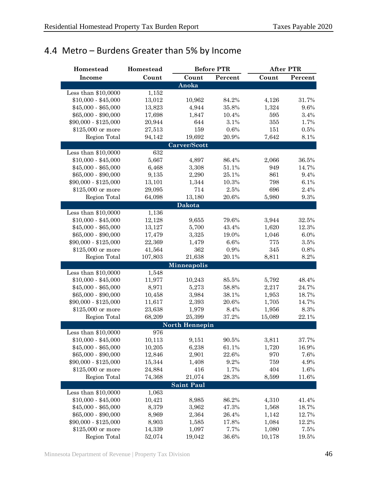## <span id="page-49-0"></span>4.4 Metro – Burdens Greater than 5% by Income

| Homestead                         | Homestead        |                    | <b>Before PTR</b> |                 | <b>After PTR</b> |  |
|-----------------------------------|------------------|--------------------|-------------------|-----------------|------------------|--|
| <b>Income</b>                     | Count            | Count              | Percent           | Count           | Percent          |  |
|                                   |                  | Anoka              |                   |                 |                  |  |
| Less than \$10,0000               | 1,152            |                    |                   |                 |                  |  |
| $$10,000 - $45,000$               | 13,012           | 10,962             | 84.2%             | 4,126           | 31.7%            |  |
| $$45,000 - $65,000$               | 13,823           | 4,944              | 35.8%             | 1,324           | 9.6%             |  |
| $$65,000 - $90,000$               | 17,698           | 1,847              | 10.4%             | 595             | 3.4%             |  |
| \$90,000 - \$125,000              | 20,944           | 644                | $3.1\%$           | 355             | 1.7%             |  |
| \$125,000 or more                 | 27,513           | 159                | 0.6%              | 151             | $0.5\%$          |  |
| Region Total                      | 94,142           | 19,692             | 20.9%             | 7,642           | 8.1%             |  |
|                                   |                  | Carver/Scott       |                   |                 |                  |  |
| Less than $$10,0000$              | 632              |                    |                   |                 |                  |  |
| $$10,000 - $45,000$               | 5,667            | 4,897              | 86.4%             | 2,066           | 36.5%            |  |
| $$45,000 - $65,000$               | 6,468            | 3,308              | 51.1%             | 949             | 14.7%            |  |
| $$65,000 - $90,000$               | 9,135            | 2,290              | 25.1%             | 861             | 9.4%             |  |
| \$90,000 - \$125,000              | 13,101           | 1,344              | 10.3%             | 798             | 6.1%             |  |
| \$125,000 or more                 | 29,095           | 714                | 2.5%              | 696             | 2.4%             |  |
| Region Total                      | 64,098           | 13,180             | 20.6%             | 5,980           | 9.3%             |  |
|                                   |                  | <b>Dakota</b>      |                   |                 |                  |  |
| Less than \$10,0000               | 1,136            |                    |                   |                 |                  |  |
| $$10,000 - $45,000$               | 12,128           | 9,655              | 79.6%             | 3,944           | 32.5%            |  |
| $$45,000 - $65,000$               | 13,127           | 5,700              | 43.4%             | 1,620           | 12.3%            |  |
| $$65,000 - $90,000$               | 17,479           | 3,325              | 19.0%             | 1,046           | 6.0%             |  |
| \$90,000 - \$125,000              | 22,369           | 1,479              | 6.6%              | 775             | $3.5\%$          |  |
| \$125,000 or more                 | 41,564           | 362                | 0.9%              | 345             | 0.8%             |  |
| Region Total                      | 107,803          | 21,638             | 20.1%             | 8,811           | 8.2%             |  |
|                                   |                  | <b>Minneapolis</b> |                   |                 |                  |  |
| Less than \$10,0000               | 1,548            |                    |                   |                 |                  |  |
| $$10,000 - $45,000$               | 11,977           | 10,243             | 85.5%             | 5,792           | 48.4%            |  |
| $$45,000 - $65,000$               | 8,971            | 5,273              | 58.8%             | 2,217           | 24.7%            |  |
| $$65,000 - $90,000$               | 10,458           | 3,984              | 38.1%             | 1,953           | 18.7%            |  |
| \$90,000 - \$125,000              | 11,617           | 2,393              | 20.6%             | 1,705           | 14.7%            |  |
| \$125,000 or more                 | 23,638           | 1,979              | 8.4%              | 1,956           | 8.3%             |  |
| Region Total                      | 68,209           | 25,399             | 37.2%             | 15,089          | 22.1%            |  |
|                                   |                  | North Hennepin     |                   |                 |                  |  |
| Less than \$10,0000               | 976              |                    |                   |                 |                  |  |
| $$10,000 - $45,000$               | 10,113           | 9,151              | $90.5\%$          | 3,811           | 37.7%            |  |
| $$45,000 - $65,000$               | 10,205           | 6,238              | 61.1%             | 1,720           | 16.9%            |  |
| $$65,000 - $90,000$               | 12,846           | 2,901              | 22.6%             | 970             | 7.6%             |  |
| \$90,000 - \$125,000              | 15,344           | 1,408              | 9.2%              | 759             | 4.9%             |  |
| \$125,000 or more                 | 24,884           | 416                | 1.7%              | 404             | 1.6%             |  |
| Region Total                      | 74,368           | 21,074             | 28.3%             | 8,599           | 11.6%            |  |
|                                   |                  |                    |                   |                 |                  |  |
| Less than \$10,0000               | 1,063            | <b>Saint Paul</b>  |                   |                 |                  |  |
| $$10,000 - $45,000$               | 10,421           | 8,985              | 86.2%             | 4,310           |                  |  |
| $$45,000 - $65,000$               |                  | 3,962              | 47.3%             |                 | 41.4%            |  |
| $$65,000 - $90,000$               | 8,379            |                    | 26.4%             | 1,568           | 18.7%            |  |
| \$90,000 - \$125,000              | 8,969            | 2,364              | 17.8%             | 1,142           | 12.7%            |  |
|                                   | 8,903            | 1,585              | 7.7%              | 1,084           | 12.2%<br>7.5%    |  |
| \$125,000 or more<br>Region Total | 14,339<br>52,074 | 1,097<br>19,042    | 36.6%             | 1,080<br>10,178 | 19.5%            |  |
|                                   |                  |                    |                   |                 |                  |  |